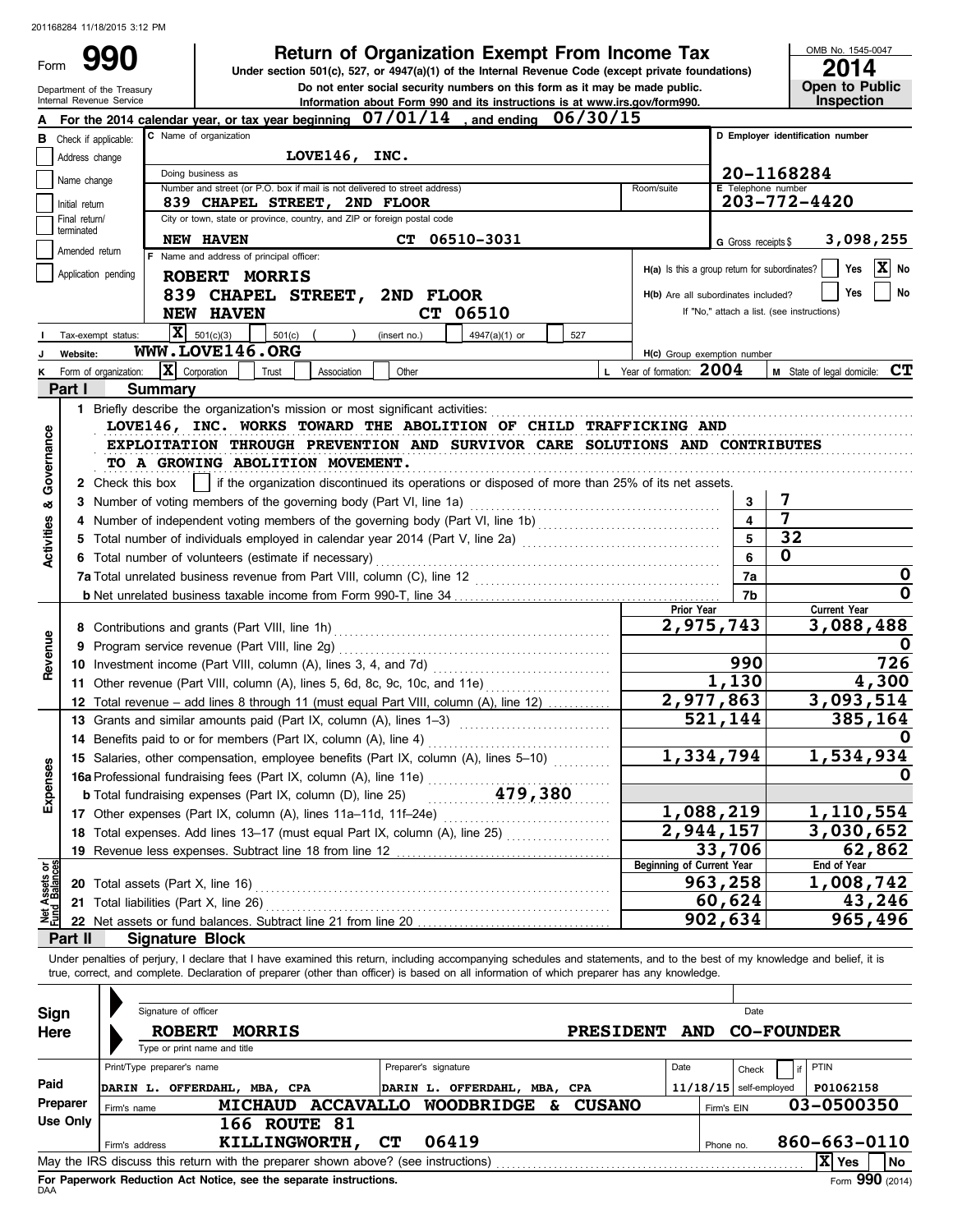Department of the Treasury<br>Internal Revenue Service

Form

Information about Form 990 and its instructions is at www.irs.gov/form990. Do not enter social security numbers on this form as it may be made public. **990 a Return of Organization Exempt From Income Tax 2014 2014 2014 Under section 501(c), 527, or 4947(a)(1) of the Internal Revenue Code (except private foundations)**

OMB No. 1545-0047 **Open to Public<br>Inspection** 

|                                |                             | For the 2014 calendar year, or tax year beginning $07/01/14$ , and ending $06/30/15$                                                                                                                                           |                                               |                          |                                            |
|--------------------------------|-----------------------------|--------------------------------------------------------------------------------------------------------------------------------------------------------------------------------------------------------------------------------|-----------------------------------------------|--------------------------|--------------------------------------------|
|                                | Check if applicable:        | C Name of organization                                                                                                                                                                                                         |                                               |                          | D Employer identification number           |
|                                | Address change              | LOVE146, INC.                                                                                                                                                                                                                  |                                               |                          |                                            |
|                                | Name change                 | Doing business as                                                                                                                                                                                                              |                                               |                          | 20-1168284                                 |
|                                |                             | Number and street (or P.O. box if mail is not delivered to street address)                                                                                                                                                     | Room/suite                                    | E Telephone number       |                                            |
|                                | Initial return              | 839 CHAPEL STREET, 2ND FLOOR<br>City or town, state or province, country, and ZIP or foreign postal code                                                                                                                       |                                               |                          | 203-772-4420                               |
|                                | Final return/<br>terminated |                                                                                                                                                                                                                                |                                               |                          |                                            |
|                                | Amended return              | <b>NEW HAVEN</b><br>CT.<br>06510-3031                                                                                                                                                                                          |                                               | G Gross receipts \$      | 3,098,255                                  |
|                                | Application pending         | F Name and address of principal officer:                                                                                                                                                                                       | H(a) Is this a group return for subordinates? |                          | $ \mathbf{x} $<br>Yes<br>No                |
|                                |                             | ROBERT MORRIS                                                                                                                                                                                                                  |                                               |                          | No<br>Yes                                  |
|                                |                             | 839 CHAPEL STREET, 2ND FLOOR                                                                                                                                                                                                   | H(b) Are all subordinates included?           |                          |                                            |
|                                |                             | <b>NEW HAVEN</b><br>CT 06510                                                                                                                                                                                                   |                                               |                          | If "No," attach a list. (see instructions) |
|                                | Tax-exempt status:          | $\overline{\mathbf{X}}$ 501(c)(3)<br>501(c)<br>4947(a)(1) or<br>527<br>(insert no.)                                                                                                                                            |                                               |                          |                                            |
|                                | Website:                    | WWW.LOVE146.ORG                                                                                                                                                                                                                | H(c) Group exemption number                   |                          |                                            |
|                                | Form of organization:       | $ \mathbf{X} $ Corporation<br>Association<br>Other<br>Trust                                                                                                                                                                    | L Year of formation: 2004                     |                          | M State of legal domicile: CT              |
|                                | Part I                      | Summary                                                                                                                                                                                                                        |                                               |                          |                                            |
|                                |                             |                                                                                                                                                                                                                                |                                               |                          |                                            |
|                                |                             | LOVE146, INC. WORKS TOWARD THE ABOLITION OF CHILD TRAFFICKING AND                                                                                                                                                              |                                               |                          |                                            |
| Governance                     |                             | EXPLOITATION THROUGH PREVENTION AND SURVIVOR CARE SOLUTIONS AND CONTRIBUTES                                                                                                                                                    |                                               |                          |                                            |
|                                |                             | TO A GROWING ABOLITION MOVEMENT.                                                                                                                                                                                               |                                               |                          |                                            |
|                                |                             | if the organization discontinued its operations or disposed of more than 25% of its net assets.<br>2 Check this box                                                                                                            |                                               |                          |                                            |
| త                              |                             | 3 Number of voting members of the governing body (Part VI, line 1a)                                                                                                                                                            |                                               | 3                        | 7                                          |
|                                |                             | 4 Number of independent voting members of the governing body (Part VI, line 1b) [11] [11] Number of independent voting members of the governing body (Part VI, line 1b)                                                        |                                               | 4                        | 7                                          |
| Activities                     |                             | 5 Total number of individuals employed in calendar year 2014 (Part V, line 2a) [100] (100] [100] [100] [100] [100] [100] [100] [100] [100] [100] [100] [100] [100] [100] [100] [100] [100] [100] [100] [100] [100] [100] [100] |                                               | $\overline{\mathbf{5}}$  | 32                                         |
|                                |                             | 6 Total number of volunteers (estimate if necessary)                                                                                                                                                                           |                                               | 6                        | $\mathbf 0$                                |
|                                |                             |                                                                                                                                                                                                                                |                                               | 7a                       | 0                                          |
|                                |                             |                                                                                                                                                                                                                                | Prior Year                                    | 7b                       | $\mathbf 0$<br><b>Current Year</b>         |
|                                |                             |                                                                                                                                                                                                                                | 2,975,743                                     |                          | 3,088,488                                  |
|                                |                             | 9 Program service revenue (Part VIII, line 2g)                                                                                                                                                                                 |                                               |                          |                                            |
| Revenue                        |                             |                                                                                                                                                                                                                                |                                               | 990                      | 726                                        |
|                                |                             | 11 Other revenue (Part VIII, column (A), lines 5, 6d, 8c, 9c, 10c, and 11e)                                                                                                                                                    |                                               | 1,130                    | 4,300                                      |
|                                |                             | 12 Total revenue - add lines 8 through 11 (must equal Part VIII, column (A), line 12)                                                                                                                                          |                                               | $\overline{2,977}$ , 863 | 3,093,514                                  |
|                                |                             | 13 Grants and similar amounts paid (Part IX, column (A), lines 1-3)                                                                                                                                                            |                                               | 521,144                  | 385,164                                    |
|                                |                             | 14 Benefits paid to or for members (Part IX, column (A), line 4)                                                                                                                                                               |                                               |                          |                                            |
|                                |                             | 15 Salaries, other compensation, employee benefits (Part IX, column (A), lines 5-10)                                                                                                                                           |                                               | 1,334,794                | 1,534,934                                  |
| Expenses                       |                             | 15 Salaries, other compensation, strategy of the Column (A), line 11e) $\frac{479,380}{\text{cm}^2}$                                                                                                                           |                                               |                          |                                            |
|                                |                             |                                                                                                                                                                                                                                |                                               |                          |                                            |
|                                |                             | 17 Other expenses (Part IX, column (A), lines 11a-11d, 11f-24e)                                                                                                                                                                | 1,088,219                                     |                          | 1,110,554                                  |
|                                |                             | 18 Total expenses. Add lines 13-17 (must equal Part IX, column (A), line 25) [                                                                                                                                                 | $\overline{2,944,157}$                        |                          | 3,030,652                                  |
|                                |                             | 19 Revenue less expenses. Subtract line 18 from line 12                                                                                                                                                                        |                                               | 33,706                   | 62,862                                     |
|                                |                             |                                                                                                                                                                                                                                | <b>Beginning of Current Year</b>              |                          | End of Year                                |
| Net Assets or<br>Fund Balances |                             | 20 Total assets (Part X, line 16)                                                                                                                                                                                              |                                               | 963,258                  | 1,008,742                                  |
|                                |                             | 21 Total liabilities (Part X, line 26)                                                                                                                                                                                         |                                               | 60,624                   | 43,246                                     |
|                                |                             | 22 Net assets or fund balances. Subtract line 21 from line 20                                                                                                                                                                  |                                               | 902,634                  | 965,496                                    |
|                                | Part II                     | <b>Signature Block</b>                                                                                                                                                                                                         |                                               |                          |                                            |
|                                |                             | Under penalties of perjury, I declare that I have examined this return, including accompanying schedules and statements, and to the best of my knowledge and belief, it is                                                     |                                               |                          |                                            |
|                                |                             | true, correct, and complete. Declaration of preparer (other than officer) is based on all information of which preparer has any knowledge.                                                                                     |                                               |                          |                                            |
|                                |                             |                                                                                                                                                                                                                                |                                               |                          |                                            |
| <b>Sign</b>                    |                             | Signature of officer                                                                                                                                                                                                           |                                               | Date                     |                                            |
| Here                           |                             | <b>ROBERT</b><br><b>MORRIS</b><br><b>PRESIDENT</b>                                                                                                                                                                             | <b>AND</b>                                    |                          | <b>CO-FOUNDER</b>                          |
|                                |                             | Type or print name and title<br>Print/Type preparer's name<br>Preparer's signature                                                                                                                                             | Date                                          |                          | PTIN                                       |
| Paid                           |                             |                                                                                                                                                                                                                                |                                               | Check                    |                                            |
|                                | Preparer                    | DARIN L. OFFERDAHL, MBA, CPA<br>DARIN L. OFFERDAHL, MBA, CPA<br>MICHAUD ACCAVALLO WOODBRIDGE &                                                                                                                                 |                                               | $11/18/15$ self-employed | P01062158                                  |
|                                | <b>Use Only</b>             | <b>CUSANO</b><br>Firm's name                                                                                                                                                                                                   |                                               | Firm's EIN               | 03-0500350                                 |
|                                |                             | <b>166 ROUTE 81</b><br>06419<br>KILLINGWORTH,<br><b>CT</b>                                                                                                                                                                     |                                               |                          | 860-663-0110                               |
|                                |                             | Firm's address<br>May the IRS discuss this return with the preparer shown above? (see instructions)                                                                                                                            |                                               | Phone no.                | $ X $ Yes<br>  No                          |
|                                |                             |                                                                                                                                                                                                                                |                                               |                          |                                            |

| Sign       |             | Signature of officer         |                                                                                   |                  |                      |   |                  |            |            | Date                     |                  |                 |
|------------|-------------|------------------------------|-----------------------------------------------------------------------------------|------------------|----------------------|---|------------------|------------|------------|--------------------------|------------------|-----------------|
| Here       |             | <b>ROBERT</b>                | <b>MORRIS</b>                                                                     |                  |                      |   | <b>PRESIDENT</b> | <b>AND</b> |            | <b>CO-FOUNDER</b>        |                  |                 |
|            |             | Type or print name and title |                                                                                   |                  |                      |   |                  |            |            |                          |                  |                 |
|            |             | Print/Type preparer's name   |                                                                                   |                  | Preparer's signature |   |                  | Date       |            | Check                    | PTIN             |                 |
| Paid       |             | DARIN L.                     | OFFERDAHL, MBA, CPA                                                               | DARIN L.         | OFFERDAHL, MBA, CPA  |   |                  |            |            | $11/18/15$ self-employed | P01062158        |                 |
| Preparer   | Firm's name |                              | <b>MICHAUD</b>                                                                    | <b>ACCAVALLO</b> | <b>WOODBRIDGE</b>    | δ | <b>CUSANO</b>    |            | Firm's EIN |                          | 03-0500350       |                 |
| Use Only   |             |                              | -81<br><b>166 ROUTE</b>                                                           |                  |                      |   |                  |            |            |                          |                  |                 |
|            |             | Firm's address               | KILLINGWORTH,                                                                     | <b>CT</b>        | 06419                |   |                  |            | Phone no.  |                          | 860-663-0110     |                 |
|            |             |                              | May the IRS discuss this return with the preparer shown above? (see instructions) |                  |                      |   |                  |            |            |                          | $\mathbf{X}$ Yes | <b>No</b>       |
| <b>DAA</b> |             |                              | For Paperwork Reduction Act Notice, see the separate instructions.                |                  |                      |   |                  |            |            |                          |                  | Form 990 (2014) |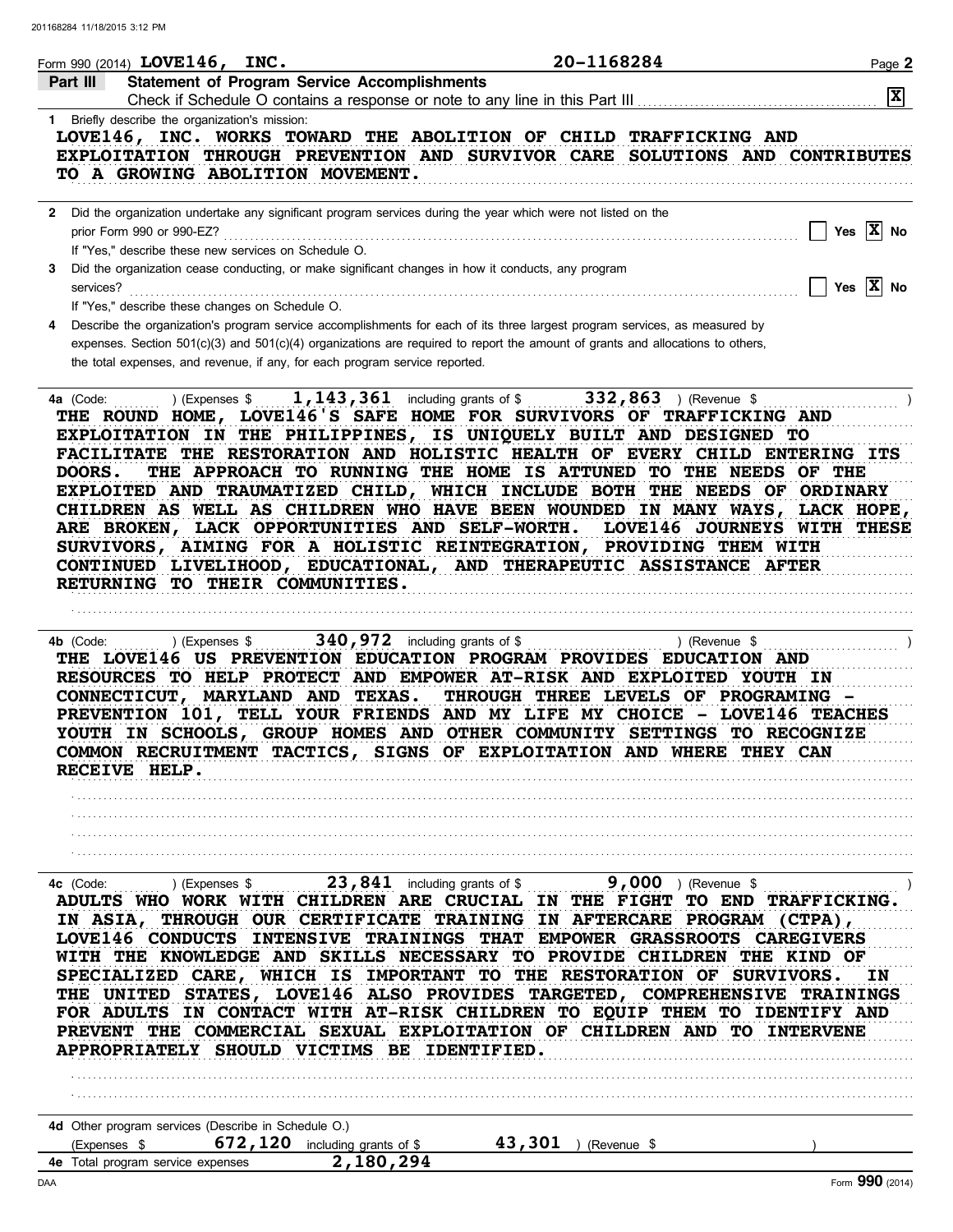| Form 990 (2014) LOVE146, INC.                                                                                                                                                                                                                                                                                                                                                                                                                                                                                                                                                                                                                                                                           | 20-1168284                                                      | Page 2                       |
|---------------------------------------------------------------------------------------------------------------------------------------------------------------------------------------------------------------------------------------------------------------------------------------------------------------------------------------------------------------------------------------------------------------------------------------------------------------------------------------------------------------------------------------------------------------------------------------------------------------------------------------------------------------------------------------------------------|-----------------------------------------------------------------|------------------------------|
| <b>Statement of Program Service Accomplishments</b><br>Part III                                                                                                                                                                                                                                                                                                                                                                                                                                                                                                                                                                                                                                         |                                                                 | $\mathbf{x}$                 |
| 1 Briefly describe the organization's mission:<br>LOVE146, INC. WORKS TOWARD THE ABOLITION OF CHILD TRAFFICKING AND<br>EXPLOITATION THROUGH PREVENTION AND SURVIVOR CARE SOLUTIONS AND CONTRIBUTES<br>TO A GROWING ABOLITION MOVEMENT.                                                                                                                                                                                                                                                                                                                                                                                                                                                                  |                                                                 |                              |
| 2 Did the organization undertake any significant program services during the year which were not listed on the<br>prior Form 990 or 990-EZ?<br>If "Yes," describe these new services on Schedule O.                                                                                                                                                                                                                                                                                                                                                                                                                                                                                                     |                                                                 | $\Box$ Yes $\overline{X}$ No |
| Did the organization cease conducting, or make significant changes in how it conducts, any program<br>3<br>services?<br>If "Yes," describe these changes on Schedule O.                                                                                                                                                                                                                                                                                                                                                                                                                                                                                                                                 |                                                                 | $\Box$ Yes $\overline{X}$ No |
| Describe the organization's program service accomplishments for each of its three largest program services, as measured by<br>expenses. Section 501(c)(3) and 501(c)(4) organizations are required to report the amount of grants and allocations to others,<br>the total expenses, and revenue, if any, for each program service reported.                                                                                                                                                                                                                                                                                                                                                             |                                                                 |                              |
| 4a (Code:<br>THE ROUND HOME, LOVE146'S SAFE HOME FOR SURVIVORS OF TRAFFICKING AND<br>EXPLOITATION IN THE PHILIPPINES, IS UNIQUELY BUILT AND DESIGNED TO<br>FACILITATE THE RESTORATION AND HOLISTIC HEALTH OF EVERY CHILD ENTERING ITS<br><b>DOORS.</b><br>EXPLOITED AND TRAUMATIZED CHILD, WHICH INCLUDE BOTH THE NEEDS OF ORDINARY<br>CHILDREN AS WELL AS CHILDREN WHO HAVE BEEN WOUNDED IN MANY WAYS, LACK HOPE,<br>ARE BROKEN, LACK OPPORTUNITIES AND SELF-WORTH. LOVE146 JOURNEYS WITH THESE<br>SURVIVORS, AIMING FOR A HOLISTIC REINTEGRATION, PROVIDING THEM WITH<br>CONTINUED LIVELIHOOD, EDUCATIONAL, AND THERAPEUTIC ASSISTANCE AFTER<br>RETURNING TO THEIR COMMUNITIES.                       | THE APPROACH TO RUNNING THE HOME IS ATTUNED TO THE NEEDS OF THE |                              |
| ) (Expenses $\frac{1}{2}$ including grants of $\frac{1}{2}$ including grants of $\frac{1}{2}$<br>4b (Code:<br>THE LOVE146 US PREVENTION EDUCATION PROGRAM PROVIDES EDUCATION AND<br>RESOURCES TO HELP PROTECT AND EMPOWER AT-RISK AND EXPLOITED YOUTH IN<br>CONNECTICUT, MARYLAND AND TEXAS.<br>PREVENTION 101, TELL YOUR FRIENDS AND MY LIFE MY CHOICE - LOVE146 TEACHES<br>YOUTH IN SCHOOLS, GROUP HOMES AND OTHER COMMUNITY SETTINGS TO RECOGNIZE<br>COMMON RECRUITMENT TACTICS, SIGNS OF EXPLOITATION AND WHERE THEY CAN<br>RECEIVE HELP.                                                                                                                                                           | $\ldots$ ) (Revenue \$<br>THROUGH THREE LEVELS OF PROGRAMING -  |                              |
|                                                                                                                                                                                                                                                                                                                                                                                                                                                                                                                                                                                                                                                                                                         |                                                                 |                              |
| 4c (Code:<br>) (Expenses \$<br>ADULTS WHO WORK WITH CHILDREN ARE CRUCIAL IN THE FIGHT TO END TRAFFICKING.<br>IN ASIA, THROUGH OUR CERTIFICATE TRAINING IN AFTERCARE PROGRAM (CTPA),<br>LOVE146 CONDUCTS INTENSIVE TRAININGS THAT EMPOWER GRASSROOTS CAREGIVERS<br>WITH THE KNOWLEDGE AND SKILLS NECESSARY TO PROVIDE CHILDREN THE KIND OF<br>SPECIALIZED CARE, WHICH IS IMPORTANT TO THE RESTORATION OF SURVIVORS.<br>THE UNITED STATES, LOVE146 ALSO PROVIDES TARGETED, COMPREHENSIVE TRAININGS<br>FOR ADULTS IN CONTACT WITH AT-RISK CHILDREN TO EQUIP THEM TO IDENTIFY AND<br>PREVENT THE COMMERCIAL SEXUAL EXPLOITATION OF CHILDREN AND TO INTERVENE<br>APPROPRIATELY SHOULD VICTIMS BE IDENTIFIED. | 23,841 including grants of \$ 9,000 ) (Revenue \$               | IN                           |
|                                                                                                                                                                                                                                                                                                                                                                                                                                                                                                                                                                                                                                                                                                         |                                                                 |                              |
|                                                                                                                                                                                                                                                                                                                                                                                                                                                                                                                                                                                                                                                                                                         |                                                                 |                              |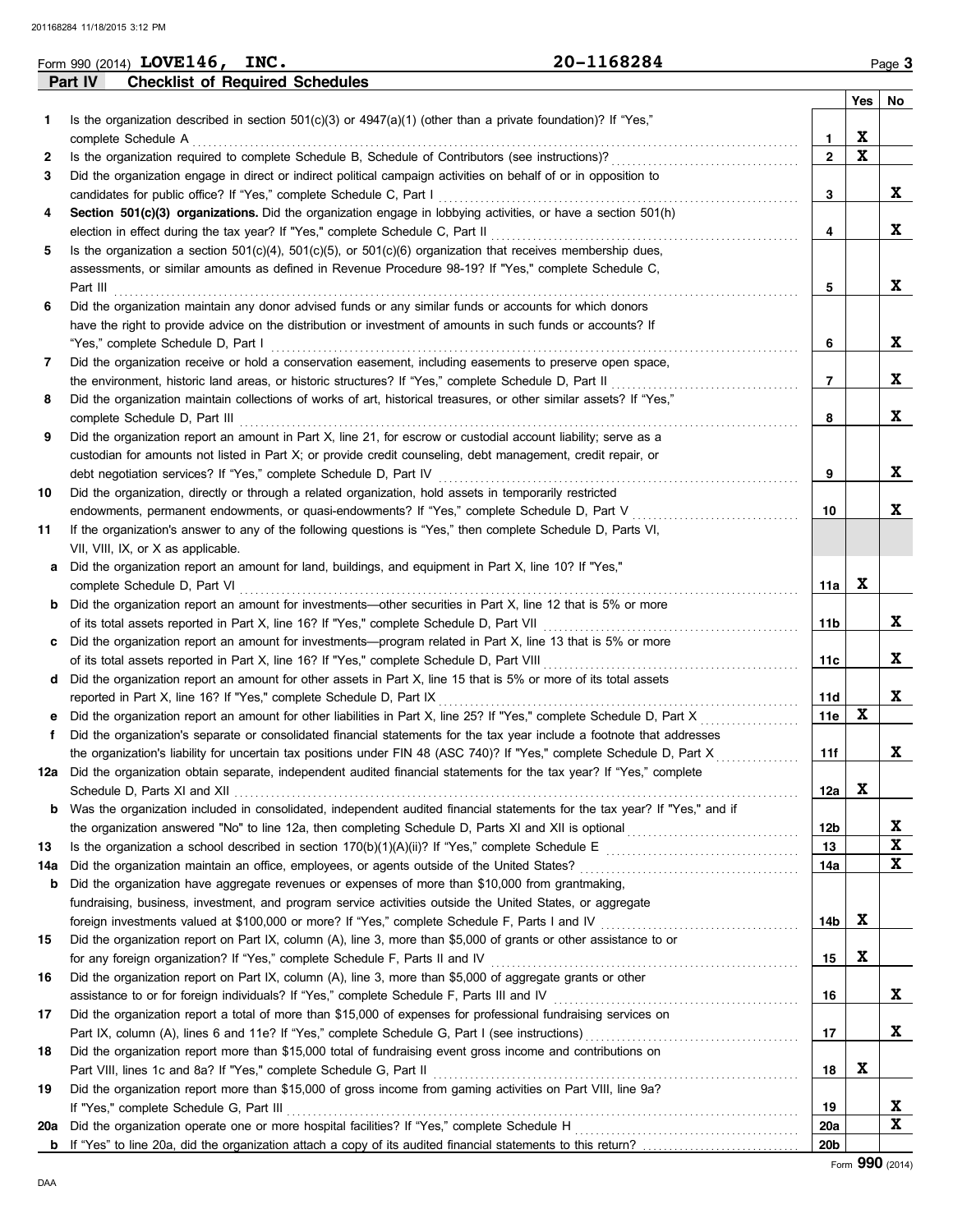|     | 20-1168284<br>Form 990 (2014) LOVE146, INC.                                                                                                                                                                                          |                 |             | Page 3 |
|-----|--------------------------------------------------------------------------------------------------------------------------------------------------------------------------------------------------------------------------------------|-----------------|-------------|--------|
|     | <b>Checklist of Required Schedules</b><br>Part IV                                                                                                                                                                                    |                 |             |        |
|     |                                                                                                                                                                                                                                      |                 | Yes         | No     |
| 1   | Is the organization described in section $501(c)(3)$ or $4947(a)(1)$ (other than a private foundation)? If "Yes,"                                                                                                                    |                 |             |        |
|     | complete Schedule A                                                                                                                                                                                                                  | $\mathbf{1}$    | X           |        |
| 2   |                                                                                                                                                                                                                                      | $\mathbf{2}$    | $\mathbf x$ |        |
| 3   | Did the organization engage in direct or indirect political campaign activities on behalf of or in opposition to                                                                                                                     |                 |             |        |
|     | candidates for public office? If "Yes," complete Schedule C, Part I                                                                                                                                                                  | 3               |             | X      |
| 4   | Section 501(c)(3) organizations. Did the organization engage in lobbying activities, or have a section 501(h)                                                                                                                        |                 |             |        |
|     |                                                                                                                                                                                                                                      | 4               |             | X      |
| 5   | Is the organization a section $501(c)(4)$ , $501(c)(5)$ , or $501(c)(6)$ organization that receives membership dues,                                                                                                                 |                 |             |        |
|     | assessments, or similar amounts as defined in Revenue Procedure 98-19? If "Yes," complete Schedule C,                                                                                                                                |                 |             |        |
|     |                                                                                                                                                                                                                                      | 5               |             | X      |
| 6   | Did the organization maintain any donor advised funds or any similar funds or accounts for which donors                                                                                                                              |                 |             |        |
|     | have the right to provide advice on the distribution or investment of amounts in such funds or accounts? If                                                                                                                          |                 |             |        |
|     |                                                                                                                                                                                                                                      | 6               |             | X      |
| 7   | Did the organization receive or hold a conservation easement, including easements to preserve open space,                                                                                                                            |                 |             | X      |
|     | the environment, historic land areas, or historic structures? If "Yes," complete Schedule D, Part II                                                                                                                                 | 7               |             |        |
| 8   | Did the organization maintain collections of works of art, historical treasures, or other similar assets? If "Yes,"                                                                                                                  | 8               |             | X      |
| 9   | complete Schedule D, Part III <b>Marting Complete Schedule D, Part III Marting Complete Schedule D</b> , Part III<br>Did the organization report an amount in Part X, line 21, for escrow or custodial account liability; serve as a |                 |             |        |
|     | custodian for amounts not listed in Part X; or provide credit counseling, debt management, credit repair, or                                                                                                                         |                 |             |        |
|     |                                                                                                                                                                                                                                      | 9               |             | X      |
| 10  | Did the organization, directly or through a related organization, hold assets in temporarily restricted                                                                                                                              |                 |             |        |
|     | endowments, permanent endowments, or quasi-endowments? If "Yes," complete Schedule D, Part V                                                                                                                                         | 10              |             | X      |
| 11  | If the organization's answer to any of the following questions is "Yes," then complete Schedule D, Parts VI,                                                                                                                         |                 |             |        |
|     | VII, VIII, IX, or X as applicable.                                                                                                                                                                                                   |                 |             |        |
| a   | Did the organization report an amount for land, buildings, and equipment in Part X, line 10? If "Yes,"                                                                                                                               |                 |             |        |
|     | complete Schedule D, Part VI                                                                                                                                                                                                         | 11a             | X           |        |
|     | <b>b</b> Did the organization report an amount for investments—other securities in Part X, line 12 that is 5% or more                                                                                                                |                 |             |        |
|     |                                                                                                                                                                                                                                      | 11b             |             | X      |
|     | c Did the organization report an amount for investments—program related in Part X, line 13 that is 5% or more                                                                                                                        |                 |             |        |
|     |                                                                                                                                                                                                                                      | 11c             |             | X      |
|     | d Did the organization report an amount for other assets in Part X, line 15 that is 5% or more of its total assets                                                                                                                   |                 |             |        |
|     | reported in Part X, line 16? If "Yes," complete Schedule D, Part IX                                                                                                                                                                  | 11d             |             | X      |
|     | Did the organization report an amount for other liabilities in Part X, line 25? If "Yes," complete Schedule D, Part X                                                                                                                | 11e             | $\mathbf x$ |        |
| f   | Did the organization's separate or consolidated financial statements for the tax year include a footnote that addresses                                                                                                              |                 |             |        |
|     | the organization's liability for uncertain tax positions under FIN 48 (ASC 740)? If "Yes," complete Schedule D, Part X                                                                                                               | 11f             |             | X      |
| 12a | Did the organization obtain separate, independent audited financial statements for the tax year? If "Yes," complete                                                                                                                  |                 |             |        |
|     |                                                                                                                                                                                                                                      | 12a             | X           |        |
| b   | Was the organization included in consolidated, independent audited financial statements for the tax year? If "Yes," and if                                                                                                           |                 |             |        |
|     |                                                                                                                                                                                                                                      | 12b             |             | X      |
| 13  |                                                                                                                                                                                                                                      | 13              |             | X      |
| 14a |                                                                                                                                                                                                                                      | 14a             |             | X      |
| b   | Did the organization have aggregate revenues or expenses of more than \$10,000 from grantmaking,                                                                                                                                     |                 |             |        |
|     | fundraising, business, investment, and program service activities outside the United States, or aggregate                                                                                                                            | 14b             | X           |        |
| 15  | Did the organization report on Part IX, column (A), line 3, more than \$5,000 of grants or other assistance to or                                                                                                                    |                 |             |        |
|     | for any foreign organization? If "Yes," complete Schedule F, Parts II and IV                                                                                                                                                         | 15              | X           |        |
| 16  | Did the organization report on Part IX, column (A), line 3, more than \$5,000 of aggregate grants or other                                                                                                                           |                 |             |        |
|     |                                                                                                                                                                                                                                      | 16              |             | X      |
| 17  | Did the organization report a total of more than \$15,000 of expenses for professional fundraising services on                                                                                                                       |                 |             |        |
|     |                                                                                                                                                                                                                                      | 17              |             | X      |
| 18  | Did the organization report more than \$15,000 total of fundraising event gross income and contributions on                                                                                                                          |                 |             |        |
|     | Part VIII, lines 1c and 8a? If "Yes," complete Schedule G, Part II                                                                                                                                                                   | 18              | X           |        |
| 19  | Did the organization report more than \$15,000 of gross income from gaming activities on Part VIII, line 9a?                                                                                                                         |                 |             |        |
|     | If "Yes," complete Schedule G, Part III                                                                                                                                                                                              | 19              |             | X      |
| 20a |                                                                                                                                                                                                                                      | 20a             |             | X      |
| b   |                                                                                                                                                                                                                                      | 20 <sub>b</sub> |             |        |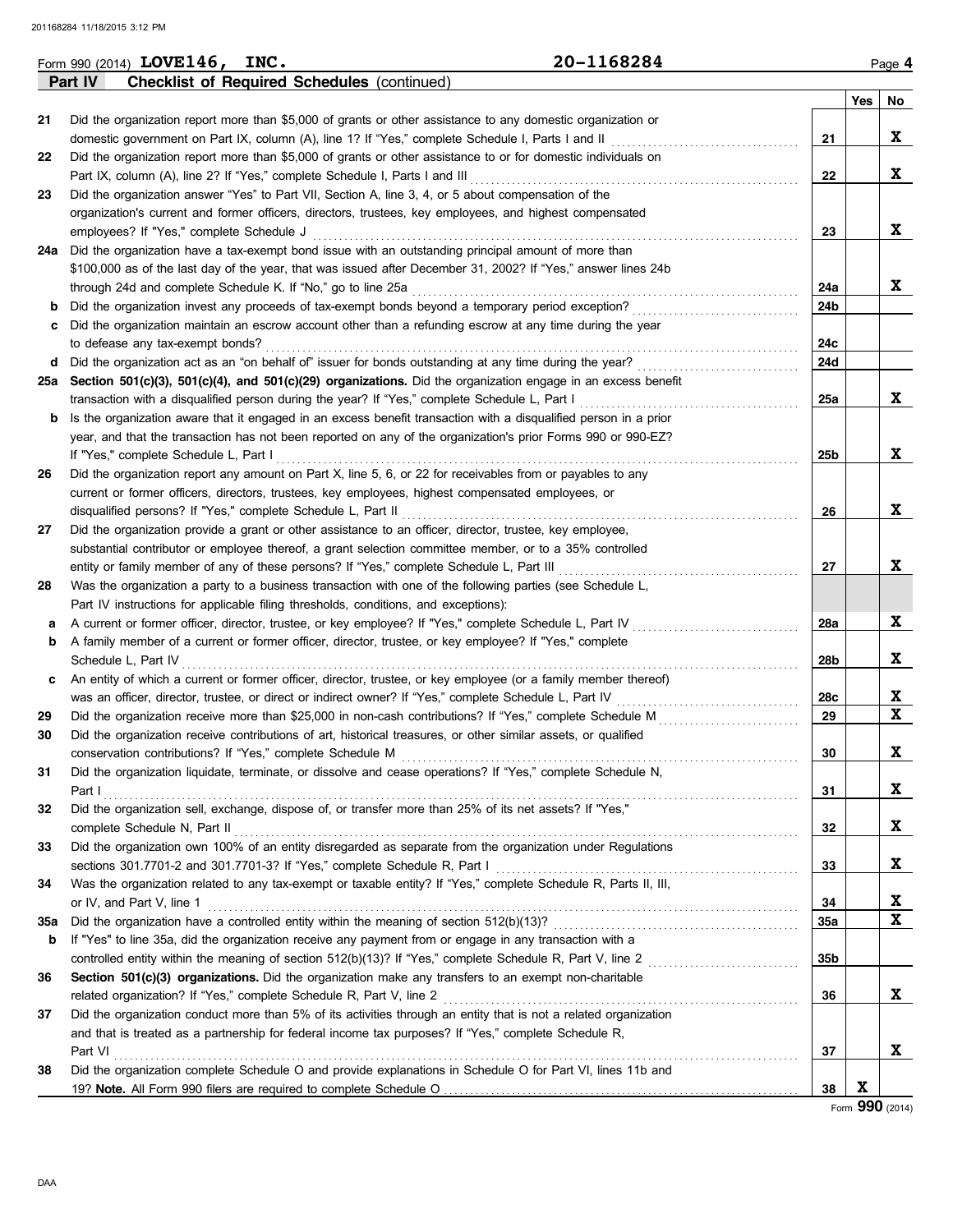|     | Form 990 (2014) $LOVE146$ ,<br>INC.<br>20–1168284                                                                                                                                                                |                 |     | Page 4      |
|-----|------------------------------------------------------------------------------------------------------------------------------------------------------------------------------------------------------------------|-----------------|-----|-------------|
|     | <b>Checklist of Required Schedules (continued)</b><br>Part IV                                                                                                                                                    |                 |     |             |
|     |                                                                                                                                                                                                                  |                 | Yes | No          |
| 21  | Did the organization report more than \$5,000 of grants or other assistance to any domestic organization or<br>domestic government on Part IX, column (A), line 1? If "Yes," complete Schedule I, Parts I and II |                 |     | X           |
|     | Did the organization report more than \$5,000 of grants or other assistance to or for domestic individuals on                                                                                                    | 21              |     |             |
| 22  | Part IX, column (A), line 2? If "Yes," complete Schedule I, Parts I and III                                                                                                                                      | 22              |     | X           |
| 23  | Did the organization answer "Yes" to Part VII, Section A, line 3, 4, or 5 about compensation of the                                                                                                              |                 |     |             |
|     | organization's current and former officers, directors, trustees, key employees, and highest compensated                                                                                                          |                 |     |             |
|     | employees? If "Yes," complete Schedule J                                                                                                                                                                         | 23              |     | X           |
| 24a | Did the organization have a tax-exempt bond issue with an outstanding principal amount of more than                                                                                                              |                 |     |             |
|     | \$100,000 as of the last day of the year, that was issued after December 31, 2002? If "Yes," answer lines 24b                                                                                                    |                 |     |             |
|     | through 24d and complete Schedule K. If "No," go to line 25a                                                                                                                                                     | 24a             |     | X           |
| b   |                                                                                                                                                                                                                  | 24b             |     |             |
| c   | Did the organization maintain an escrow account other than a refunding escrow at any time during the year                                                                                                        |                 |     |             |
|     | to defease any tax-exempt bonds?                                                                                                                                                                                 | 24c             |     |             |
| d   | Did the organization act as an "on behalf of" issuer for bonds outstanding at any time during the year?                                                                                                          | 24d             |     |             |
| 25a | Section 501(c)(3), 501(c)(4), and 501(c)(29) organizations. Did the organization engage in an excess benefit                                                                                                     |                 |     |             |
|     | transaction with a disqualified person during the year? If "Yes," complete Schedule L, Part I                                                                                                                    | 25a             |     | X           |
| b   | Is the organization aware that it engaged in an excess benefit transaction with a disqualified person in a prior                                                                                                 |                 |     |             |
|     | year, and that the transaction has not been reported on any of the organization's prior Forms 990 or 990-EZ?                                                                                                     |                 |     |             |
|     | If "Yes," complete Schedule L, Part I                                                                                                                                                                            | 25 <sub>b</sub> |     | X           |
| 26  | Did the organization report any amount on Part X, line 5, 6, or 22 for receivables from or payables to any                                                                                                       |                 |     |             |
|     | current or former officers, directors, trustees, key employees, highest compensated employees, or                                                                                                                |                 |     |             |
|     | disqualified persons? If "Yes," complete Schedule L, Part II                                                                                                                                                     | 26              |     | X           |
| 27  | Did the organization provide a grant or other assistance to an officer, director, trustee, key employee,                                                                                                         |                 |     |             |
|     | substantial contributor or employee thereof, a grant selection committee member, or to a 35% controlled                                                                                                          |                 |     |             |
|     | entity or family member of any of these persons? If "Yes," complete Schedule L, Part III                                                                                                                         | 27              |     | X           |
| 28  | Was the organization a party to a business transaction with one of the following parties (see Schedule L,                                                                                                        |                 |     |             |
|     | Part IV instructions for applicable filing thresholds, conditions, and exceptions):                                                                                                                              |                 |     |             |
| а   | A current or former officer, director, trustee, or key employee? If "Yes," complete Schedule L, Part IV                                                                                                          | 28a             |     | X           |
| b   | A family member of a current or former officer, director, trustee, or key employee? If "Yes," complete                                                                                                           |                 |     |             |
|     | Schedule L, Part IV                                                                                                                                                                                              | 28b             |     | X           |
| c   | An entity of which a current or former officer, director, trustee, or key employee (or a family member thereof)                                                                                                  |                 |     |             |
|     | was an officer, director, trustee, or direct or indirect owner? If "Yes," complete Schedule L, Part IV                                                                                                           | 28c             |     | X           |
| 29  | Did the organization receive more than \$25,000 in non-cash contributions? If "Yes," complete Schedule M                                                                                                         | 29              |     | $\mathbf x$ |
| 30  | Did the organization receive contributions of art, historical treasures, or other similar assets, or qualified                                                                                                   |                 |     |             |
|     | conservation contributions? If "Yes," complete Schedule M                                                                                                                                                        | 30              |     | X           |
| 31  | Did the organization liquidate, terminate, or dissolve and cease operations? If "Yes," complete Schedule N,                                                                                                      |                 |     |             |
|     | Part I                                                                                                                                                                                                           | 31              |     | X           |
| 32  | Did the organization sell, exchange, dispose of, or transfer more than 25% of its net assets? If "Yes,"                                                                                                          |                 |     |             |
|     | complete Schedule N, Part II Matter and Allen and Allen and Allen and Allen and Allen and Allen and Allen and A                                                                                                  | 32              |     | X           |
| 33  | Did the organization own 100% of an entity disregarded as separate from the organization under Regulations                                                                                                       |                 |     |             |
|     |                                                                                                                                                                                                                  | 33              |     | X           |
| 34  | Was the organization related to any tax-exempt or taxable entity? If "Yes," complete Schedule R, Parts II, III,                                                                                                  |                 |     |             |
|     | or IV, and Part V, line 1                                                                                                                                                                                        | 34              |     | X           |
| 35a |                                                                                                                                                                                                                  | 35a             |     | X           |
| b   | If "Yes" to line 35a, did the organization receive any payment from or engage in any transaction with a                                                                                                          |                 |     |             |
|     |                                                                                                                                                                                                                  | 35 <sub>b</sub> |     |             |
| 36  | Section 501(c)(3) organizations. Did the organization make any transfers to an exempt non-charitable                                                                                                             |                 |     |             |
|     |                                                                                                                                                                                                                  | 36              |     | X           |
| 37  | Did the organization conduct more than 5% of its activities through an entity that is not a related organization                                                                                                 |                 |     |             |
|     | and that is treated as a partnership for federal income tax purposes? If "Yes," complete Schedule R,                                                                                                             |                 |     |             |
|     |                                                                                                                                                                                                                  | 37              |     | X           |
| 38  | Did the organization complete Schedule O and provide explanations in Schedule O for Part VI, lines 11b and                                                                                                       |                 |     |             |
|     |                                                                                                                                                                                                                  | 38              | X   |             |

**LOVE146, INC. 20-1168284**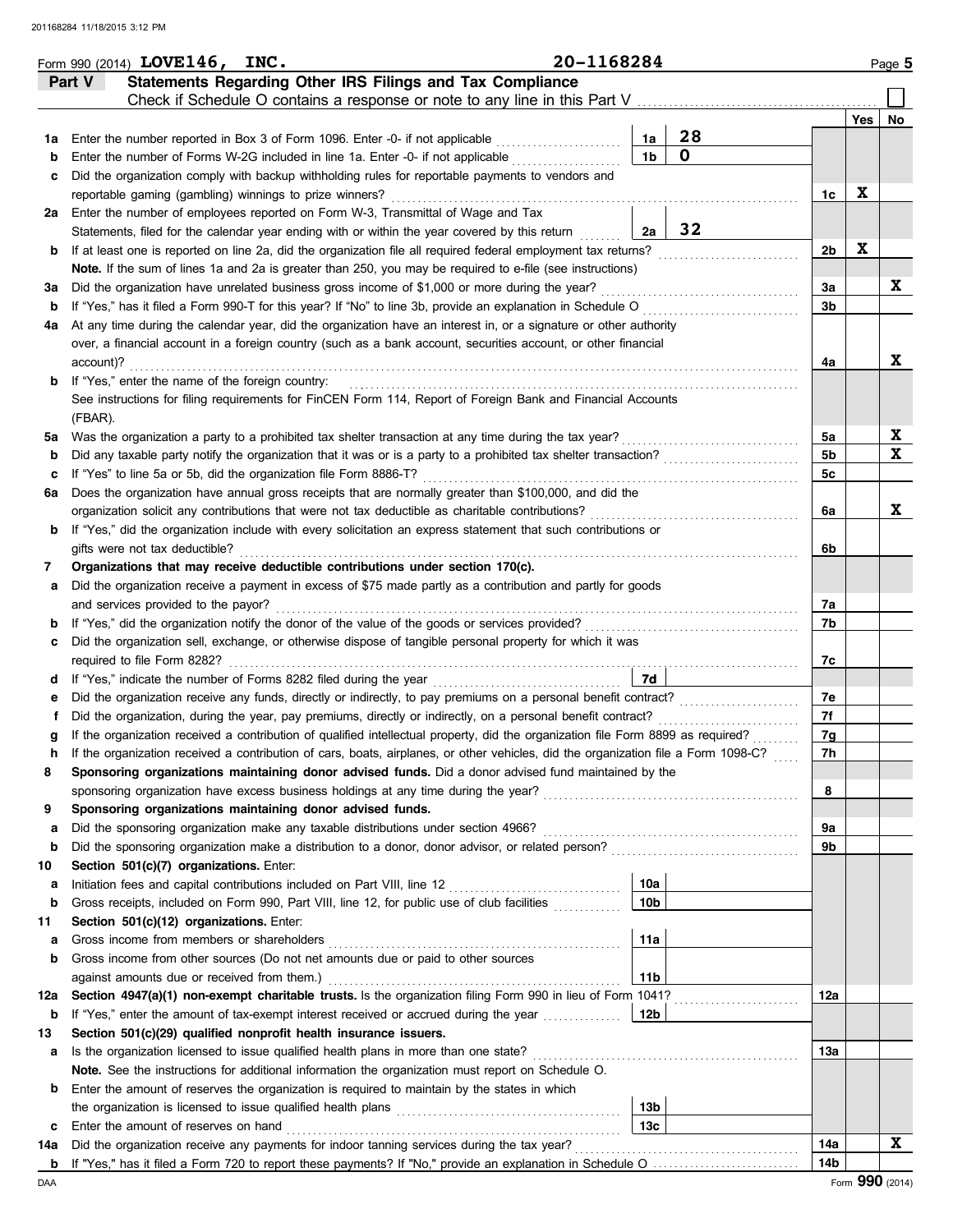|          | Form 990 (2014) LOVE146, INC.                                                                                                                                                    | 20-1168284 |                      |             |                |     | Page 5      |
|----------|----------------------------------------------------------------------------------------------------------------------------------------------------------------------------------|------------|----------------------|-------------|----------------|-----|-------------|
|          | Statements Regarding Other IRS Filings and Tax Compliance<br>Part V                                                                                                              |            |                      |             |                |     |             |
|          | Check if Schedule O contains a response or note to any line in this Part V                                                                                                       |            |                      |             |                |     |             |
|          |                                                                                                                                                                                  |            |                      | 28          |                | Yes | <b>No</b>   |
| 1a       | Enter the number reported in Box 3 of Form 1096. Enter -0- if not applicable                                                                                                     |            | 1a<br>1 <sub>b</sub> | $\mathbf 0$ |                |     |             |
| b        | Enter the number of Forms W-2G included in line 1a. Enter -0- if not applicable                                                                                                  |            |                      |             |                |     |             |
| с        | Did the organization comply with backup withholding rules for reportable payments to vendors and                                                                                 |            |                      |             |                | X   |             |
|          | reportable gaming (gambling) winnings to prize winners?                                                                                                                          |            |                      |             | 1c             |     |             |
| 2a       | Enter the number of employees reported on Form W-3, Transmittal of Wage and Tax<br>Statements, filed for the calendar year ending with or within the year covered by this return |            | 2a                   | 32          |                |     |             |
| b        | If at least one is reported on line 2a, did the organization file all required federal employment tax returns?                                                                   |            |                      |             | 2b             | X   |             |
|          | Note. If the sum of lines 1a and 2a is greater than 250, you may be required to e-file (see instructions)                                                                        |            |                      |             |                |     |             |
| За       | Did the organization have unrelated business gross income of \$1,000 or more during the year?                                                                                    |            |                      |             | За             |     | X           |
| b        | If "Yes," has it filed a Form 990-T for this year? If "No" to line 3b, provide an explanation in Schedule O                                                                      |            |                      |             | 3b             |     |             |
| 4a       | At any time during the calendar year, did the organization have an interest in, or a signature or other authority                                                                |            |                      |             |                |     |             |
|          | over, a financial account in a foreign country (such as a bank account, securities account, or other financial                                                                   |            |                      |             |                |     |             |
|          | account)?                                                                                                                                                                        |            |                      |             | 4a             |     | X           |
| b        | If "Yes," enter the name of the foreign country:                                                                                                                                 |            |                      |             |                |     |             |
|          | See instructions for filing requirements for FinCEN Form 114, Report of Foreign Bank and Financial Accounts                                                                      |            |                      |             |                |     |             |
|          | (FBAR).                                                                                                                                                                          |            |                      |             |                |     |             |
| 5а       | Was the organization a party to a prohibited tax shelter transaction at any time during the tax year?                                                                            |            |                      |             | 5a             |     | X           |
| b        | Did any taxable party notify the organization that it was or is a party to a prohibited tax shelter transaction?                                                                 |            |                      |             | 5 <sub>b</sub> |     | $\mathbf x$ |
| с        | If "Yes" to line 5a or 5b, did the organization file Form 8886-T?                                                                                                                |            |                      |             | 5c             |     |             |
| 6а       | Does the organization have annual gross receipts that are normally greater than \$100,000, and did the                                                                           |            |                      |             |                |     |             |
|          | organization solicit any contributions that were not tax deductible as charitable contributions?                                                                                 |            |                      |             | 6а             |     | X           |
| b        | If "Yes," did the organization include with every solicitation an express statement that such contributions or                                                                   |            |                      |             |                |     |             |
|          | gifts were not tax deductible?                                                                                                                                                   |            |                      |             | 6b             |     |             |
| 7        | Organizations that may receive deductible contributions under section 170(c).                                                                                                    |            |                      |             |                |     |             |
| а        | Did the organization receive a payment in excess of \$75 made partly as a contribution and partly for goods                                                                      |            |                      |             |                |     |             |
|          | and services provided to the payor?                                                                                                                                              |            |                      |             | 7а             |     |             |
| b        | If "Yes," did the organization notify the donor of the value of the goods or services provided?                                                                                  |            |                      |             | 7b             |     |             |
| с        | Did the organization sell, exchange, or otherwise dispose of tangible personal property for which it was                                                                         |            |                      |             |                |     |             |
|          | required to file Form 8282?                                                                                                                                                      |            |                      |             | 7с             |     |             |
| d        | If "Yes," indicate the number of Forms 8282 filed during the year                                                                                                                |            | 7d                   |             |                |     |             |
| е        | Did the organization receive any funds, directly or indirectly, to pay premiums on a personal benefit contract?                                                                  |            |                      |             | 7е             |     |             |
|          | Did the organization, during the year, pay premiums, directly or indirectly, on a personal benefit contract?                                                                     |            |                      |             | 7f             |     |             |
|          | If the organization received a contribution of qualified intellectual property, did the organization file Form 8899 as required?                                                 |            |                      |             | 7g             |     |             |
|          | If the organization received a contribution of cars, boats, airplanes, or other vehicles, did the organization file a Form 1098-C?                                               |            |                      |             | 7h             |     |             |
| 8        | Sponsoring organizations maintaining donor advised funds. Did a donor advised fund maintained by the                                                                             |            |                      |             |                |     |             |
|          | sponsoring organization have excess business holdings at any time during the year?                                                                                               |            |                      |             | 8              |     |             |
| 9        | Sponsoring organizations maintaining donor advised funds.                                                                                                                        |            |                      |             |                |     |             |
| а        | Did the sponsoring organization make any taxable distributions under section 4966?                                                                                               |            |                      |             | 9а             |     |             |
| b        | Did the sponsoring organization make a distribution to a donor, donor advisor, or related person?                                                                                |            |                      |             | 9b             |     |             |
| 10       | Section 501(c)(7) organizations. Enter:                                                                                                                                          |            |                      |             |                |     |             |
| а        | Initiation fees and capital contributions included on Part VIII, line 12                                                                                                         |            | 10a                  |             |                |     |             |
| b        | Gross receipts, included on Form 990, Part VIII, line 12, for public use of club facilities                                                                                      |            | 10b                  |             |                |     |             |
| 11       | Section 501(c)(12) organizations. Enter:                                                                                                                                         |            |                      |             |                |     |             |
| а        | Gross income from members or shareholders<br>Gross income from other sources (Do not net amounts due or paid to other sources                                                    |            | 11a                  |             |                |     |             |
| b        | against amounts due or received from them.)                                                                                                                                      |            | 11 <sub>b</sub>      |             |                |     |             |
|          | Section 4947(a)(1) non-exempt charitable trusts. Is the organization filing Form 990 in lieu of Form 1041?                                                                       |            |                      |             | 12a            |     |             |
| 12a<br>b | If "Yes," enter the amount of tax-exempt interest received or accrued during the year                                                                                            |            | 12b                  |             |                |     |             |
| 13       | Section 501(c)(29) qualified nonprofit health insurance issuers.                                                                                                                 |            |                      |             |                |     |             |
| а        | Is the organization licensed to issue qualified health plans in more than one state?                                                                                             |            |                      |             | 13а            |     |             |
|          | Note. See the instructions for additional information the organization must report on Schedule O.                                                                                |            |                      |             |                |     |             |
| b        | Enter the amount of reserves the organization is required to maintain by the states in which                                                                                     |            |                      |             |                |     |             |
|          |                                                                                                                                                                                  |            | 13b                  |             |                |     |             |
| c        | Enter the amount of reserves on hand                                                                                                                                             |            | 13c                  |             |                |     |             |
| 14a      | Did the organization receive any payments for indoor tanning services during the tax year?                                                                                       |            |                      |             | 14a            |     | X           |
|          | <b>b</b> If "Yes," has it filed a Form 720 to report these payments? If "No," provide an explanation in Schedule O                                                               |            |                      |             | 14b            |     |             |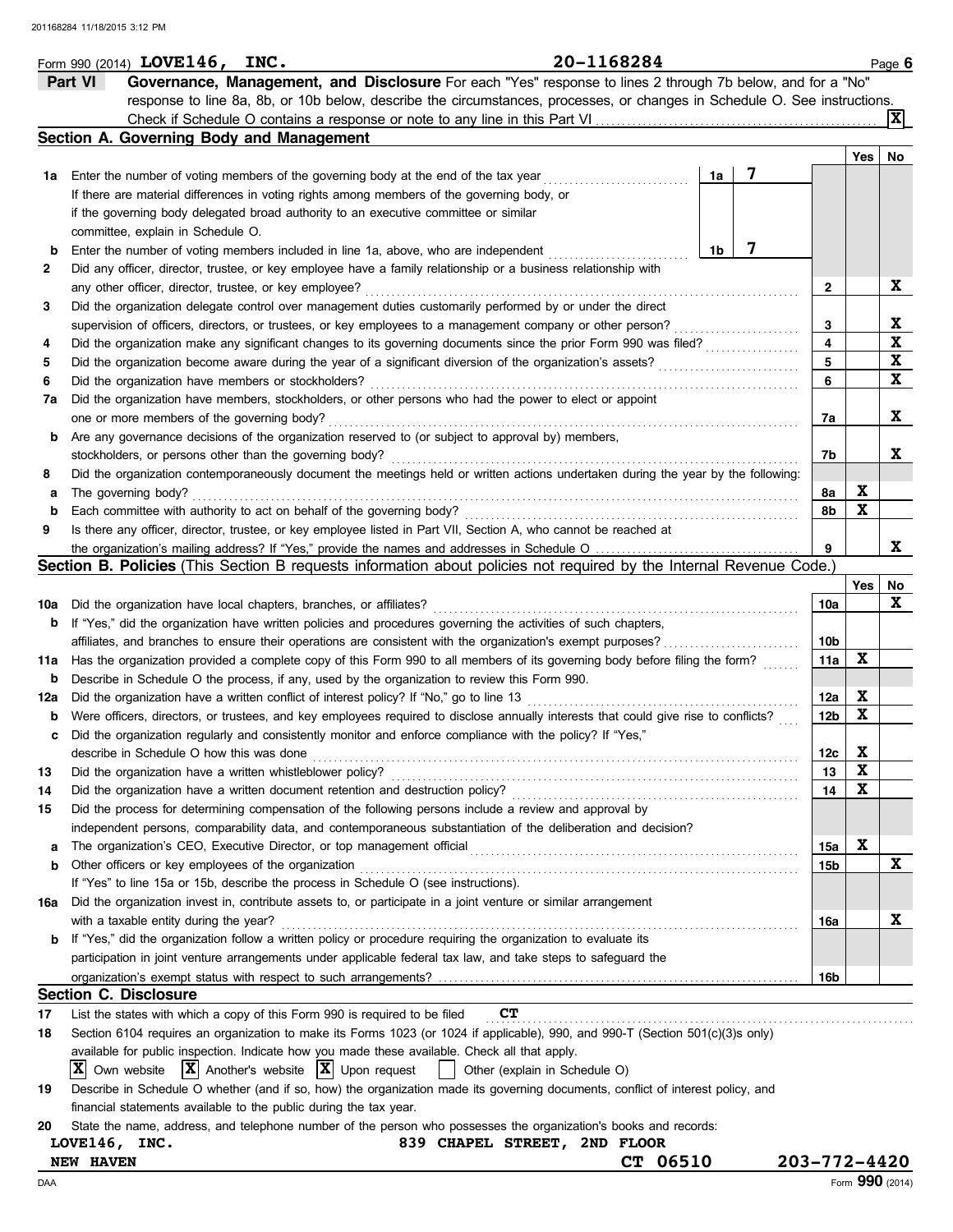|     | Form 990 (2014) LOVE146, INC.                                                                                                                                                                                                                    | 20-1168284 |    |                        |     | Page 6          |
|-----|--------------------------------------------------------------------------------------------------------------------------------------------------------------------------------------------------------------------------------------------------|------------|----|------------------------|-----|-----------------|
|     | Governance, Management, and Disclosure For each "Yes" response to lines 2 through 7b below, and for a "No"<br>Part VI                                                                                                                            |            |    |                        |     |                 |
|     | response to line 8a, 8b, or 10b below, describe the circumstances, processes, or changes in Schedule O. See instructions.                                                                                                                        |            |    |                        |     |                 |
|     |                                                                                                                                                                                                                                                  |            |    |                        |     | $ {\bf x} $     |
|     | Section A. Governing Body and Management                                                                                                                                                                                                         |            |    |                        |     |                 |
|     |                                                                                                                                                                                                                                                  |            |    |                        | Yes | No              |
| 1a  | Enter the number of voting members of the governing body at the end of the tax year                                                                                                                                                              |            | 1a |                        |     |                 |
|     | If there are material differences in voting rights among members of the governing body, or                                                                                                                                                       |            |    |                        |     |                 |
|     | if the governing body delegated broad authority to an executive committee or similar                                                                                                                                                             |            |    |                        |     |                 |
|     | committee, explain in Schedule O.                                                                                                                                                                                                                |            |    |                        |     |                 |
| b   | Enter the number of voting members included in line 1a, above, who are independent                                                                                                                                                               |            | 1b |                        |     |                 |
| 2   | Did any officer, director, trustee, or key employee have a family relationship or a business relationship with                                                                                                                                   |            |    |                        |     |                 |
|     | any other officer, director, trustee, or key employee?                                                                                                                                                                                           |            |    | 2                      |     | X               |
| 3   | Did the organization delegate control over management duties customarily performed by or under the direct                                                                                                                                        |            |    |                        |     |                 |
|     | supervision of officers, directors, or trustees, or key employees to a management company or other person?                                                                                                                                       |            |    | 3                      |     | X               |
| 4   | Did the organization make any significant changes to its governing documents since the prior Form 990 was filed?                                                                                                                                 |            |    | 4                      |     | $\mathbf x$     |
| 5   | Did the organization become aware during the year of a significant diversion of the organization's assets?                                                                                                                                       |            |    | 5                      |     | X               |
| 6   | Did the organization have members or stockholders?                                                                                                                                                                                               |            |    | 6                      |     | X               |
| 7a  | Did the organization have members, stockholders, or other persons who had the power to elect or appoint                                                                                                                                          |            |    |                        |     |                 |
|     | one or more members of the governing body?                                                                                                                                                                                                       |            |    | 7a                     |     | x               |
| b   | Are any governance decisions of the organization reserved to (or subject to approval by) members,                                                                                                                                                |            |    |                        |     |                 |
|     | stockholders, or persons other than the governing body?                                                                                                                                                                                          |            |    | 7b                     |     | X.              |
| 8   | Did the organization contemporaneously document the meetings held or written actions undertaken during the year by the following:                                                                                                                |            |    |                        |     |                 |
| а   | The governing body?                                                                                                                                                                                                                              |            |    | 8а                     | X   |                 |
| b   | Each committee with authority to act on behalf of the governing body?                                                                                                                                                                            |            |    | 8b                     | X   |                 |
| 9   | Is there any officer, director, trustee, or key employee listed in Part VII, Section A, who cannot be reached at                                                                                                                                 |            |    |                        |     |                 |
|     |                                                                                                                                                                                                                                                  |            |    | 9                      |     | X.              |
|     | Section B. Policies (This Section B requests information about policies not required by the Internal Revenue Code.)                                                                                                                              |            |    |                        |     |                 |
|     |                                                                                                                                                                                                                                                  |            |    |                        | Yes | No              |
| 10a | Did the organization have local chapters, branches, or affiliates?                                                                                                                                                                               |            |    | 10a                    |     | X               |
| b   | If "Yes," did the organization have written policies and procedures governing the activities of such chapters,                                                                                                                                   |            |    |                        |     |                 |
|     | affiliates, and branches to ensure their operations are consistent with the organization's exempt purposes?                                                                                                                                      |            |    | 10b                    |     |                 |
| 11а | Has the organization provided a complete copy of this Form 990 to all members of its governing body before filing the form?                                                                                                                      |            |    | 11a                    | X   |                 |
| b   | Describe in Schedule O the process, if any, used by the organization to review this Form 990.                                                                                                                                                    |            |    |                        | X   |                 |
| 12a | Did the organization have a written conflict of interest policy? If "No," go to line 13                                                                                                                                                          |            |    | 12a<br>12 <sub>b</sub> | X   |                 |
| b   | Were officers, directors, or trustees, and key employees required to disclose annually interests that could give rise to conflicts?<br>Did the organization regularly and consistently monitor and enforce compliance with the policy? If "Yes," |            |    |                        |     |                 |
| c   | describe in Schedule O how this was done                                                                                                                                                                                                         |            |    |                        | X   |                 |
| 13  | Did the organization have a written whistleblower policy?                                                                                                                                                                                        |            |    | 12c<br>13              | X   |                 |
| 14  | Did the organization have a written document retention and destruction policy?                                                                                                                                                                   |            |    | 14                     | X   |                 |
| 15  | Did the process for determining compensation of the following persons include a review and approval by                                                                                                                                           |            |    |                        |     |                 |
|     | independent persons, comparability data, and contemporaneous substantiation of the deliberation and decision?                                                                                                                                    |            |    |                        |     |                 |
| а   |                                                                                                                                                                                                                                                  |            |    | 15a                    | X   |                 |
| b   | Other officers or key employees of the organization                                                                                                                                                                                              |            |    | 15b                    |     | X               |
|     | If "Yes" to line 15a or 15b, describe the process in Schedule O (see instructions).                                                                                                                                                              |            |    |                        |     |                 |
| 16a | Did the organization invest in, contribute assets to, or participate in a joint venture or similar arrangement                                                                                                                                   |            |    |                        |     |                 |
|     | with a taxable entity during the year?                                                                                                                                                                                                           |            |    | 16a                    |     | X               |
| b   | If "Yes," did the organization follow a written policy or procedure requiring the organization to evaluate its                                                                                                                                   |            |    |                        |     |                 |
|     | participation in joint venture arrangements under applicable federal tax law, and take steps to safeguard the                                                                                                                                    |            |    |                        |     |                 |
|     |                                                                                                                                                                                                                                                  |            |    | 16b                    |     |                 |
|     | <b>Section C. Disclosure</b>                                                                                                                                                                                                                     |            |    |                        |     |                 |
| 17  | <b>CT</b><br>List the states with which a copy of this Form 990 is required to be filed                                                                                                                                                          |            |    |                        |     |                 |
| 18  | Section 6104 requires an organization to make its Forms 1023 (or 1024 if applicable), 990, and 990-T (Section 501(c)(3)s only)                                                                                                                   |            |    |                        |     |                 |
|     | available for public inspection. Indicate how you made these available. Check all that apply.                                                                                                                                                    |            |    |                        |     |                 |
|     | $ \mathbf{X} $ Another's website $ \mathbf{X} $ Upon request<br>$ X $ Own website<br>Other (explain in Schedule O)                                                                                                                               |            |    |                        |     |                 |
| 19  | Describe in Schedule O whether (and if so, how) the organization made its governing documents, conflict of interest policy, and                                                                                                                  |            |    |                        |     |                 |
|     | financial statements available to the public during the tax year.                                                                                                                                                                                |            |    |                        |     |                 |
| 20  | State the name, address, and telephone number of the person who possesses the organization's books and records:                                                                                                                                  |            |    |                        |     |                 |
|     | LOVE146, INC.<br>839 CHAPEL STREET, 2ND FLOOR                                                                                                                                                                                                    |            |    |                        |     |                 |
|     | <b>NEW HAVEN</b>                                                                                                                                                                                                                                 | CT 06510   |    | 203-772-4420           |     |                 |
| DAA |                                                                                                                                                                                                                                                  |            |    |                        |     | Form 990 (2014) |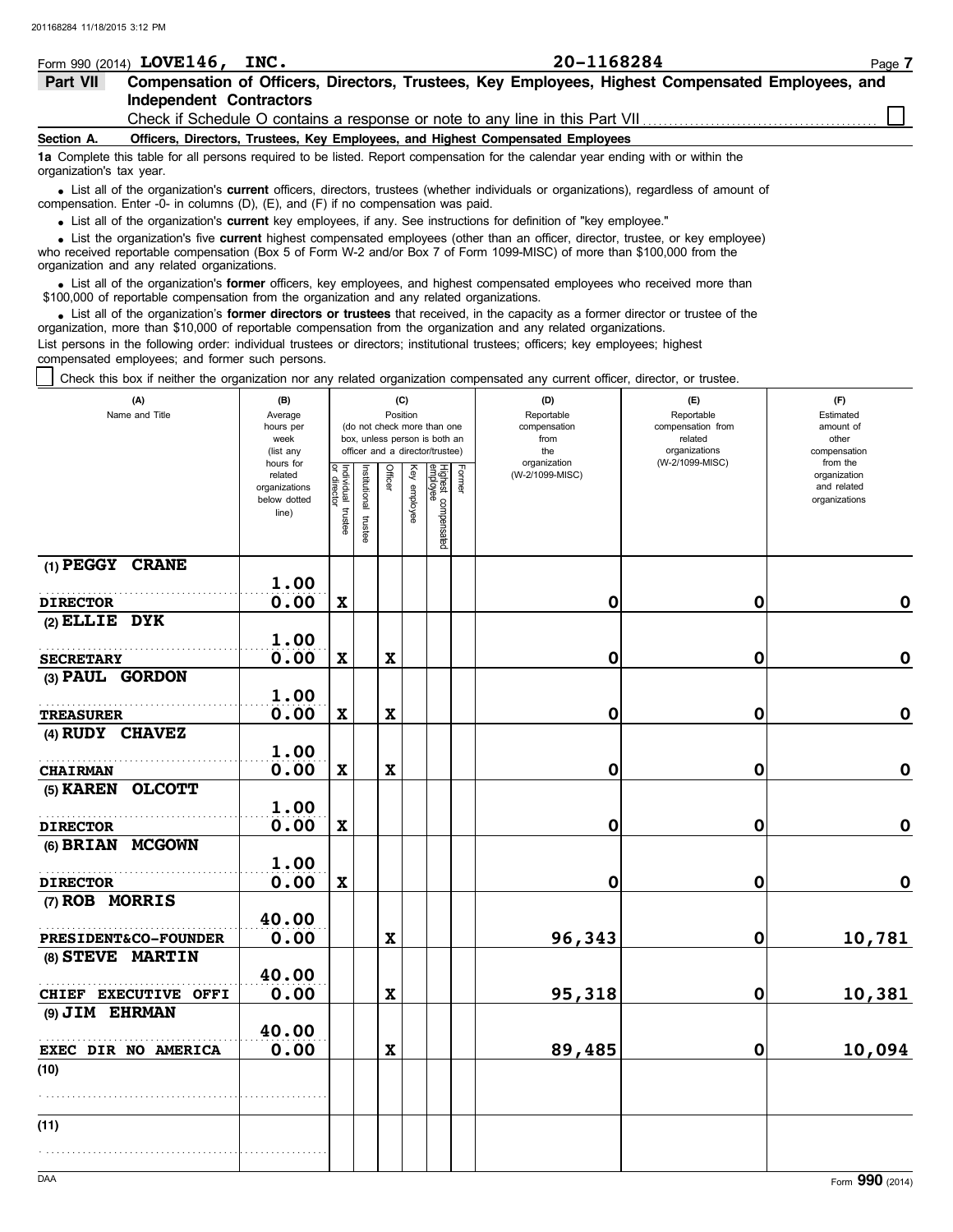|                          | Form 990 (2014) $LOVE146$ ,<br>INC.                                               | 20-1168284                                                                                                                                                                                                                                                  | Page 7 |
|--------------------------|-----------------------------------------------------------------------------------|-------------------------------------------------------------------------------------------------------------------------------------------------------------------------------------------------------------------------------------------------------------|--------|
| Part VII                 |                                                                                   | Compensation of Officers, Directors, Trustees, Key Employees, Highest Compensated Employees, and                                                                                                                                                            |        |
|                          | <b>Independent Contractors</b>                                                    |                                                                                                                                                                                                                                                             |        |
|                          |                                                                                   | Check if Schedule O contains a response or note to any line in this Part VII                                                                                                                                                                                |        |
| Section A.               |                                                                                   | Officers, Directors, Trustees, Key Employees, and Highest Compensated Employees                                                                                                                                                                             |        |
| organization's tax year. |                                                                                   | 1a Complete this table for all persons required to be listed. Report compensation for the calendar year ending with or within the                                                                                                                           |        |
|                          | compensation. Enter -0- in columns (D), (E), and (F) if no compensation was paid. | • List all of the organization's current officers, directors, trustees (whether individuals or organizations), regardless of amount of                                                                                                                      |        |
|                          |                                                                                   | • List all of the organization's current key employees, if any. See instructions for definition of "key employee."                                                                                                                                          |        |
|                          |                                                                                   | • List the organization's five current highest compensated employees (other than an officer, director, trustee, or key employee)<br>who received reportable compensation (Box 5 of Form W-2 and/or Box 7 of Form 1099-MISC) of more than \$100,000 from the |        |

organization and any related organizations.

• List all of the organization's **former** officers, key employees, and highest compensated employees who received more than<br>00,000 of reportable compensation from the organization and any related organizations \$100,000 of reportable compensation from the organization and any related organizations.

• List all of the organization's **former directors or trustees** that received, in the capacity as a former director or trustee of the principle companisation from the organization and any related organizations organization, more than \$10,000 of reportable compensation from the organization and any related organizations. List persons in the following order: individual trustees or directors; institutional trustees; officers; key employees; highest compensated employees; and former such persons.

Check this box if neither the organization nor any related organization compensated any current officer, director, or trustee.

| (A)<br>Name and Title           | (B)<br>Average<br>hours per<br>week<br>(list any<br>hours for |                                   |                      | Position                  | (C)          | (do not check more than one<br>box, unless person is both an<br>officer and a director/trustee) |        | (D)<br>Reportable<br>compensation<br>from<br>the<br>organization | (E)<br>Reportable<br>compensation from<br>related<br>organizations<br>(W-2/1099-MISC) | (F)<br>Estimated<br>amount of<br>other<br>compensation<br>from the |
|---------------------------------|---------------------------------------------------------------|-----------------------------------|----------------------|---------------------------|--------------|-------------------------------------------------------------------------------------------------|--------|------------------------------------------------------------------|---------------------------------------------------------------------------------------|--------------------------------------------------------------------|
|                                 | related<br>organizations<br>below dotted<br>line)             | Individual trustee<br>or director | nstitutional trustee | Officer                   | Key employee | Highest compensated<br> employee                                                                | Former | (W-2/1099-MISC)                                                  |                                                                                       | organization<br>and related<br>organizations                       |
| (1) PEGGY CRANE                 | 1.00                                                          |                                   |                      |                           |              |                                                                                                 |        |                                                                  |                                                                                       |                                                                    |
| <b>DIRECTOR</b>                 | 0.00                                                          | $\mathbf x$                       |                      |                           |              |                                                                                                 |        | 0                                                                | 0                                                                                     | $\mathbf 0$                                                        |
| $(2)$ ELLIE DYK                 | 1.00                                                          |                                   |                      |                           |              |                                                                                                 |        |                                                                  |                                                                                       |                                                                    |
| <b>SECRETARY</b>                | 0.00                                                          | $\boldsymbol{\mathrm{X}}$         |                      | $\boldsymbol{\mathrm{X}}$ |              |                                                                                                 |        | 0                                                                | 0                                                                                     | $\mathbf 0$                                                        |
| (3) PAUL GORDON                 |                                                               |                                   |                      |                           |              |                                                                                                 |        |                                                                  |                                                                                       |                                                                    |
|                                 | 1.00                                                          |                                   |                      |                           |              |                                                                                                 |        |                                                                  |                                                                                       |                                                                    |
| <b>TREASURER</b>                | 0.00                                                          | $\mathbf x$                       |                      | $\mathbf x$               |              |                                                                                                 |        | 0                                                                | 0                                                                                     | $\mathbf 0$                                                        |
| (4) RUDY CHAVEZ                 |                                                               |                                   |                      |                           |              |                                                                                                 |        |                                                                  |                                                                                       |                                                                    |
|                                 | 1.00                                                          |                                   |                      |                           |              |                                                                                                 |        |                                                                  |                                                                                       |                                                                    |
| <b>CHAIRMAN</b>                 | 0.00                                                          | $\mathbf x$                       |                      | $\mathbf x$               |              |                                                                                                 |        | 0                                                                | 0                                                                                     | $\mathbf 0$                                                        |
| (5) KAREN OLCOTT                |                                                               |                                   |                      |                           |              |                                                                                                 |        |                                                                  |                                                                                       |                                                                    |
|                                 | 1.00                                                          |                                   |                      |                           |              |                                                                                                 |        |                                                                  |                                                                                       |                                                                    |
| <b>DIRECTOR</b>                 | 0.00                                                          | $\boldsymbol{\mathrm{X}}$         |                      |                           |              |                                                                                                 |        | 0                                                                | 0                                                                                     | $\mathbf 0$                                                        |
| (6) BRIAN MCGOWN                |                                                               |                                   |                      |                           |              |                                                                                                 |        |                                                                  |                                                                                       |                                                                    |
|                                 | 1.00                                                          |                                   |                      |                           |              |                                                                                                 |        |                                                                  |                                                                                       |                                                                    |
| <b>DIRECTOR</b>                 | 0.00                                                          | $\mathbf x$                       |                      |                           |              |                                                                                                 |        | 0                                                                | 0                                                                                     | $\mathbf 0$                                                        |
| (7) ROB MORRIS                  |                                                               |                                   |                      |                           |              |                                                                                                 |        |                                                                  |                                                                                       |                                                                    |
|                                 | 40.00                                                         |                                   |                      |                           |              |                                                                                                 |        |                                                                  |                                                                                       |                                                                    |
| <b>PRESIDENT&amp;CO-FOUNDER</b> | 0.00                                                          |                                   |                      | $\mathbf x$               |              |                                                                                                 |        | 96,343                                                           | $\mathbf 0$                                                                           | 10,781                                                             |
| (8) STEVE MARTIN                |                                                               |                                   |                      |                           |              |                                                                                                 |        |                                                                  |                                                                                       |                                                                    |
|                                 | 40.00                                                         |                                   |                      |                           |              |                                                                                                 |        |                                                                  |                                                                                       |                                                                    |
| CHIEF EXECUTIVE OFFI            | 0.00                                                          |                                   |                      | $\mathbf x$               |              |                                                                                                 |        | 95,318                                                           | 0                                                                                     | 10,381                                                             |
| (9) JIM EHRMAN                  |                                                               |                                   |                      |                           |              |                                                                                                 |        |                                                                  |                                                                                       |                                                                    |
|                                 | 40.00                                                         |                                   |                      |                           |              |                                                                                                 |        |                                                                  |                                                                                       |                                                                    |
| EXEC DIR NO AMERICA             | 0.00                                                          |                                   |                      | $\mathbf x$               |              |                                                                                                 |        | 89,485                                                           | $\mathbf 0$                                                                           | 10,094                                                             |
| (10)                            |                                                               |                                   |                      |                           |              |                                                                                                 |        |                                                                  |                                                                                       |                                                                    |
|                                 |                                                               |                                   |                      |                           |              |                                                                                                 |        |                                                                  |                                                                                       |                                                                    |
| (11)                            |                                                               |                                   |                      |                           |              |                                                                                                 |        |                                                                  |                                                                                       |                                                                    |
|                                 |                                                               |                                   |                      |                           |              |                                                                                                 |        |                                                                  |                                                                                       |                                                                    |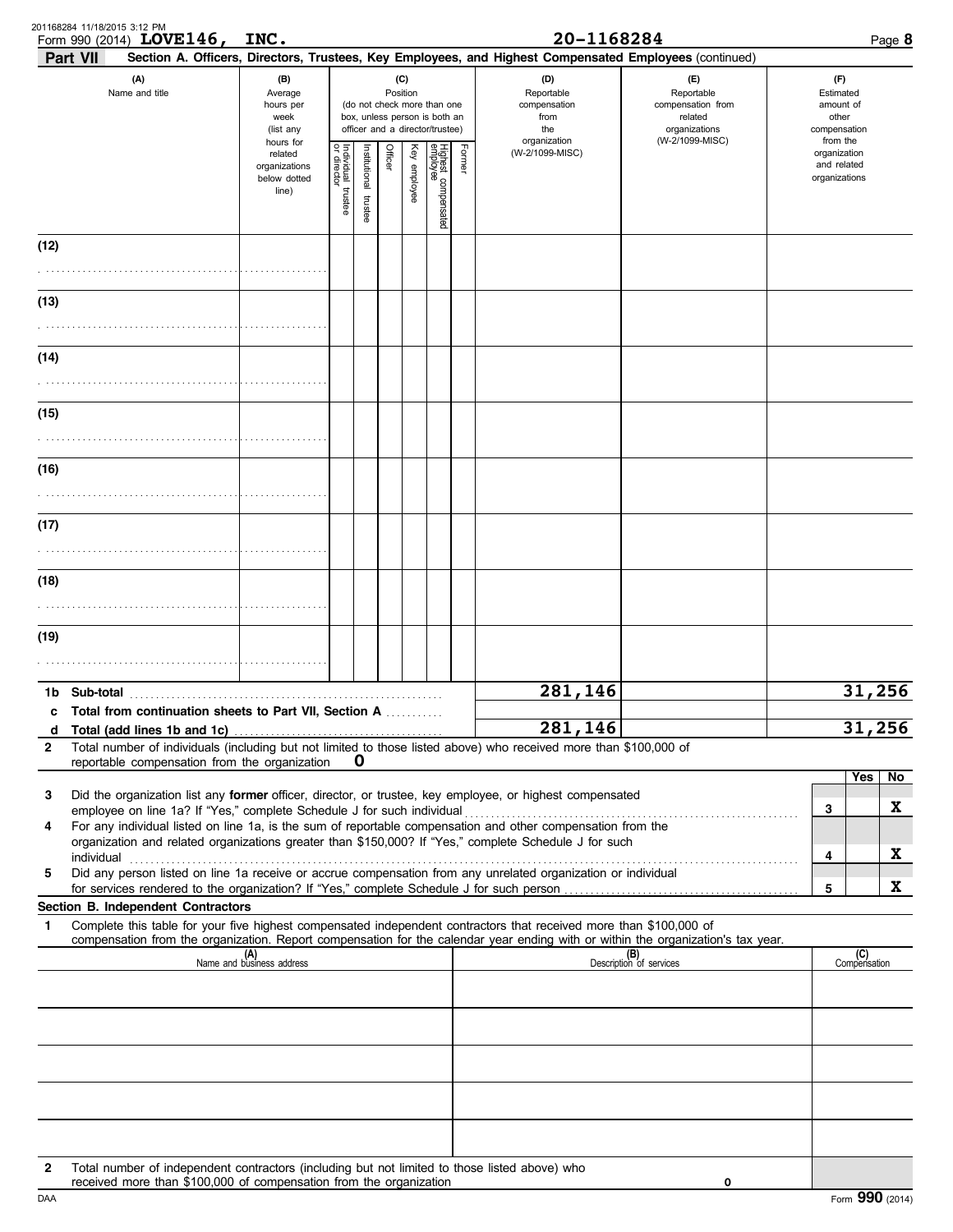|              | 201168284 11/18/2015 3:12 PM<br>Form 990 (2014) LOVE146,<br><b>Part VII</b>                                                                                        | INC.                                                           |                                   |                          |                |                 |                                                                                                 |        | 20-1168284<br>Section A. Officers, Directors, Trustees, Key Employees, and Highest Compensated Employees (continued) |                                                                    | Page 8                                                   |
|--------------|--------------------------------------------------------------------------------------------------------------------------------------------------------------------|----------------------------------------------------------------|-----------------------------------|--------------------------|----------------|-----------------|-------------------------------------------------------------------------------------------------|--------|----------------------------------------------------------------------------------------------------------------------|--------------------------------------------------------------------|----------------------------------------------------------|
|              | (A)<br>(B)<br>Name and title<br>Average<br>hours per<br>week<br>(list any                                                                                          |                                                                |                                   |                          |                | (C)<br>Position | (do not check more than one<br>box, unless person is both an<br>officer and a director/trustee) |        | (D)<br>Reportable<br>compensation<br>from<br>the                                                                     | (F)<br>Reportable<br>compensation from<br>related<br>organizations | (F)<br>Estimated<br>amount of<br>other<br>compensation   |
|              |                                                                                                                                                                    | hours for<br>related<br>organizations<br>below dotted<br>line) | Individual trustee<br>or director | Institutional<br>trustee | <b>Officer</b> | Key employee    | Highest compensated<br>employee                                                                 | Former | organization<br>(W-2/1099-MISC)                                                                                      | (W-2/1099-MISC)                                                    | from the<br>organization<br>and related<br>organizations |
| (12)         |                                                                                                                                                                    |                                                                |                                   |                          |                |                 |                                                                                                 |        |                                                                                                                      |                                                                    |                                                          |
| (13)         |                                                                                                                                                                    |                                                                |                                   |                          |                |                 |                                                                                                 |        |                                                                                                                      |                                                                    |                                                          |
|              |                                                                                                                                                                    |                                                                |                                   |                          |                |                 |                                                                                                 |        |                                                                                                                      |                                                                    |                                                          |
| (14)         |                                                                                                                                                                    |                                                                |                                   |                          |                |                 |                                                                                                 |        |                                                                                                                      |                                                                    |                                                          |
|              |                                                                                                                                                                    |                                                                |                                   |                          |                |                 |                                                                                                 |        |                                                                                                                      |                                                                    |                                                          |
| (15)         |                                                                                                                                                                    |                                                                |                                   |                          |                |                 |                                                                                                 |        |                                                                                                                      |                                                                    |                                                          |
|              |                                                                                                                                                                    |                                                                |                                   |                          |                |                 |                                                                                                 |        |                                                                                                                      |                                                                    |                                                          |
| (16)         |                                                                                                                                                                    |                                                                |                                   |                          |                |                 |                                                                                                 |        |                                                                                                                      |                                                                    |                                                          |
|              |                                                                                                                                                                    |                                                                |                                   |                          |                |                 |                                                                                                 |        |                                                                                                                      |                                                                    |                                                          |
| (17)         |                                                                                                                                                                    |                                                                |                                   |                          |                |                 |                                                                                                 |        |                                                                                                                      |                                                                    |                                                          |
| (18)         |                                                                                                                                                                    |                                                                |                                   |                          |                |                 |                                                                                                 |        |                                                                                                                      |                                                                    |                                                          |
|              |                                                                                                                                                                    |                                                                |                                   |                          |                |                 |                                                                                                 |        |                                                                                                                      |                                                                    |                                                          |
| (19)         |                                                                                                                                                                    |                                                                |                                   |                          |                |                 |                                                                                                 |        |                                                                                                                      |                                                                    |                                                          |
|              |                                                                                                                                                                    |                                                                |                                   |                          |                |                 |                                                                                                 |        |                                                                                                                      |                                                                    |                                                          |
| 1b.          |                                                                                                                                                                    |                                                                |                                   |                          |                |                 |                                                                                                 |        | 281,146                                                                                                              |                                                                    | 31,256                                                   |
| d            | c Total from continuation sheets to Part VII, Section A                                                                                                            |                                                                |                                   |                          |                |                 |                                                                                                 |        | 281,146                                                                                                              |                                                                    | 31,256                                                   |
| $\mathbf{2}$ | Total number of individuals (including but not limited to those listed above) who received more than \$100,000 of<br>reportable compensation from the organization |                                                                |                                   | $\bf o$                  |                |                 |                                                                                                 |        |                                                                                                                      |                                                                    |                                                          |
| 3            | Did the organization list any former officer, director, or trustee, key employee, or highest compensated                                                           |                                                                |                                   |                          |                |                 |                                                                                                 |        |                                                                                                                      |                                                                    | Yes<br>No                                                |
| 4            | For any individual listed on line 1a, is the sum of reportable compensation and other compensation from the                                                        |                                                                |                                   |                          |                |                 |                                                                                                 |        |                                                                                                                      |                                                                    | X<br>3                                                   |
|              | organization and related organizations greater than \$150,000? If "Yes," complete Schedule J for such<br>individual                                                |                                                                |                                   |                          |                |                 |                                                                                                 |        |                                                                                                                      |                                                                    | X<br>4                                                   |
| 5            | Did any person listed on line 1a receive or accrue compensation from any unrelated organization or individual                                                      |                                                                |                                   |                          |                |                 |                                                                                                 |        |                                                                                                                      |                                                                    | X<br>5                                                   |
| 1            | Section B. Independent Contractors<br>Complete this table for your five highest compensated independent contractors that received more than \$100,000 of           |                                                                |                                   |                          |                |                 |                                                                                                 |        |                                                                                                                      |                                                                    |                                                          |
|              | compensation from the organization. Report compensation for the calendar year ending with or within the organization's tax year.                                   |                                                                |                                   |                          |                |                 |                                                                                                 |        |                                                                                                                      |                                                                    |                                                          |
|              |                                                                                                                                                                    | (A)<br>Name and business address                               |                                   |                          |                |                 |                                                                                                 |        |                                                                                                                      | (B)<br>Description of services                                     | (C)<br>Compensation                                      |
|              |                                                                                                                                                                    |                                                                |                                   |                          |                |                 |                                                                                                 |        |                                                                                                                      |                                                                    |                                                          |
|              |                                                                                                                                                                    |                                                                |                                   |                          |                |                 |                                                                                                 |        |                                                                                                                      |                                                                    |                                                          |
|              |                                                                                                                                                                    |                                                                |                                   |                          |                |                 |                                                                                                 |        |                                                                                                                      |                                                                    |                                                          |
|              |                                                                                                                                                                    |                                                                |                                   |                          |                |                 |                                                                                                 |        |                                                                                                                      |                                                                    |                                                          |
|              |                                                                                                                                                                    |                                                                |                                   |                          |                |                 |                                                                                                 |        |                                                                                                                      |                                                                    |                                                          |
| $\mathbf{2}$ | Total number of independent contractors (including but not limited to those listed above) who                                                                      |                                                                |                                   |                          |                |                 |                                                                                                 |        |                                                                                                                      |                                                                    |                                                          |
| DAA          | received more than \$100,000 of compensation from the organization                                                                                                 |                                                                |                                   |                          |                |                 |                                                                                                 |        |                                                                                                                      | 0                                                                  | Form 990 (2014)                                          |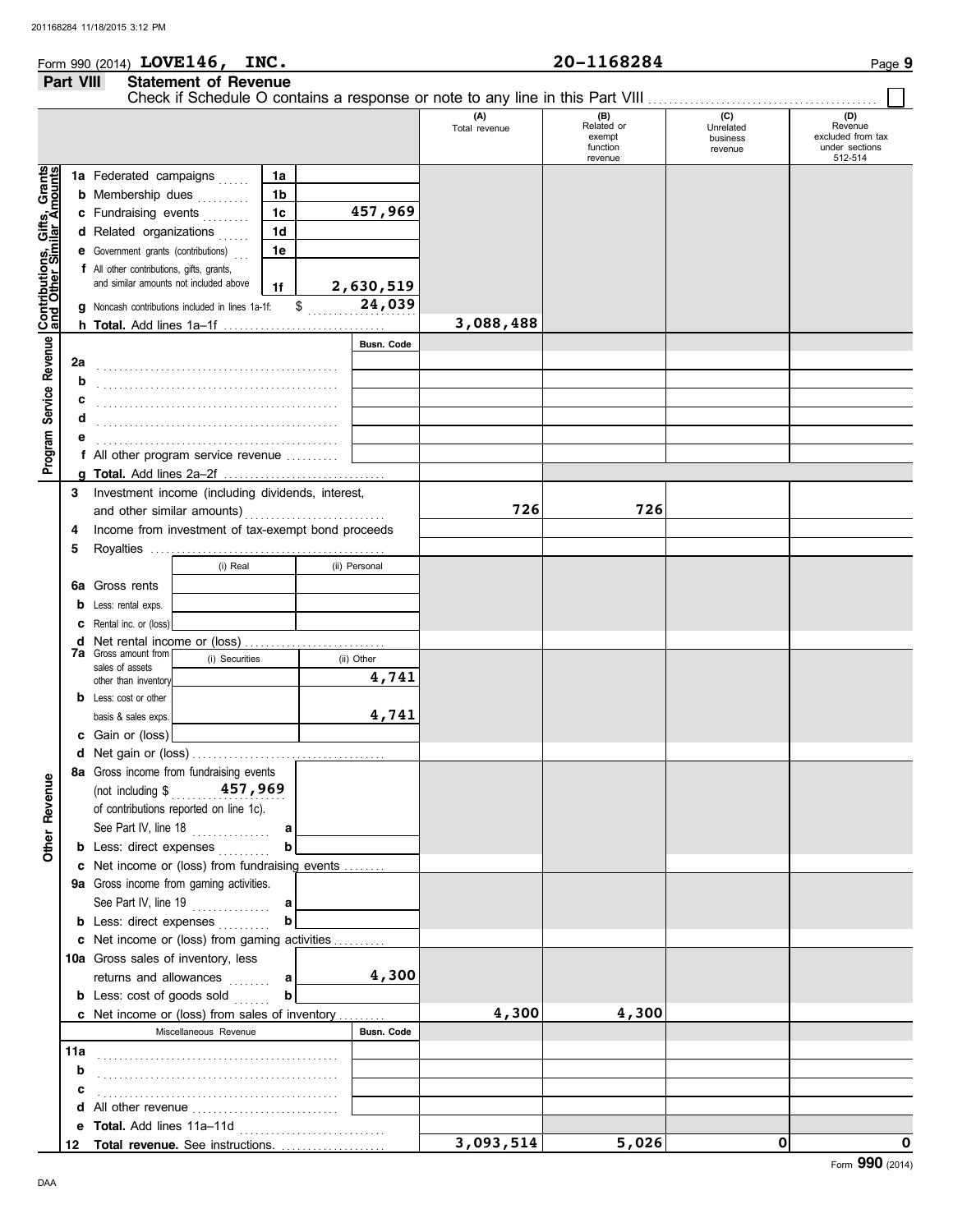## Form 990 (2014) Page **9 LOVE146, INC. 20-1168284 Part VIII Statement of Revenue**

|                                                           |     |                                                                  |                                     |                |  |                   | Check if Schedule O contains a response or note to any line in this Part VIII |                                                    |                                         |                                                                  |
|-----------------------------------------------------------|-----|------------------------------------------------------------------|-------------------------------------|----------------|--|-------------------|-------------------------------------------------------------------------------|----------------------------------------------------|-----------------------------------------|------------------------------------------------------------------|
|                                                           |     |                                                                  |                                     |                |  |                   | (A)<br>Total revenue                                                          | (B)<br>Related or<br>exempt<br>function<br>revenue | (C)<br>Unrelated<br>business<br>revenue | (D)<br>Revenue<br>excluded from tax<br>under sections<br>512-514 |
|                                                           |     | 1a Federated campaigns                                           |                                     | 1a             |  |                   |                                                                               |                                                    |                                         |                                                                  |
|                                                           |     | <b>b</b> Membership dues                                         |                                     | 1b             |  |                   |                                                                               |                                                    |                                         |                                                                  |
|                                                           |     | c Fundraising events                                             |                                     | 1c             |  | 457,969           |                                                                               |                                                    |                                         |                                                                  |
| Contributions, Gifts, Grants<br>and Other Similar Amounts |     | d Related organizations                                          |                                     | 1 <sub>d</sub> |  |                   |                                                                               |                                                    |                                         |                                                                  |
|                                                           |     | e Government grants (contributions)                              |                                     | 1е             |  |                   |                                                                               |                                                    |                                         |                                                                  |
|                                                           |     | f All other contributions, gifts, grants,                        |                                     |                |  |                   |                                                                               |                                                    |                                         |                                                                  |
|                                                           |     | and similar amounts not included above                           |                                     | 1f             |  | 2,630,519         |                                                                               |                                                    |                                         |                                                                  |
|                                                           |     |                                                                  |                                     | $\,$           |  | 24,039            |                                                                               |                                                    |                                         |                                                                  |
|                                                           | q   | Noncash contributions included in lines 1a-1f:                   |                                     |                |  |                   | 3,088,488                                                                     |                                                    |                                         |                                                                  |
|                                                           |     |                                                                  |                                     |                |  |                   |                                                                               |                                                    |                                         |                                                                  |
|                                                           |     |                                                                  |                                     |                |  | <b>Busn. Code</b> |                                                                               |                                                    |                                         |                                                                  |
|                                                           | 2a  |                                                                  |                                     |                |  |                   |                                                                               |                                                    |                                         |                                                                  |
|                                                           | b   |                                                                  |                                     |                |  |                   |                                                                               |                                                    |                                         |                                                                  |
|                                                           | с   |                                                                  |                                     |                |  |                   |                                                                               |                                                    |                                         |                                                                  |
|                                                           | d   |                                                                  |                                     |                |  |                   |                                                                               |                                                    |                                         |                                                                  |
| Program Service Revenue                                   |     |                                                                  | f All other program service revenue |                |  |                   |                                                                               |                                                    |                                         |                                                                  |
|                                                           |     |                                                                  |                                     |                |  |                   |                                                                               |                                                    |                                         |                                                                  |
|                                                           |     |                                                                  |                                     |                |  |                   |                                                                               |                                                    |                                         |                                                                  |
|                                                           | 3   | Investment income (including dividends, interest,                |                                     |                |  |                   |                                                                               |                                                    |                                         |                                                                  |
|                                                           |     | and other similar amounts)                                       |                                     |                |  |                   | 726                                                                           | 726                                                |                                         |                                                                  |
|                                                           | 4   | Income from investment of tax-exempt bond proceeds               |                                     |                |  |                   |                                                                               |                                                    |                                         |                                                                  |
|                                                           | 5   |                                                                  |                                     |                |  |                   |                                                                               |                                                    |                                         |                                                                  |
|                                                           |     |                                                                  | (i) Real                            |                |  | (ii) Personal     |                                                                               |                                                    |                                         |                                                                  |
|                                                           | 6а  | Gross rents                                                      |                                     |                |  |                   |                                                                               |                                                    |                                         |                                                                  |
|                                                           | b   | Less: rental exps.                                               |                                     |                |  |                   |                                                                               |                                                    |                                         |                                                                  |
|                                                           | c   | Rental inc. or (loss)                                            |                                     |                |  |                   |                                                                               |                                                    |                                         |                                                                  |
|                                                           | d   | Net rental income or (loss)                                      |                                     |                |  |                   |                                                                               |                                                    |                                         |                                                                  |
|                                                           |     | <b>7a</b> Gross amount from<br>(i) Securities<br>sales of assets |                                     |                |  | (ii) Other        |                                                                               |                                                    |                                         |                                                                  |
|                                                           |     | other than inventory                                             |                                     |                |  | 4,741             |                                                                               |                                                    |                                         |                                                                  |
|                                                           | b   | Less: cost or other                                              |                                     |                |  |                   |                                                                               |                                                    |                                         |                                                                  |
|                                                           |     | basis & sales exps.                                              |                                     |                |  | 4,741             |                                                                               |                                                    |                                         |                                                                  |
|                                                           | c   | Gain or (loss)                                                   |                                     |                |  |                   |                                                                               |                                                    |                                         |                                                                  |
|                                                           | d   |                                                                  |                                     |                |  |                   |                                                                               |                                                    |                                         |                                                                  |
|                                                           |     | 8a Gross income from fundraising events                          |                                     |                |  |                   |                                                                               |                                                    |                                         |                                                                  |
| g                                                         |     | (not including $\sqrt[6]{\frac{1}{257}}$ , 969                   |                                     |                |  |                   |                                                                               |                                                    |                                         |                                                                  |
| Reven                                                     |     | of contributions reported on line 1c).                           |                                     |                |  |                   |                                                                               |                                                    |                                         |                                                                  |
|                                                           |     | See Part IV, line 18                                             | .                                   | a              |  |                   |                                                                               |                                                    |                                         |                                                                  |
| <b>Other</b>                                              |     | <b>b</b> Less: direct expenses                                   |                                     | b              |  |                   |                                                                               |                                                    |                                         |                                                                  |
|                                                           |     | c Net income or (loss) from fundraising events                   |                                     |                |  |                   |                                                                               |                                                    |                                         |                                                                  |
|                                                           |     | 9a Gross income from gaming activities.                          |                                     |                |  |                   |                                                                               |                                                    |                                         |                                                                  |
|                                                           |     | See Part IV, line 19                                             | .                                   | a              |  |                   |                                                                               |                                                    |                                         |                                                                  |
|                                                           |     | <b>b</b> Less: direct expenses                                   |                                     |                |  |                   |                                                                               |                                                    |                                         |                                                                  |
|                                                           |     | c Net income or (loss) from gaming activities                    |                                     |                |  |                   |                                                                               |                                                    |                                         |                                                                  |
|                                                           |     | 10a Gross sales of inventory, less                               |                                     |                |  |                   |                                                                               |                                                    |                                         |                                                                  |
|                                                           |     | returns and allowances                                           |                                     | a              |  | 4,300             |                                                                               |                                                    |                                         |                                                                  |
|                                                           |     | <b>b</b> Less: cost of goods sold                                |                                     | b              |  |                   |                                                                               |                                                    |                                         |                                                                  |
|                                                           |     | c Net income or (loss) from sales of inventory                   |                                     |                |  |                   | 4,300                                                                         | 4,300                                              |                                         |                                                                  |
|                                                           |     |                                                                  | Miscellaneous Revenue               |                |  | Busn. Code        |                                                                               |                                                    |                                         |                                                                  |
|                                                           | 11a |                                                                  |                                     |                |  |                   |                                                                               |                                                    |                                         |                                                                  |
|                                                           | b   |                                                                  |                                     |                |  |                   |                                                                               |                                                    |                                         |                                                                  |
|                                                           | c   |                                                                  |                                     |                |  |                   |                                                                               |                                                    |                                         |                                                                  |
|                                                           | d   | All other revenue                                                |                                     |                |  |                   |                                                                               |                                                    |                                         |                                                                  |
|                                                           | е   |                                                                  |                                     |                |  |                   |                                                                               |                                                    |                                         |                                                                  |
|                                                           |     | 12 Total revenue. See instructions.                              |                                     |                |  |                   | 3,093,514                                                                     | 5,026                                              | 0                                       | 0                                                                |
|                                                           |     |                                                                  |                                     |                |  |                   |                                                                               |                                                    |                                         |                                                                  |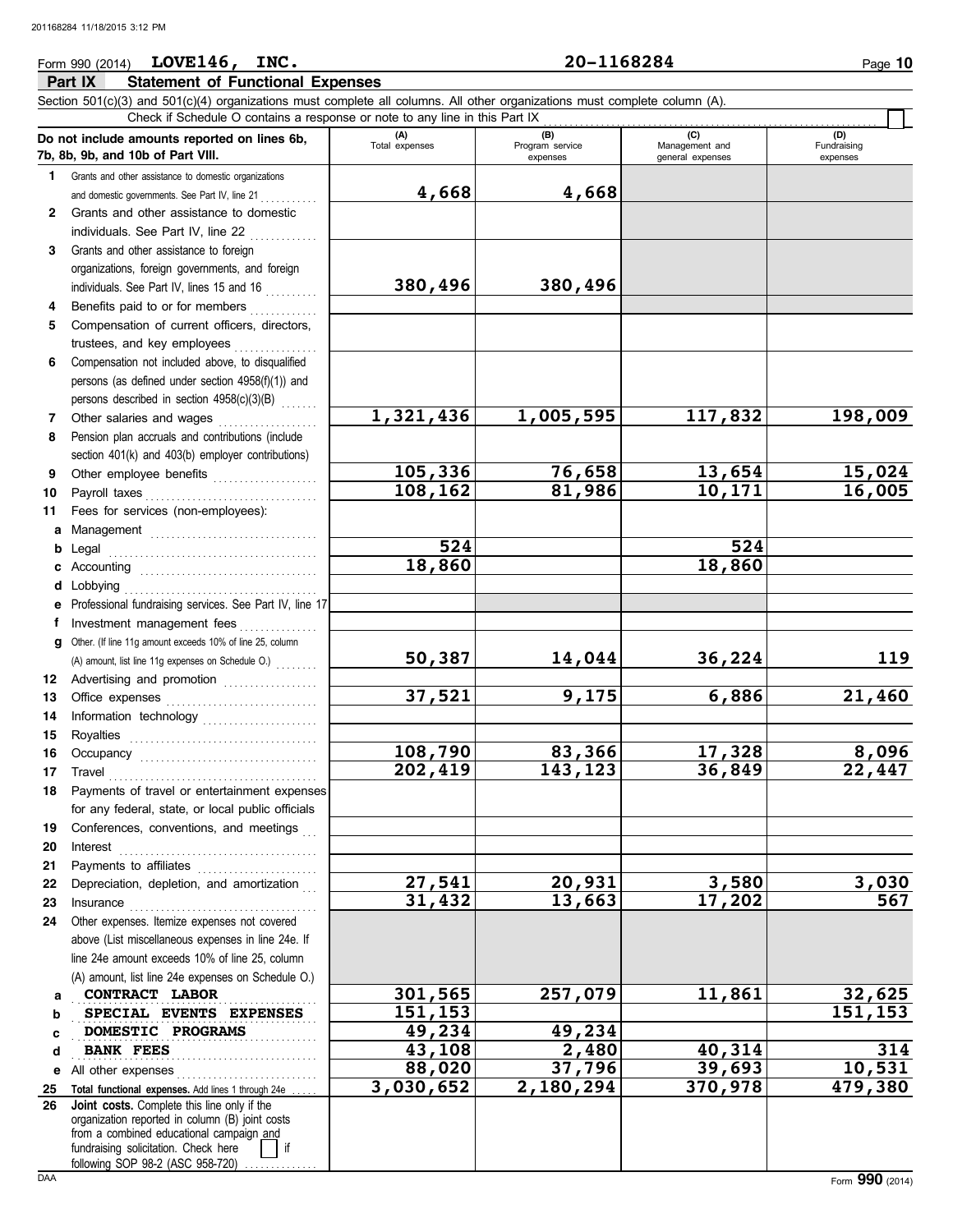### Form 990 (2014) Page **10 LOVE146, INC. 20-1168284**

|                 | Part IX<br><b>Statement of Functional Expenses</b>                                                                                                                                                        |                          |                             |                                    |                         |
|-----------------|-----------------------------------------------------------------------------------------------------------------------------------------------------------------------------------------------------------|--------------------------|-----------------------------|------------------------------------|-------------------------|
|                 | Section 501(c)(3) and 501(c)(4) organizations must complete all columns. All other organizations must complete column (A).<br>Check if Schedule O contains a response or note to any line in this Part IX |                          |                             |                                    |                         |
|                 | Do not include amounts reported on lines 6b,                                                                                                                                                              | (A)<br>Total expenses    | (B)                         | (C)                                | (D)                     |
|                 | 7b, 8b, 9b, and 10b of Part VIII.                                                                                                                                                                         |                          | Program service<br>expenses | Management and<br>general expenses | Fundraising<br>expenses |
| 1.              | Grants and other assistance to domestic organizations                                                                                                                                                     |                          |                             |                                    |                         |
|                 | and domestic governments. See Part IV, line 21                                                                                                                                                            | 4,668                    | 4,668                       |                                    |                         |
| 2               | Grants and other assistance to domestic                                                                                                                                                                   |                          |                             |                                    |                         |
|                 | individuals. See Part IV, line 22                                                                                                                                                                         |                          |                             |                                    |                         |
| 3               | Grants and other assistance to foreign                                                                                                                                                                    |                          |                             |                                    |                         |
|                 | organizations, foreign governments, and foreign                                                                                                                                                           |                          |                             |                                    |                         |
|                 | individuals. See Part IV, lines 15 and 16                                                                                                                                                                 | 380,496                  | 380,496                     |                                    |                         |
| 4               | Benefits paid to or for members                                                                                                                                                                           |                          |                             |                                    |                         |
| 5               | Compensation of current officers, directors,                                                                                                                                                              |                          |                             |                                    |                         |
|                 | trustees, and key employees                                                                                                                                                                               |                          |                             |                                    |                         |
| 6               | Compensation not included above, to disqualified                                                                                                                                                          |                          |                             |                                    |                         |
|                 | persons (as defined under section 4958(f)(1)) and                                                                                                                                                         |                          |                             |                                    |                         |
| 7               | persons described in section 4958(c)(3)(B)<br>Other salaries and wages                                                                                                                                    | $\overline{1,321}$ , 436 | 1,005,595                   | 117,832                            | 198,009                 |
| 8               | Pension plan accruals and contributions (include                                                                                                                                                          |                          |                             |                                    |                         |
|                 | section 401(k) and 403(b) employer contributions)                                                                                                                                                         |                          |                             |                                    |                         |
| 9               | Other employee benefits                                                                                                                                                                                   | 105,336                  | 76,658                      | 13,654                             | 15,024                  |
| 10              | Payroll taxes                                                                                                                                                                                             | 108,162                  | 81,986                      | 10,171                             | 16,005                  |
| 11              | Fees for services (non-employees):                                                                                                                                                                        |                          |                             |                                    |                         |
| а               |                                                                                                                                                                                                           |                          |                             |                                    |                         |
| b               | Legal                                                                                                                                                                                                     | 524                      |                             | 524                                |                         |
| с               |                                                                                                                                                                                                           | 18,860                   |                             | 18,860                             |                         |
| d               | Lobbying                                                                                                                                                                                                  |                          |                             |                                    |                         |
|                 | Professional fundraising services. See Part IV, line 17                                                                                                                                                   |                          |                             |                                    |                         |
| Ť               | Investment management fees                                                                                                                                                                                |                          |                             |                                    |                         |
| g               | Other. (If line 11g amount exceeds 10% of line 25, column                                                                                                                                                 |                          |                             |                                    |                         |
|                 | (A) amount, list line 11g expenses on Schedule O.)                                                                                                                                                        | 50,387                   | 14,044                      | 36,224                             | 119                     |
| 12              | Advertising and promotion                                                                                                                                                                                 |                          |                             |                                    |                         |
| 13              |                                                                                                                                                                                                           | 37,521                   | 9,175                       | 6,886                              | 21,460                  |
| 14              | Information technology                                                                                                                                                                                    |                          |                             |                                    |                         |
| 15              | Royalties                                                                                                                                                                                                 |                          |                             |                                    |                         |
| 16              |                                                                                                                                                                                                           | 108,790                  | 83,366                      | 17,328                             | 8,096                   |
| 17 <sup>7</sup> | Travel                                                                                                                                                                                                    | 202,419                  | 143,123                     | 36,849                             | 22,447                  |
| 18.             | Payments of travel or entertainment expenses                                                                                                                                                              |                          |                             |                                    |                         |
|                 | for any federal, state, or local public officials                                                                                                                                                         |                          |                             |                                    |                         |
| 19              | Conferences, conventions, and meetings                                                                                                                                                                    |                          |                             |                                    |                         |
| 20              | $\blacksquare$                                                                                                                                                                                            |                          |                             |                                    |                         |
| 21              | Payments to affiliates                                                                                                                                                                                    | 27,541                   | 20,931                      | 3,580                              | 3,030                   |
| 22<br>23        | Depreciation, depletion, and amortization                                                                                                                                                                 | 31,432                   | 13,663                      | 17,202                             | 567                     |
| 24              | Insurance <b>continuous</b><br>Other expenses. Itemize expenses not covered                                                                                                                               |                          |                             |                                    |                         |
|                 | above (List miscellaneous expenses in line 24e. If                                                                                                                                                        |                          |                             |                                    |                         |
|                 | line 24e amount exceeds 10% of line 25, column                                                                                                                                                            |                          |                             |                                    |                         |
|                 | (A) amount, list line 24e expenses on Schedule O.)                                                                                                                                                        |                          |                             |                                    |                         |
| а               | CONTRACT LABOR                                                                                                                                                                                            | 301,565                  | 257,079                     | 11,861                             | 32,625                  |
| b               | SPECIAL EVENTS EXPENSES                                                                                                                                                                                   | 151,153                  |                             |                                    | 151,153                 |
| c               | DOMESTIC PROGRAMS                                                                                                                                                                                         | 49,234                   | 49,234                      |                                    |                         |
| d               | <b>BANK FEES</b>                                                                                                                                                                                          | 43,108                   | 2,480                       | 40,314                             | 314                     |
| е               | All other expenses                                                                                                                                                                                        | 88,020                   | 37,796                      | 39,693                             | 10,531                  |
| 25              | Total functional expenses. Add lines 1 through 24e                                                                                                                                                        | 3,030,652                | 2,180,294                   | 370,978                            | 479,380                 |
| 26              | Joint costs. Complete this line only if the                                                                                                                                                               |                          |                             |                                    |                         |
|                 | organization reported in column (B) joint costs<br>from a combined educational campaign and                                                                                                               |                          |                             |                                    |                         |
|                 | fundraising solicitation. Check here                                                                                                                                                                      |                          |                             |                                    |                         |

following SOP 98-2 (ASC 958-720) ...............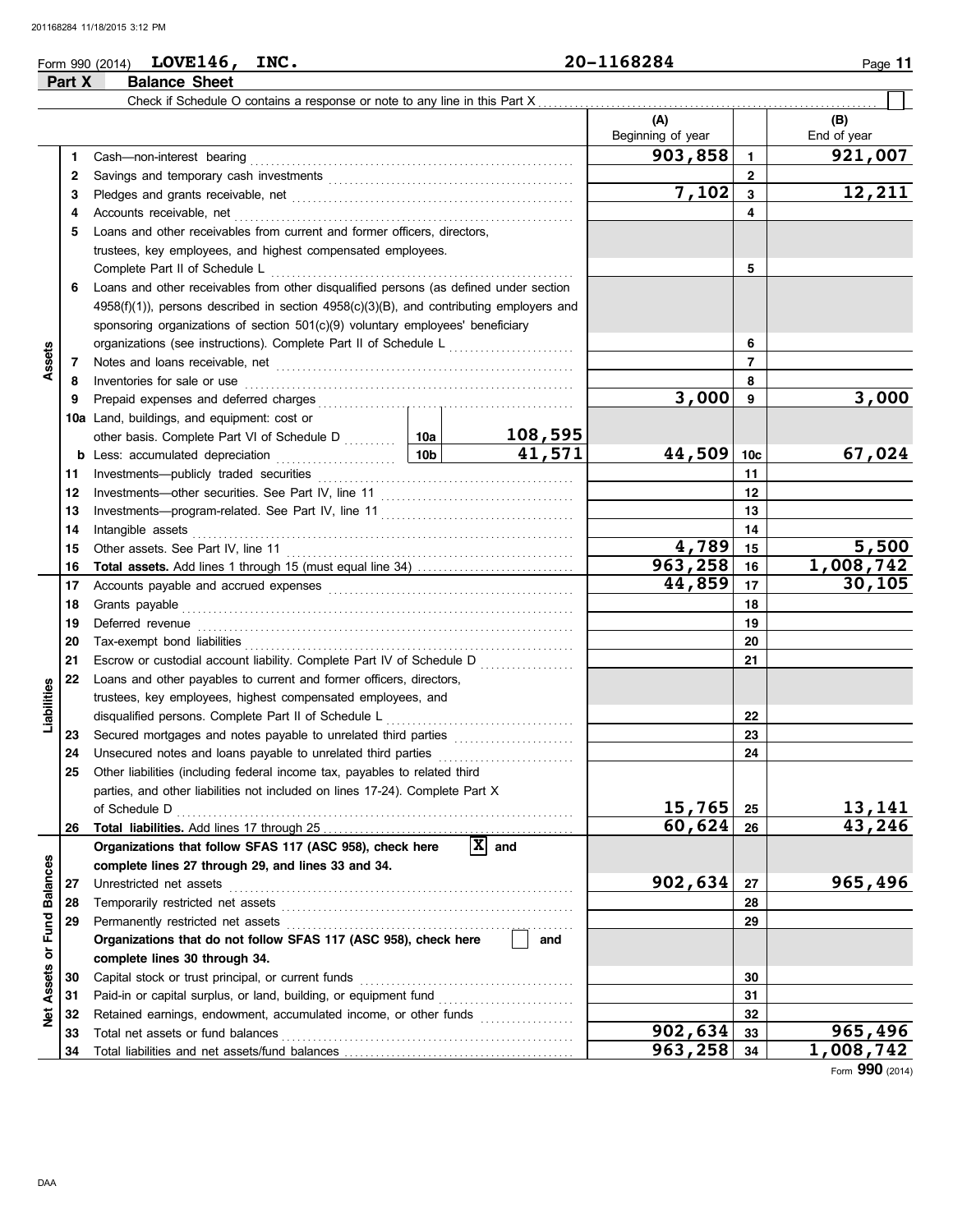#### Form 990 (2014) **LOVE146, INC.**  $20-1168284$  Page 11 **LOVE146, INC. 20-1168284**

**Part X Balance Sheet**

|                     |    | Check if Schedule O contains a response or note to any line in this Part X                                                                                                                                                          |         |                                |                   |           |             |
|---------------------|----|-------------------------------------------------------------------------------------------------------------------------------------------------------------------------------------------------------------------------------------|---------|--------------------------------|-------------------|-----------|-------------|
|                     |    |                                                                                                                                                                                                                                     |         |                                | (A)               |           | (B)         |
|                     |    |                                                                                                                                                                                                                                     |         |                                | Beginning of year |           | End of year |
|                     | 1. | Cash-non-interest bearing                                                                                                                                                                                                           |         |                                | 903,858           | 1         | 921,007     |
|                     | 2  |                                                                                                                                                                                                                                     |         |                                | $\mathbf{2}$      |           |             |
|                     | 3  |                                                                                                                                                                                                                                     |         |                                | 7,102             | 3         | 12,211      |
|                     | 4  | Accounts receivable, net                                                                                                                                                                                                            |         |                                | 4                 |           |             |
|                     | 5  | Loans and other receivables from current and former officers, directors,                                                                                                                                                            |         |                                |                   |           |             |
|                     |    | trustees, key employees, and highest compensated employees.                                                                                                                                                                         |         |                                |                   |           |             |
|                     |    | Complete Part II of Schedule L                                                                                                                                                                                                      |         | 5                              |                   |           |             |
|                     | 6  | Loans and other receivables from other disqualified persons (as defined under section                                                                                                                                               |         |                                |                   |           |             |
|                     |    | $4958(f)(1)$ ), persons described in section $4958(c)(3)(B)$ , and contributing employers and                                                                                                                                       |         |                                |                   |           |             |
|                     |    | sponsoring organizations of section 501(c)(9) voluntary employees' beneficiary                                                                                                                                                      |         |                                |                   |           |             |
|                     |    | organizations (see instructions). Complete Part II of Schedule L [1111] [111]                                                                                                                                                       |         |                                |                   | 6         |             |
| Assets              | 7  |                                                                                                                                                                                                                                     |         |                                |                   | 7         |             |
|                     | 8  | Inventories for sale or use                                                                                                                                                                                                         |         |                                |                   | 8         |             |
|                     | 9  |                                                                                                                                                                                                                                     |         |                                | 3,000             | 9         | 3,000       |
|                     |    | 10a Land, buildings, and equipment: cost or                                                                                                                                                                                         |         |                                |                   |           |             |
|                     |    | other basis. Complete Part VI of Schedule D  10a                                                                                                                                                                                    |         | 108,595                        |                   |           |             |
|                     |    |                                                                                                                                                                                                                                     |         | 41,571                         | 44,509            | 10c       | 67,024      |
|                     | 11 |                                                                                                                                                                                                                                     |         |                                |                   | 11        |             |
|                     | 12 |                                                                                                                                                                                                                                     |         |                                |                   | 12        |             |
|                     | 13 |                                                                                                                                                                                                                                     |         |                                |                   | 13        |             |
|                     | 14 | Intangible assets                                                                                                                                                                                                                   |         |                                | 14                |           |             |
|                     | 15 |                                                                                                                                                                                                                                     | 4,789   | 15                             | 5,500             |           |             |
|                     | 16 |                                                                                                                                                                                                                                     | 963,258 | 16                             | 1,008,742         |           |             |
|                     | 17 |                                                                                                                                                                                                                                     | 44,859  | 17                             | 30,105            |           |             |
|                     | 18 | Grants payable                                                                                                                                                                                                                      |         |                                | 18                |           |             |
|                     | 19 | Deferred revenue <b>construction and construction</b> and construction of the construction of the construction of the construction of the construction of the construction of the construction of the construction of the construct |         |                                | 19                |           |             |
|                     | 20 |                                                                                                                                                                                                                                     |         |                                | 20                |           |             |
|                     | 21 | Escrow or custodial account liability. Complete Part IV of Schedule D                                                                                                                                                               |         |                                |                   | 21        |             |
|                     | 22 | Loans and other payables to current and former officers, directors,                                                                                                                                                                 |         |                                |                   |           |             |
| Liabilities         |    | trustees, key employees, highest compensated employees, and                                                                                                                                                                         |         |                                |                   |           |             |
|                     |    |                                                                                                                                                                                                                                     |         |                                |                   | 22        |             |
|                     | 23 | Secured mortgages and notes payable to unrelated third parties                                                                                                                                                                      |         |                                |                   | 23        |             |
|                     | 24 | Unsecured notes and loans payable to unrelated third parties [[[[[[[[[[[[[[[[[[[[[[[]]]]]]]]]                                                                                                                                       |         |                                |                   | 24        |             |
|                     | 25 | Other liabilities (including federal income tax, payables to related third                                                                                                                                                          |         |                                |                   |           |             |
|                     |    | parties, and other liabilities not included on lines 17-24). Complete Part X                                                                                                                                                        |         |                                |                   |           |             |
|                     |    | of Schedule D                                                                                                                                                                                                                       | 15,765  | 25                             | 13,141            |           |             |
|                     | 26 |                                                                                                                                                                                                                                     |         |                                | 60,624            | 26        | 43,246      |
|                     |    | Organizations that follow SFAS 117 (ASC 958), check here                                                                                                                                                                            |         | $\overline{\mathbf{x}}$<br>and |                   |           |             |
|                     |    | complete lines 27 through 29, and lines 33 and 34.                                                                                                                                                                                  |         |                                |                   |           |             |
| <b>Balances</b>     | 27 | Unrestricted net assets                                                                                                                                                                                                             |         |                                | 902,634           | 27        | 965,496     |
|                     | 28 |                                                                                                                                                                                                                                     |         |                                |                   | 28        |             |
| Fund                | 29 | Permanently restricted net assets                                                                                                                                                                                                   |         |                                |                   | 29        |             |
|                     |    | Organizations that do not follow SFAS 117 (ASC 958), check here                                                                                                                                                                     | and     |                                |                   |           |             |
| $\overline{\sigma}$ |    | complete lines 30 through 34.                                                                                                                                                                                                       |         |                                |                   |           |             |
| Assets              | 30 | Capital stock or trust principal, or current funds                                                                                                                                                                                  |         |                                |                   | 30        |             |
|                     | 31 |                                                                                                                                                                                                                                     |         |                                |                   | 31        |             |
| Net                 | 32 | Retained earnings, endowment, accumulated income, or other funds                                                                                                                                                                    |         |                                |                   | 32        |             |
|                     | 33 | Total net assets or fund balances                                                                                                                                                                                                   |         |                                | 902,634           | 33        | 965,496     |
|                     | 34 |                                                                                                                                                                                                                                     |         | 963,258                        | 34                | 1,008,742 |             |

Form **990** (2014)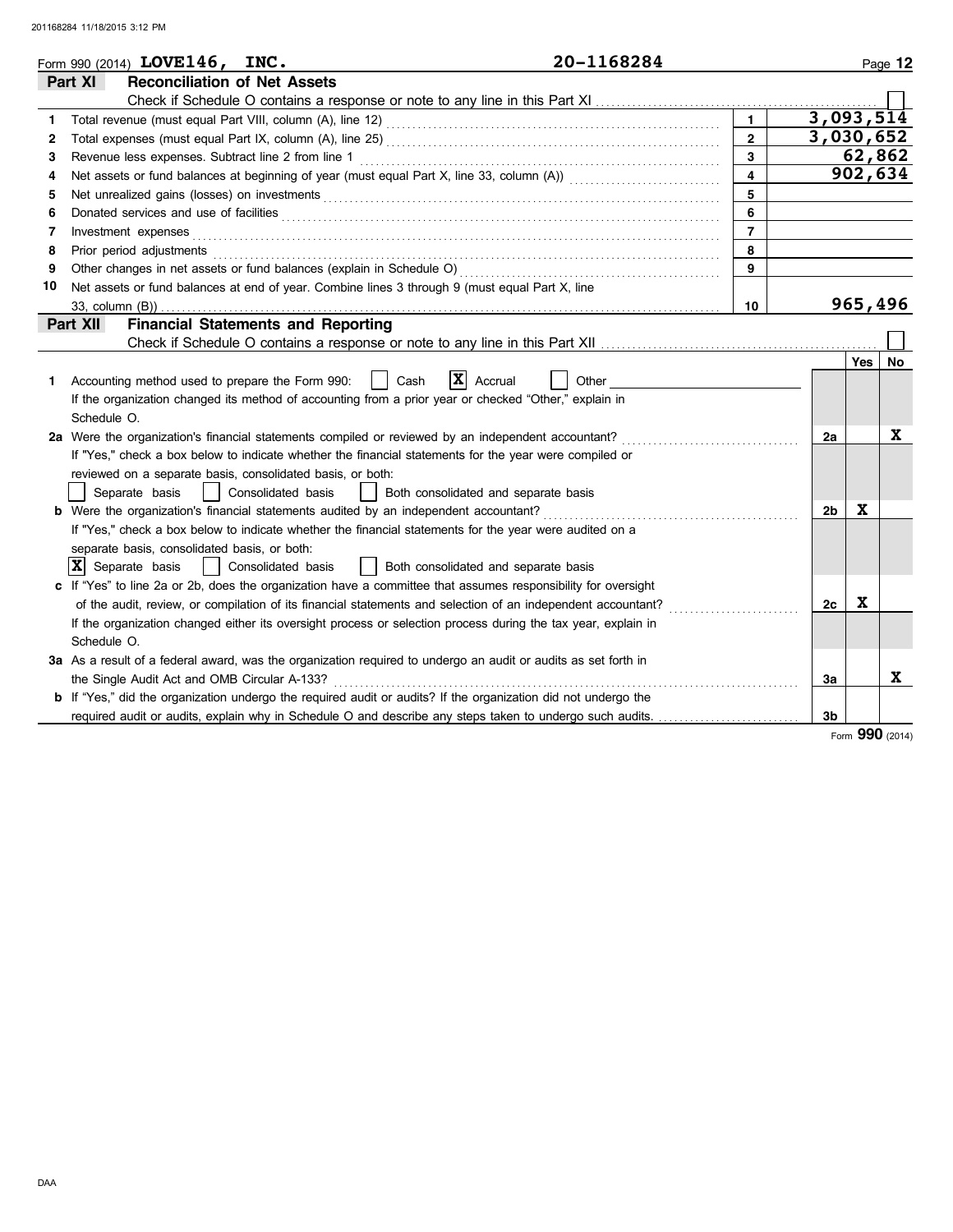|    | 20-1168284<br>Form 990 (2014) LOVE146, INC.                                                                                    |                |                |             | Page 12 |
|----|--------------------------------------------------------------------------------------------------------------------------------|----------------|----------------|-------------|---------|
|    | <b>Reconciliation of Net Assets</b><br>Part XI                                                                                 |                |                |             |         |
|    |                                                                                                                                |                |                |             |         |
| 1. |                                                                                                                                | $\mathbf{1}$   | 3,093,514      |             |         |
| 2  |                                                                                                                                | $\mathbf{2}$   | 3,030,652      |             |         |
| 3  | Revenue less expenses. Subtract line 2 from line 1                                                                             | 3              |                |             | 62,862  |
| 4  |                                                                                                                                | $\overline{4}$ |                |             | 902,634 |
| 5  |                                                                                                                                | 5              |                |             |         |
| 6  | Donated services and use of facilities <b>constructs</b> and the service of facilities <b>constructs</b> and use of facilities | 6              |                |             |         |
| 7  | Investment expenses                                                                                                            | $\overline{7}$ |                |             |         |
| 8  |                                                                                                                                | 8              |                |             |         |
| 9  |                                                                                                                                | 9              |                |             |         |
| 10 | Net assets or fund balances at end of year. Combine lines 3 through 9 (must equal Part X, line                                 |                |                |             |         |
|    | 33, column (B))                                                                                                                | 10             |                |             | 965,496 |
|    | Part XII<br><b>Financial Statements and Reporting</b>                                                                          |                |                |             |         |
|    |                                                                                                                                |                |                |             |         |
|    |                                                                                                                                |                |                | Yes         | No      |
| 1. | $ \mathbf{X} $ Accrual<br>Accounting method used to prepare the Form 990:<br>Cash<br>Other                                     |                |                |             |         |
|    | If the organization changed its method of accounting from a prior year or checked "Other," explain in                          |                |                |             |         |
|    | Schedule O.                                                                                                                    |                |                |             |         |
|    | 2a Were the organization's financial statements compiled or reviewed by an independent accountant?                             |                | 2a             |             | x       |
|    | If "Yes," check a box below to indicate whether the financial statements for the year were compiled or                         |                |                |             |         |
|    | reviewed on a separate basis, consolidated basis, or both:                                                                     |                |                |             |         |
|    | Consolidated basis<br>Separate basis<br>Both consolidated and separate basis                                                   |                |                |             |         |
|    |                                                                                                                                |                | 2 <sub>b</sub> | X           |         |
|    | If "Yes," check a box below to indicate whether the financial statements for the year were audited on a                        |                |                |             |         |
|    | separate basis, consolidated basis, or both:                                                                                   |                |                |             |         |
|    | IX.<br>Separate basis<br>Consolidated basis<br>Both consolidated and separate basis                                            |                |                |             |         |
|    | c If "Yes" to line 2a or 2b, does the organization have a committee that assumes responsibility for oversight                  |                |                |             |         |
|    | of the audit, review, or compilation of its financial statements and selection of an independent accountant?                   |                | 2с             | $\mathbf x$ |         |
|    | If the organization changed either its oversight process or selection process during the tax year, explain in                  |                |                |             |         |
|    | Schedule O.                                                                                                                    |                |                |             |         |
|    | 3a As a result of a federal award, was the organization required to undergo an audit or audits as set forth in                 |                |                |             |         |
|    | the Single Audit Act and OMB Circular A-133?                                                                                   |                | За             |             | X.      |
|    | <b>b</b> If "Yes," did the organization undergo the required audit or audits? If the organization did not undergo the          |                |                |             |         |
|    |                                                                                                                                |                | 3b             |             |         |

Form **990** (2014)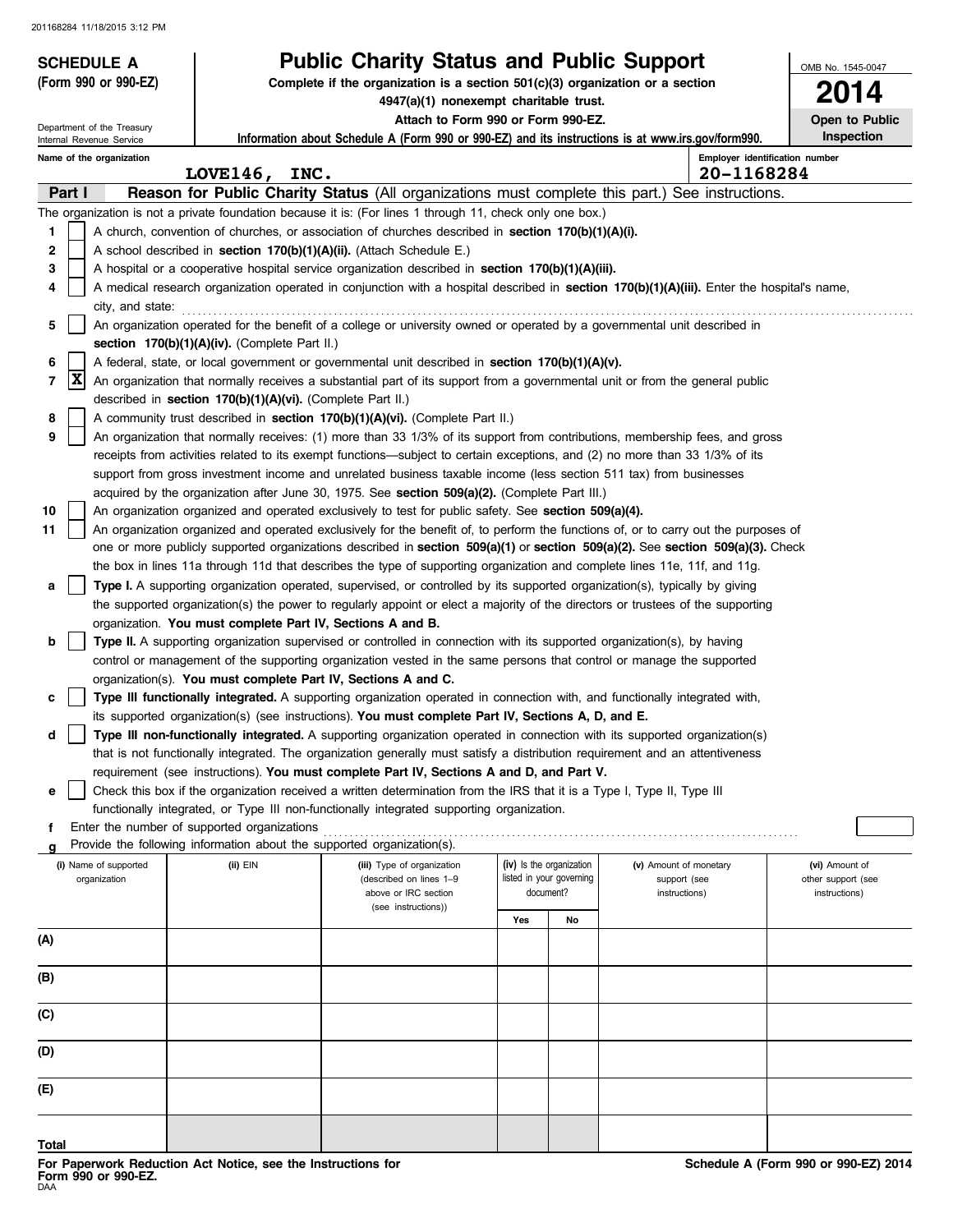| <b>SCHEDULE A</b>          |                                                                        | <b>Public Charity Status and Public Support</b>                                                                                                                                                                                             |                          |                          |                        | OMB No. 1545-0047              |
|----------------------------|------------------------------------------------------------------------|---------------------------------------------------------------------------------------------------------------------------------------------------------------------------------------------------------------------------------------------|--------------------------|--------------------------|------------------------|--------------------------------|
| (Form 990 or 990-EZ)       |                                                                        | Complete if the organization is a section $501(c)(3)$ organization or a section<br>4947(a)(1) nonexempt charitable trust.                                                                                                                   |                          |                          |                        | 4                              |
| Department of the Treasury |                                                                        | Attach to Form 990 or Form 990-EZ.                                                                                                                                                                                                          |                          |                          |                        | Open to Public                 |
| Internal Revenue Service   |                                                                        | Information about Schedule A (Form 990 or 990-EZ) and its instructions is at www.irs.gov/form990.                                                                                                                                           |                          |                          |                        | Inspection                     |
| Name of the organization   |                                                                        |                                                                                                                                                                                                                                             |                          |                          |                        | Employer identification number |
|                            | LOVE146, INC.                                                          |                                                                                                                                                                                                                                             |                          |                          | 20-1168284             |                                |
| Part I                     |                                                                        | Reason for Public Charity Status (All organizations must complete this part.) See instructions.                                                                                                                                             |                          |                          |                        |                                |
| 1                          |                                                                        | The organization is not a private foundation because it is: (For lines 1 through 11, check only one box.)                                                                                                                                   |                          |                          |                        |                                |
| $\mathbf{2}$               |                                                                        | A church, convention of churches, or association of churches described in <b>section 170(b)(1)(A)(i).</b><br>A school described in section 170(b)(1)(A)(ii). (Attach Schedule E.)                                                           |                          |                          |                        |                                |
| 3                          |                                                                        | A hospital or a cooperative hospital service organization described in section $170(b)(1)(A)(iii)$ .                                                                                                                                        |                          |                          |                        |                                |
| 4                          |                                                                        | A medical research organization operated in conjunction with a hospital described in section 170(b)(1)(A)(iii). Enter the hospital's name,                                                                                                  |                          |                          |                        |                                |
| city, and state:           |                                                                        |                                                                                                                                                                                                                                             |                          |                          |                        |                                |
| 5                          |                                                                        | An organization operated for the benefit of a college or university owned or operated by a governmental unit described in                                                                                                                   |                          |                          |                        |                                |
|                            | section 170(b)(1)(A)(iv). (Complete Part II.)                          |                                                                                                                                                                                                                                             |                          |                          |                        |                                |
| 6                          |                                                                        | A federal, state, or local government or governmental unit described in section 170(b)(1)(A)(v).                                                                                                                                            |                          |                          |                        |                                |
| X<br>7                     |                                                                        | An organization that normally receives a substantial part of its support from a governmental unit or from the general public                                                                                                                |                          |                          |                        |                                |
|                            | described in section 170(b)(1)(A)(vi). (Complete Part II.)             |                                                                                                                                                                                                                                             |                          |                          |                        |                                |
| 8                          |                                                                        | A community trust described in section 170(b)(1)(A)(vi). (Complete Part II.)                                                                                                                                                                |                          |                          |                        |                                |
| 9                          |                                                                        | An organization that normally receives: (1) more than 33 1/3% of its support from contributions, membership fees, and gross                                                                                                                 |                          |                          |                        |                                |
|                            |                                                                        | receipts from activities related to its exempt functions—subject to certain exceptions, and (2) no more than 33 1/3% of its                                                                                                                 |                          |                          |                        |                                |
|                            |                                                                        | support from gross investment income and unrelated business taxable income (less section 511 tax) from businesses                                                                                                                           |                          |                          |                        |                                |
|                            |                                                                        | acquired by the organization after June 30, 1975. See section 509(a)(2). (Complete Part III.)                                                                                                                                               |                          |                          |                        |                                |
| 10<br>11                   |                                                                        | An organization organized and operated exclusively to test for public safety. See section 509(a)(4).<br>An organization organized and operated exclusively for the benefit of, to perform the functions of, or to carry out the purposes of |                          |                          |                        |                                |
|                            |                                                                        | one or more publicly supported organizations described in section 509(a)(1) or section 509(a)(2). See section 509(a)(3). Check                                                                                                              |                          |                          |                        |                                |
|                            |                                                                        | the box in lines 11a through 11d that describes the type of supporting organization and complete lines 11e, 11f, and 11g.                                                                                                                   |                          |                          |                        |                                |
| а                          |                                                                        | Type I. A supporting organization operated, supervised, or controlled by its supported organization(s), typically by giving                                                                                                                 |                          |                          |                        |                                |
|                            |                                                                        | the supported organization(s) the power to regularly appoint or elect a majority of the directors or trustees of the supporting                                                                                                             |                          |                          |                        |                                |
|                            | organization. You must complete Part IV, Sections A and B.             |                                                                                                                                                                                                                                             |                          |                          |                        |                                |
| b                          |                                                                        | Type II. A supporting organization supervised or controlled in connection with its supported organization(s), by having                                                                                                                     |                          |                          |                        |                                |
|                            |                                                                        | control or management of the supporting organization vested in the same persons that control or manage the supported                                                                                                                        |                          |                          |                        |                                |
|                            | organization(s). You must complete Part IV, Sections A and C.          |                                                                                                                                                                                                                                             |                          |                          |                        |                                |
| c                          |                                                                        | Type III functionally integrated. A supporting organization operated in connection with, and functionally integrated with,                                                                                                                  |                          |                          |                        |                                |
|                            |                                                                        | its supported organization(s) (see instructions). You must complete Part IV, Sections A, D, and E.                                                                                                                                          |                          |                          |                        |                                |
| d                          |                                                                        | Type III non-functionally integrated. A supporting organization operated in connection with its supported organization(s)                                                                                                                   |                          |                          |                        |                                |
|                            |                                                                        | that is not functionally integrated. The organization generally must satisfy a distribution requirement and an attentiveness                                                                                                                |                          |                          |                        |                                |
|                            |                                                                        | requirement (see instructions). You must complete Part IV, Sections A and D, and Part V.                                                                                                                                                    |                          |                          |                        |                                |
| е                          |                                                                        | Check this box if the organization received a written determination from the IRS that it is a Type I, Type II, Type III                                                                                                                     |                          |                          |                        |                                |
|                            | Enter the number of supported organizations                            | functionally integrated, or Type III non-functionally integrated supporting organization.                                                                                                                                                   |                          |                          |                        |                                |
| f                          | Provide the following information about the supported organization(s). |                                                                                                                                                                                                                                             |                          |                          |                        |                                |
| (i) Name of supported      | $(ii)$ $EIN$                                                           | (iii) Type of organization                                                                                                                                                                                                                  | (iv) Is the organization |                          | (v) Amount of monetary | (vi) Amount of                 |
| organization               |                                                                        | (described on lines 1-9                                                                                                                                                                                                                     |                          | listed in your governing | support (see           | other support (see             |
|                            |                                                                        | above or IRC section<br>(see instructions))                                                                                                                                                                                                 | document?                |                          | instructions)          | instructions)                  |
|                            |                                                                        |                                                                                                                                                                                                                                             | Yes                      | No                       |                        |                                |
| (A)                        |                                                                        |                                                                                                                                                                                                                                             |                          |                          |                        |                                |
|                            |                                                                        |                                                                                                                                                                                                                                             |                          |                          |                        |                                |
| (B)                        |                                                                        |                                                                                                                                                                                                                                             |                          |                          |                        |                                |
|                            |                                                                        |                                                                                                                                                                                                                                             |                          |                          |                        |                                |
| (C)                        |                                                                        |                                                                                                                                                                                                                                             |                          |                          |                        |                                |
|                            |                                                                        |                                                                                                                                                                                                                                             |                          |                          |                        |                                |
| (D)                        |                                                                        |                                                                                                                                                                                                                                             |                          |                          |                        |                                |
| (E)                        |                                                                        |                                                                                                                                                                                                                                             |                          |                          |                        |                                |
|                            |                                                                        |                                                                                                                                                                                                                                             |                          |                          |                        |                                |
|                            |                                                                        |                                                                                                                                                                                                                                             |                          |                          |                        |                                |

**Total**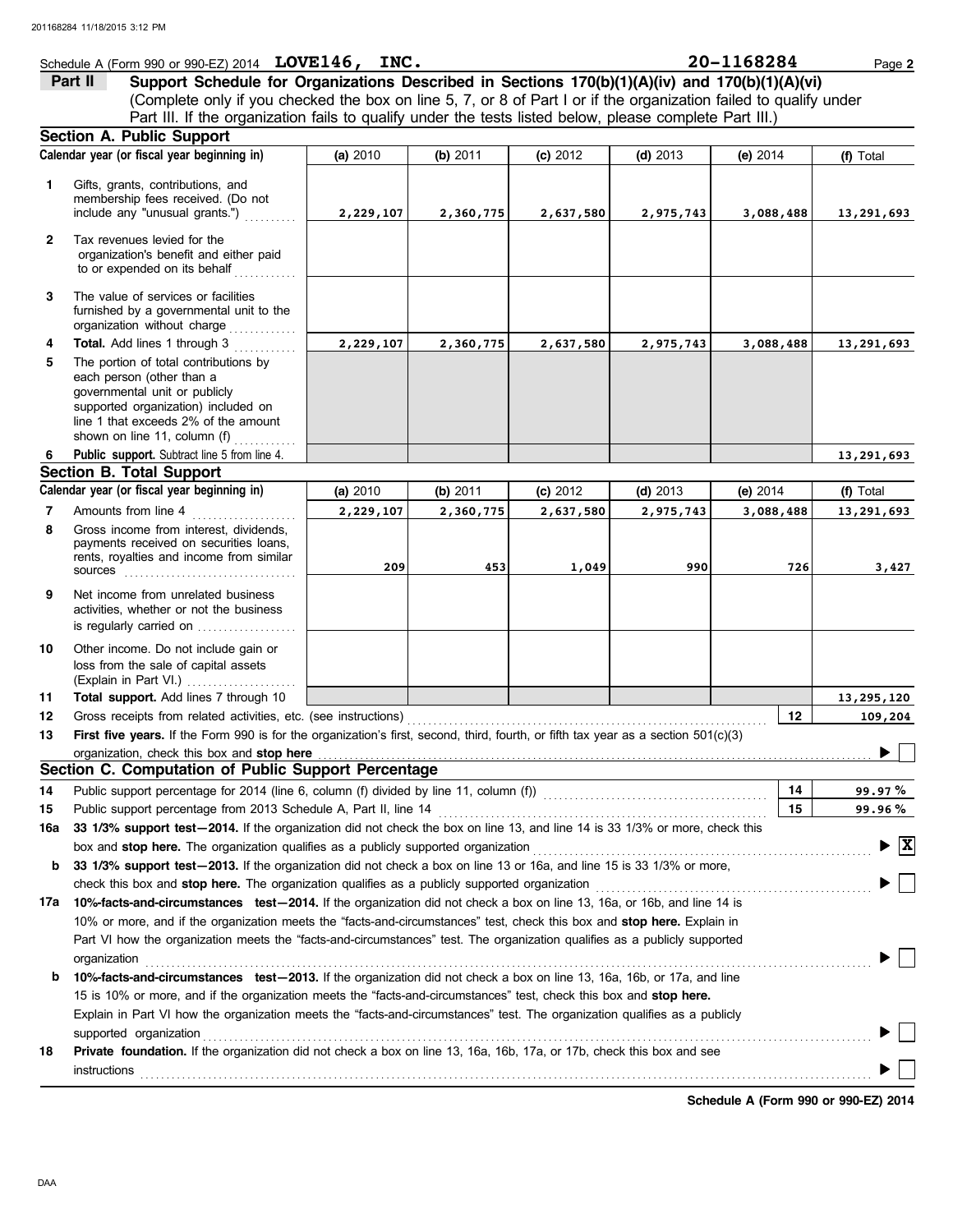### Schedule A (Form 990 or 990-EZ) 2014 Page **2 LOVE146, INC. 20-1168284**

(Complete only if you checked the box on line 5, 7, or 8 of Part I or if the organization failed to qualify under **Part II Support Schedule for Organizations Described in Sections 170(b)(1)(A)(iv) and 170(b)(1)(A)(vi)** Part III. If the organization fails to qualify under the tests listed below, please complete Part III.)

|              | <b>Section A. Public Support</b>                                                                                                                                                                                                                   |           |           |           |            |            |                                     |
|--------------|----------------------------------------------------------------------------------------------------------------------------------------------------------------------------------------------------------------------------------------------------|-----------|-----------|-----------|------------|------------|-------------------------------------|
|              | Calendar year (or fiscal year beginning in)                                                                                                                                                                                                        | (a) 2010  | (b) 2011  | (c) 2012  | $(d)$ 2013 | (e) $2014$ | (f) Total                           |
| 1.           | Gifts, grants, contributions, and<br>membership fees received. (Do not<br>include any "unusual grants.")                                                                                                                                           | 2,229,107 | 2,360,775 | 2,637,580 | 2,975,743  | 3,088,488  | 13,291,693                          |
| $\mathbf{2}$ | Tax revenues levied for the<br>organization's benefit and either paid<br>to or expended on its behalf                                                                                                                                              |           |           |           |            |            |                                     |
| 3            | The value of services or facilities<br>furnished by a governmental unit to the<br>organization without charge                                                                                                                                      |           |           |           |            |            |                                     |
| 4<br>5       | Total. Add lines 1 through 3<br>The portion of total contributions by<br>each person (other than a<br>governmental unit or publicly<br>supported organization) included on<br>line 1 that exceeds 2% of the amount<br>shown on line 11, column (f) | 2,229,107 | 2,360,775 | 2,637,580 | 2,975,743  | 3,088,488  | 13,291,693                          |
| 6            | Public support. Subtract line 5 from line 4.                                                                                                                                                                                                       |           |           |           |            |            | 13,291,693                          |
|              | <b>Section B. Total Support</b>                                                                                                                                                                                                                    |           |           |           |            |            |                                     |
|              | Calendar year (or fiscal year beginning in)                                                                                                                                                                                                        | (a) 2010  | (b) 2011  | (c) 2012  | $(d)$ 2013 | (e) $2014$ | (f) Total                           |
| 7            | Amounts from line 4                                                                                                                                                                                                                                | 2,229,107 | 2,360,775 | 2,637,580 | 2,975,743  | 3,088,488  | 13,291,693                          |
| 8            | Gross income from interest, dividends,<br>payments received on securities loans,<br>rents, royalties and income from similar<br><b>sources</b>                                                                                                     | 209       | 453       | 1,049     | 990        | 726        | 3,427                               |
| 9            | Net income from unrelated business<br>activities, whether or not the business<br>is regularly carried on                                                                                                                                           |           |           |           |            |            |                                     |
| 10           | Other income. Do not include gain or<br>loss from the sale of capital assets<br>(Explain in Part VI.)                                                                                                                                              |           |           |           |            |            |                                     |
| 11           | Total support. Add lines 7 through 10                                                                                                                                                                                                              |           |           |           |            |            | 13,295,120                          |
| 12           | Gross receipts from related activities, etc. (see instructions)                                                                                                                                                                                    |           |           |           |            | 12         | 109,204                             |
| 13           | First five years. If the Form 990 is for the organization's first, second, third, fourth, or fifth tax year as a section 501(c)(3)                                                                                                                 |           |           |           |            |            |                                     |
|              | organization, check this box and stop here<br>Section C. Computation of Public Support Percentage                                                                                                                                                  |           |           |           |            |            |                                     |
|              |                                                                                                                                                                                                                                                    |           |           |           |            |            |                                     |
| 14           | Public support percentage for 2014 (line 6, column (f) divided by line 11, column (f)) [[[[[[[[[[[[[[[[[[[[[[                                                                                                                                      |           |           |           |            | 14         | 99.97 %                             |
| 15           | Public support percentage from 2013 Schedule A, Part II, line 14                                                                                                                                                                                   |           |           |           |            | 15         | 99.96%                              |
|              | 16a 33 1/3% support test-2014. If the organization did not check the box on line 13, and line 14 is 33 1/3% or more, check this                                                                                                                    |           |           |           |            |            |                                     |
|              | box and stop here. The organization qualifies as a publicly supported organization                                                                                                                                                                 |           |           |           |            |            | $\triangleright$ $\boxed{\text{X}}$ |
| b            | 33 1/3% support test-2013. If the organization did not check a box on line 13 or 16a, and line 15 is 33 1/3% or more,                                                                                                                              |           |           |           |            |            |                                     |
|              | check this box and stop here. The organization qualifies as a publicly supported organization                                                                                                                                                      |           |           |           |            |            |                                     |
| 17a          | 10%-facts-and-circumstances test-2014. If the organization did not check a box on line 13, 16a, or 16b, and line 14 is                                                                                                                             |           |           |           |            |            |                                     |
|              | 10% or more, and if the organization meets the "facts-and-circumstances" test, check this box and stop here. Explain in                                                                                                                            |           |           |           |            |            |                                     |
|              | Part VI how the organization meets the "facts-and-circumstances" test. The organization qualifies as a publicly supported                                                                                                                          |           |           |           |            |            |                                     |
|              | organization                                                                                                                                                                                                                                       |           |           |           |            |            |                                     |
| b            | 10%-facts-and-circumstances test-2013. If the organization did not check a box on line 13, 16a, 16b, or 17a, and line                                                                                                                              |           |           |           |            |            |                                     |
|              | 15 is 10% or more, and if the organization meets the "facts-and-circumstances" test, check this box and stop here.                                                                                                                                 |           |           |           |            |            |                                     |
|              | Explain in Part VI how the organization meets the "facts-and-circumstances" test. The organization qualifies as a publicly                                                                                                                         |           |           |           |            |            |                                     |
|              | supported organization<br>Private foundation. If the organization did not check a box on line 13, 16a, 16b, 17a, or 17b, check this box and see                                                                                                    |           |           |           |            |            |                                     |
| 18           | instructions                                                                                                                                                                                                                                       |           |           |           |            |            |                                     |
|              |                                                                                                                                                                                                                                                    |           |           |           |            |            |                                     |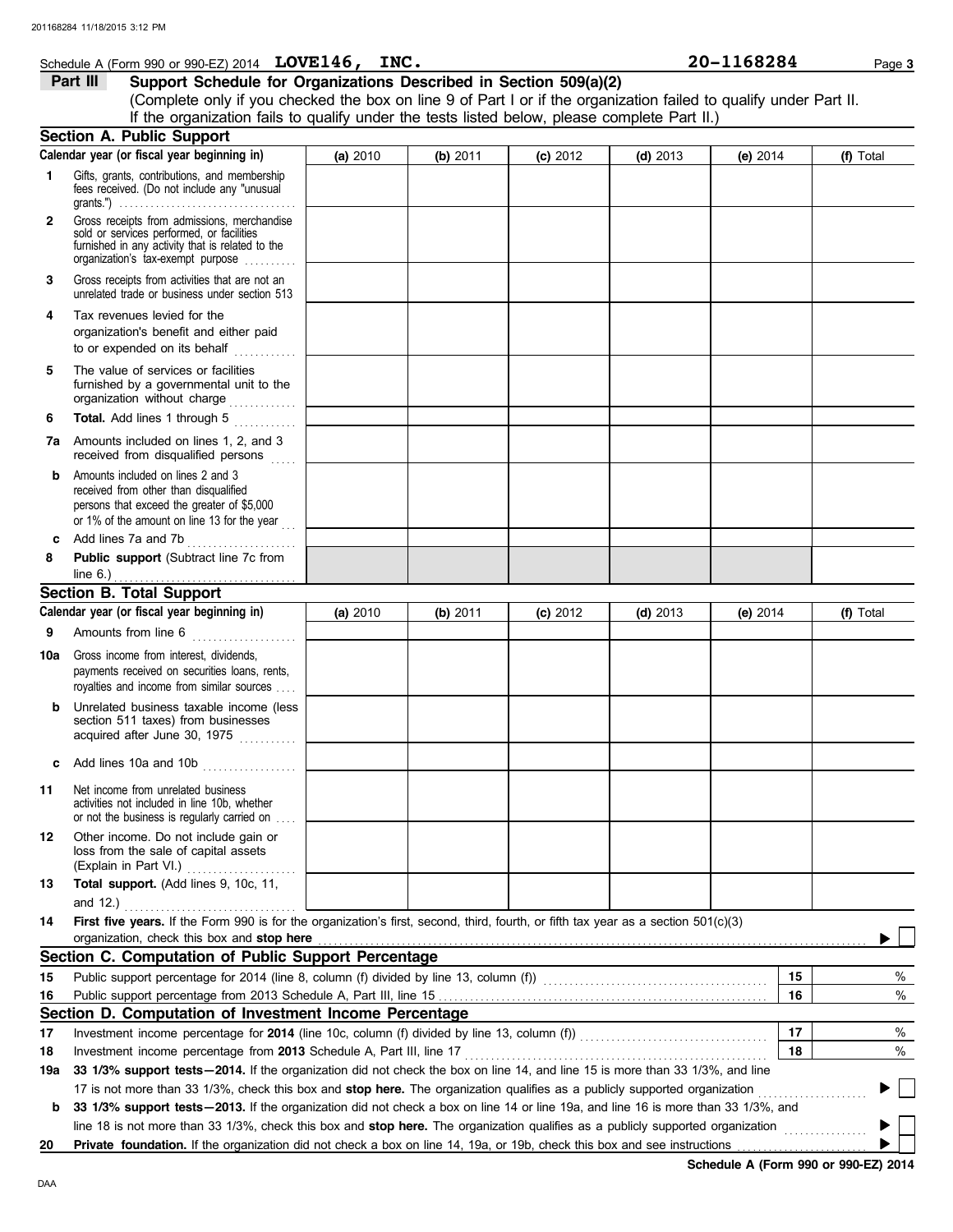**1**

### **Schedule A (Form 990 or 990-EZ) 2014 LOVE146, INC.** 20 **20 - 1168284** Page 3

### **Part III Support Schedule for Organizations Described in Section 509(a)(2)**

(Complete only if you checked the box on line 9 of Part I or if the organization failed to qualify under Part II. Gifts, grants, contributions, and membership fees received. (Do not include any "unusual **Section A. Public Support (a)** 2010 **(b)** 2011 **(c)** 2012 **(d)** 2013 **(e)** 2014 **(f)** Total **Calendar year (or fiscal year beginning in)**  If the organization fails to qualify under the tests listed below, please complete Part II.)

| $\mathbf{2}$ | Gross receipts from admissions, merchandise<br>sold or services performed, or facilities<br>furnished in any activity that is related to the<br>organization's tax-exempt purpose      |          |          |          |            |            |    |           |   |
|--------------|----------------------------------------------------------------------------------------------------------------------------------------------------------------------------------------|----------|----------|----------|------------|------------|----|-----------|---|
| 3            | Gross receipts from activities that are not an<br>unrelated trade or business under section 513                                                                                        |          |          |          |            |            |    |           |   |
| 4            | Tax revenues levied for the<br>organization's benefit and either paid<br>to or expended on its behalf                                                                                  |          |          |          |            |            |    |           |   |
| 5            | The value of services or facilities<br>furnished by a governmental unit to the<br>organization without charge                                                                          |          |          |          |            |            |    |           |   |
| 6            | Total. Add lines 1 through 5                                                                                                                                                           |          |          |          |            |            |    |           |   |
|              | <b>7a</b> Amounts included on lines 1, 2, and 3<br>received from disqualified persons                                                                                                  |          |          |          |            |            |    |           |   |
| b            | Amounts included on lines 2 and 3<br>received from other than disqualified<br>persons that exceed the greater of \$5,000<br>or 1% of the amount on line 13 for the year $\frac{1}{11}$ |          |          |          |            |            |    |           |   |
| c            | Add lines 7a and 7b<br>.                                                                                                                                                               |          |          |          |            |            |    |           |   |
| 8            | Public support (Subtract line 7c from                                                                                                                                                  |          |          |          |            |            |    |           |   |
|              |                                                                                                                                                                                        |          |          |          |            |            |    |           |   |
|              | <b>Section B. Total Support</b>                                                                                                                                                        |          |          |          |            |            |    |           |   |
|              | Calendar year (or fiscal year beginning in)                                                                                                                                            | (a) 2010 | (b) 2011 | (c) 2012 | $(d)$ 2013 | (e) $2014$ |    | (f) Total |   |
| 9            | Amounts from line 6                                                                                                                                                                    |          |          |          |            |            |    |           |   |
| 10a          | Gross income from interest, dividends,<br>payments received on securities loans, rents,<br>royalties and income from similar sources                                                   |          |          |          |            |            |    |           |   |
| b            | Unrelated business taxable income (less<br>section 511 taxes) from businesses<br>acquired after June 30, 1975                                                                          |          |          |          |            |            |    |           |   |
| c            | Add lines 10a and 10b                                                                                                                                                                  |          |          |          |            |            |    |           |   |
| 11           | Net income from unrelated business<br>activities not included in line 10b, whether<br>or not the business is regularly carried on                                                      |          |          |          |            |            |    |           |   |
| 12           | Other income. Do not include gain or<br>loss from the sale of capital assets                                                                                                           |          |          |          |            |            |    |           |   |
| 13           | Total support. (Add lines 9, 10c, 11,                                                                                                                                                  |          |          |          |            |            |    |           |   |
|              | and 12.)                                                                                                                                                                               |          |          |          |            |            |    |           |   |
| 14           | First five years. If the Form 990 is for the organization's first, second, third, fourth, or fifth tax year as a section 501(c)(3)                                                     |          |          |          |            |            |    |           |   |
|              | organization, check this box and stop here                                                                                                                                             |          |          |          |            |            |    |           |   |
|              | Section C. Computation of Public Support Percentage                                                                                                                                    |          |          |          |            |            |    |           |   |
| 15           |                                                                                                                                                                                        |          |          |          |            |            | 15 |           | % |
| 16           |                                                                                                                                                                                        |          |          |          |            |            | 16 |           | % |
|              | Section D. Computation of Investment Income Percentage                                                                                                                                 |          |          |          |            |            |    |           |   |
| 17           | Investment income percentage for 2014 (line 10c, column (f) divided by line 13, column (f)) [[[[[[[[[[[[[[[[[[                                                                         |          |          |          |            |            | 17 |           | % |
| 18           | Investment income percentage from 2013 Schedule A, Part III, line 17                                                                                                                   |          |          |          |            |            | 18 |           | % |
| 19a          | 33 1/3% support tests - 2014. If the organization did not check the box on line 14, and line 15 is more than 33 1/3%, and line                                                         |          |          |          |            |            |    |           |   |
|              | 17 is not more than 33 1/3%, check this box and stop here. The organization qualifies as a publicly supported organization                                                             |          |          |          |            |            |    |           |   |
| b            | 33 1/3% support tests - 2013. If the organization did not check a box on line 14 or line 19a, and line 16 is more than 33 1/3%, and                                                    |          |          |          |            |            |    |           |   |
|              | line 18 is not more than 33 1/3%, check this box and stop here. The organization qualifies as a publicly supported organization                                                        |          |          |          |            |            |    |           |   |
| 20           | Private foundation. If the organization did not check a box on line 14, 19a, or 19b, check this box and see instructions                                                               |          |          |          |            |            |    |           |   |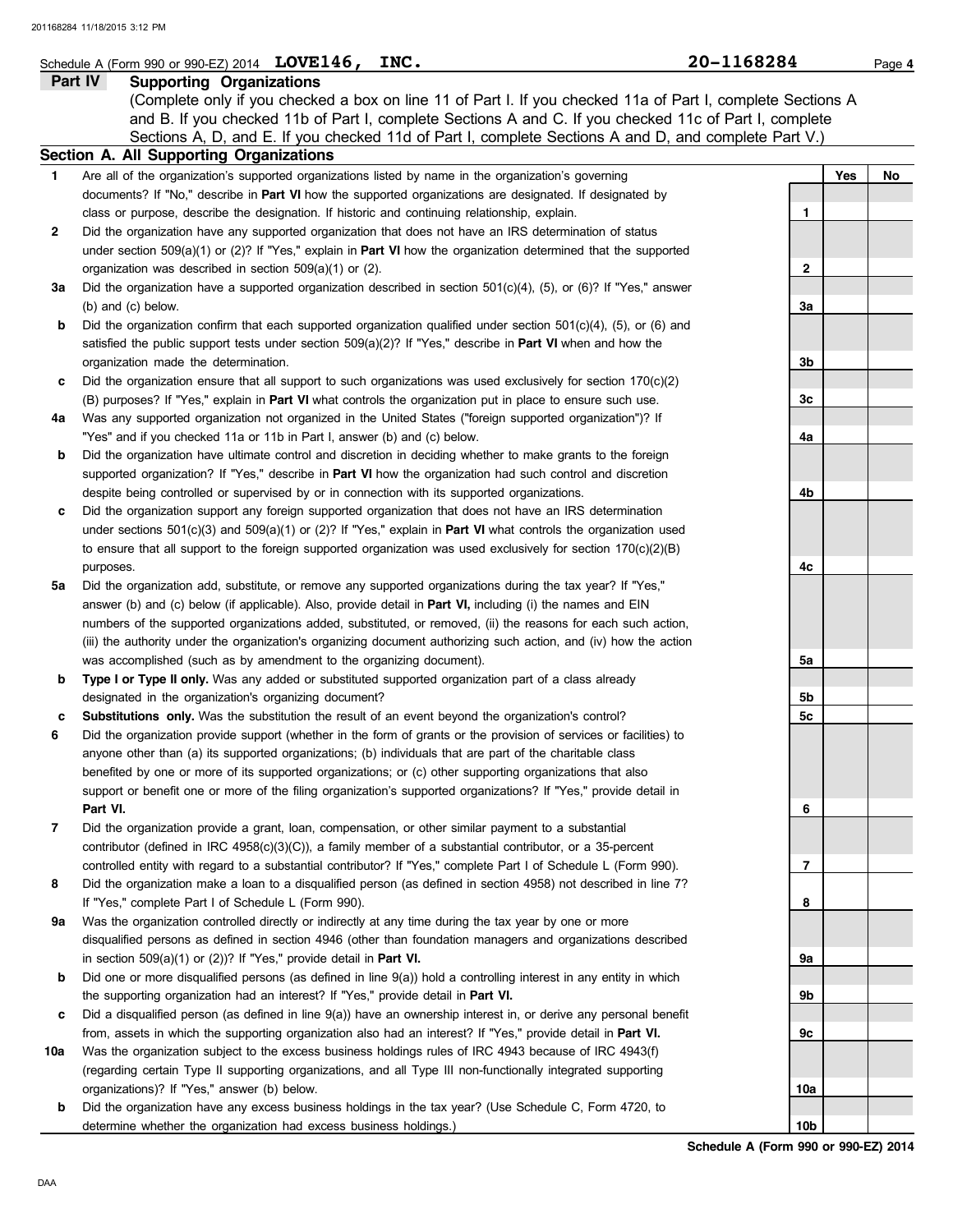|        | Schedule A (Form 990 or 990-EZ) 2014 $LOVE146$ ,<br>INC.                                                                                                                                                                 | 20-1168284      | Page 4    |
|--------|--------------------------------------------------------------------------------------------------------------------------------------------------------------------------------------------------------------------------|-----------------|-----------|
|        | Part IV<br><b>Supporting Organizations</b>                                                                                                                                                                               |                 |           |
|        | (Complete only if you checked a box on line 11 of Part I. If you checked 11a of Part I, complete Sections A                                                                                                              |                 |           |
|        | and B. If you checked 11b of Part I, complete Sections A and C. If you checked 11c of Part I, complete                                                                                                                   |                 |           |
|        | Sections A, D, and E. If you checked 11d of Part I, complete Sections A and D, and complete Part V.)                                                                                                                     |                 |           |
|        | Section A. All Supporting Organizations                                                                                                                                                                                  |                 |           |
| 1      | Are all of the organization's supported organizations listed by name in the organization's governing                                                                                                                     |                 | Yes<br>No |
|        | documents? If "No," describe in Part VI how the supported organizations are designated. If designated by                                                                                                                 |                 |           |
|        | class or purpose, describe the designation. If historic and continuing relationship, explain.                                                                                                                            | 1               |           |
| 2      | Did the organization have any supported organization that does not have an IRS determination of status                                                                                                                   |                 |           |
|        | under section $509(a)(1)$ or (2)? If "Yes," explain in <b>Part VI</b> how the organization determined that the supported                                                                                                 |                 |           |
|        | organization was described in section 509(a)(1) or (2).                                                                                                                                                                  | 2               |           |
| За     | Did the organization have a supported organization described in section $501(c)(4)$ , $(5)$ , or $(6)$ ? If "Yes," answer<br>(b) and (c) below.                                                                          | За              |           |
| b      | Did the organization confirm that each supported organization qualified under section $501(c)(4)$ , (5), or (6) and                                                                                                      |                 |           |
|        | satisfied the public support tests under section $509(a)(2)$ ? If "Yes," describe in <b>Part VI</b> when and how the                                                                                                     |                 |           |
|        | organization made the determination.                                                                                                                                                                                     | 3b              |           |
| c      | Did the organization ensure that all support to such organizations was used exclusively for section $170(c)(2)$                                                                                                          |                 |           |
|        | (B) purposes? If "Yes," explain in Part VI what controls the organization put in place to ensure such use.                                                                                                               | 3c              |           |
| 4a     | Was any supported organization not organized in the United States ("foreign supported organization")? If                                                                                                                 |                 |           |
|        | "Yes" and if you checked 11a or 11b in Part I, answer (b) and (c) below.                                                                                                                                                 | 4a              |           |
| b      | Did the organization have ultimate control and discretion in deciding whether to make grants to the foreign                                                                                                              |                 |           |
|        | supported organization? If "Yes," describe in Part VI how the organization had such control and discretion                                                                                                               |                 |           |
|        | despite being controlled or supervised by or in connection with its supported organizations.                                                                                                                             | 4b              |           |
| c      | Did the organization support any foreign supported organization that does not have an IRS determination                                                                                                                  |                 |           |
|        | under sections $501(c)(3)$ and $509(a)(1)$ or (2)? If "Yes," explain in <b>Part VI</b> what controls the organization used                                                                                               |                 |           |
|        | to ensure that all support to the foreign supported organization was used exclusively for section $170(c)(2)(B)$                                                                                                         |                 |           |
|        | purposes.                                                                                                                                                                                                                | 4c              |           |
| 5a     | Did the organization add, substitute, or remove any supported organizations during the tax year? If "Yes,"                                                                                                               |                 |           |
|        | answer (b) and (c) below (if applicable). Also, provide detail in Part VI, including (i) the names and EIN                                                                                                               |                 |           |
|        | numbers of the supported organizations added, substituted, or removed, (ii) the reasons for each such action,                                                                                                            |                 |           |
|        | (iii) the authority under the organization's organizing document authorizing such action, and (iv) how the action                                                                                                        |                 |           |
|        | was accomplished (such as by amendment to the organizing document).                                                                                                                                                      | 5a              |           |
| b      | Type I or Type II only. Was any added or substituted supported organization part of a class already                                                                                                                      |                 |           |
|        | designated in the organization's organizing document?                                                                                                                                                                    | 5b              |           |
| c<br>6 | Substitutions only. Was the substitution the result of an event beyond the organization's control?<br>Did the organization provide support (whether in the form of grants or the provision of services or facilities) to | 5с              |           |
|        | anyone other than (a) its supported organizations; (b) individuals that are part of the charitable class                                                                                                                 |                 |           |
|        | benefited by one or more of its supported organizations; or (c) other supporting organizations that also                                                                                                                 |                 |           |
|        | support or benefit one or more of the filing organization's supported organizations? If "Yes," provide detail in                                                                                                         |                 |           |
|        | Part VI.                                                                                                                                                                                                                 | 6               |           |
| 7      | Did the organization provide a grant, loan, compensation, or other similar payment to a substantial                                                                                                                      |                 |           |
|        | contributor (defined in IRC 4958(c)(3)(C)), a family member of a substantial contributor, or a 35-percent                                                                                                                |                 |           |
|        | controlled entity with regard to a substantial contributor? If "Yes," complete Part I of Schedule L (Form 990).                                                                                                          | 7               |           |
| 8      | Did the organization make a loan to a disqualified person (as defined in section 4958) not described in line 7?                                                                                                          |                 |           |
|        | If "Yes," complete Part I of Schedule L (Form 990).                                                                                                                                                                      | 8               |           |
| 9а     | Was the organization controlled directly or indirectly at any time during the tax year by one or more                                                                                                                    |                 |           |
|        | disqualified persons as defined in section 4946 (other than foundation managers and organizations described                                                                                                              |                 |           |
|        | in section $509(a)(1)$ or $(2)$ ? If "Yes," provide detail in Part VI.                                                                                                                                                   | 9а              |           |
| b      | Did one or more disqualified persons (as defined in line $9(a)$ ) hold a controlling interest in any entity in which                                                                                                     |                 |           |
|        | the supporting organization had an interest? If "Yes," provide detail in Part VI.                                                                                                                                        | 9b              |           |
| c      | Did a disqualified person (as defined in line 9(a)) have an ownership interest in, or derive any personal benefit                                                                                                        |                 |           |
|        | from, assets in which the supporting organization also had an interest? If "Yes," provide detail in Part VI.                                                                                                             | 9c              |           |
| 10a    | Was the organization subject to the excess business holdings rules of IRC 4943 because of IRC 4943(f)                                                                                                                    |                 |           |
|        | (regarding certain Type II supporting organizations, and all Type III non-functionally integrated supporting                                                                                                             |                 |           |
|        | organizations)? If "Yes," answer (b) below.                                                                                                                                                                              | 10a             |           |
| b      | Did the organization have any excess business holdings in the tax year? (Use Schedule C, Form 4720, to                                                                                                                   | 10 <sub>b</sub> |           |
|        | determine whether the organization had excess business holdings.)                                                                                                                                                        |                 |           |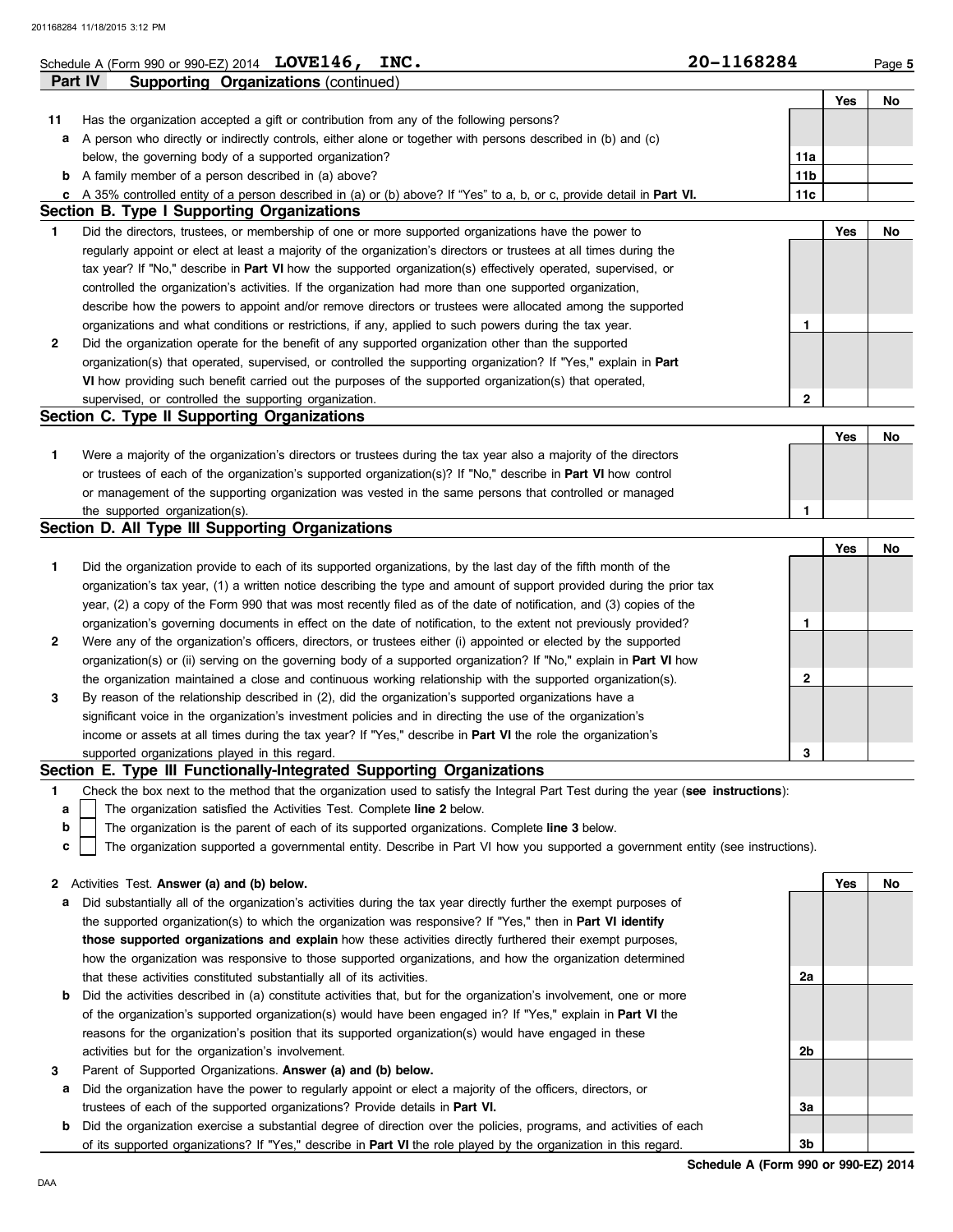## **Schedule A (Form 990 or 990-EZ) 2014 LOVE146, INC.** 20 **20 - 1168284** Page 5

|              | Part IV<br><b>Supporting Organizations (continued)</b>                                                                |                 |            |           |
|--------------|-----------------------------------------------------------------------------------------------------------------------|-----------------|------------|-----------|
|              |                                                                                                                       |                 | Yes        | No        |
| 11           | Has the organization accepted a gift or contribution from any of the following persons?                               |                 |            |           |
| а            | A person who directly or indirectly controls, either alone or together with persons described in (b) and (c)          |                 |            |           |
|              | below, the governing body of a supported organization?                                                                | 11a             |            |           |
| b            | A family member of a person described in (a) above?                                                                   | 11 <sub>b</sub> |            |           |
|              | A 35% controlled entity of a person described in (a) or (b) above? If "Yes" to a, b, or c, provide detail in Part VI. | 11c             |            |           |
|              | Section B. Type I Supporting Organizations                                                                            |                 |            |           |
| 1            | Did the directors, trustees, or membership of one or more supported organizations have the power to                   |                 | <b>Yes</b> | No        |
|              | regularly appoint or elect at least a majority of the organization's directors or trustees at all times during the    |                 |            |           |
|              | tax year? If "No," describe in Part VI how the supported organization(s) effectively operated, supervised, or         |                 |            |           |
|              | controlled the organization's activities. If the organization had more than one supported organization,               |                 |            |           |
|              | describe how the powers to appoint and/or remove directors or trustees were allocated among the supported             |                 |            |           |
|              | organizations and what conditions or restrictions, if any, applied to such powers during the tax year.                | 1               |            |           |
| 2            | Did the organization operate for the benefit of any supported organization other than the supported                   |                 |            |           |
|              | organization(s) that operated, supervised, or controlled the supporting organization? If "Yes," explain in Part       |                 |            |           |
|              | VI how providing such benefit carried out the purposes of the supported organization(s) that operated,                |                 |            |           |
|              | supervised, or controlled the supporting organization.                                                                | $\mathbf{2}$    |            |           |
|              | Section C. Type II Supporting Organizations                                                                           |                 |            |           |
|              |                                                                                                                       |                 | Yes        | <b>No</b> |
| 1.           | Were a majority of the organization's directors or trustees during the tax year also a majority of the directors      |                 |            |           |
|              | or trustees of each of the organization's supported organization(s)? If "No," describe in <b>Part VI</b> how control  |                 |            |           |
|              | or management of the supporting organization was vested in the same persons that controlled or managed                |                 |            |           |
|              | the supported organization(s).                                                                                        | 1               |            |           |
|              | Section D. All Type III Supporting Organizations                                                                      |                 |            |           |
|              |                                                                                                                       |                 | Yes        | No        |
| 1            | Did the organization provide to each of its supported organizations, by the last day of the fifth month of the        |                 |            |           |
|              | organization's tax year, (1) a written notice describing the type and amount of support provided during the prior tax |                 |            |           |
|              | year, (2) a copy of the Form 990 that was most recently filed as of the date of notification, and (3) copies of the   |                 |            |           |
|              | organization's governing documents in effect on the date of notification, to the extent not previously provided?      | 1               |            |           |
| $\mathbf{2}$ | Were any of the organization's officers, directors, or trustees either (i) appointed or elected by the supported      |                 |            |           |
|              | to All the ABI the short of the construction hashed at a construction of the California Boundary of Maria VII b       |                 |            |           |

the organization maintained a close and continuous working relationship with the supported organization(s). organization(s) or (ii) serving on the governing body of a supported organization? If "No," explain in **Part VI** how **3** By reason of the relationship described in (2), did the organization's supported organizations have a

| supported organizations played in this regard.                                                                      |  |  |
|---------------------------------------------------------------------------------------------------------------------|--|--|
| income or assets at all times during the tax year? If "Yes," describe in <b>Part VI</b> the role the organization's |  |  |
| significant voice in the organization's investment policies and in directing the use of the organization's          |  |  |

#### **Section E. Type III Functionally-Integrated Supporting Organizations**

**1** Check the box next to the method that the organization used to satisfy the Integral Part Test during the year (**see instructions**):

- The organization satisfied the Activities Test. Complete **line 2** below. **a**
- The organization is the parent of each of its supported organizations. Complete **line 3** below. **b**
- The organization supported a governmental entity. Describe in Part VI how you supported a government entity (see instructions). **c**

#### **2** Activities Test. **Answer (a) and (b) below.**

- **a** Did substantially all of the organization's activities during the tax year directly further the exempt purposes of the supported organization(s) to which the organization was responsive? If "Yes," then in **Part VI identify those supported organizations and explain** how these activities directly furthered their exempt purposes, how the organization was responsive to those supported organizations, and how the organization determined that these activities constituted substantially all of its activities.
- **b** Did the activities described in (a) constitute activities that, but for the organization's involvement, one or more of the organization's supported organization(s) would have been engaged in? If "Yes," explain in **Part VI** the reasons for the organization's position that its supported organization(s) would have engaged in these activities but for the organization's involvement.
- **3** Parent of Supported Organizations. **Answer (a) and (b) below.**
- **a** Did the organization have the power to regularly appoint or elect a majority of the officers, directors, or trustees of each of the supported organizations? Provide details in **Part VI.**
- **b** Did the organization exercise a substantial degree of direction over the policies, programs, and activities of each of its supported organizations? If "Yes," describe in **Part VI** the role played by the organization in this regard.

**Yes No 2a 2b 3a 3b**

**2**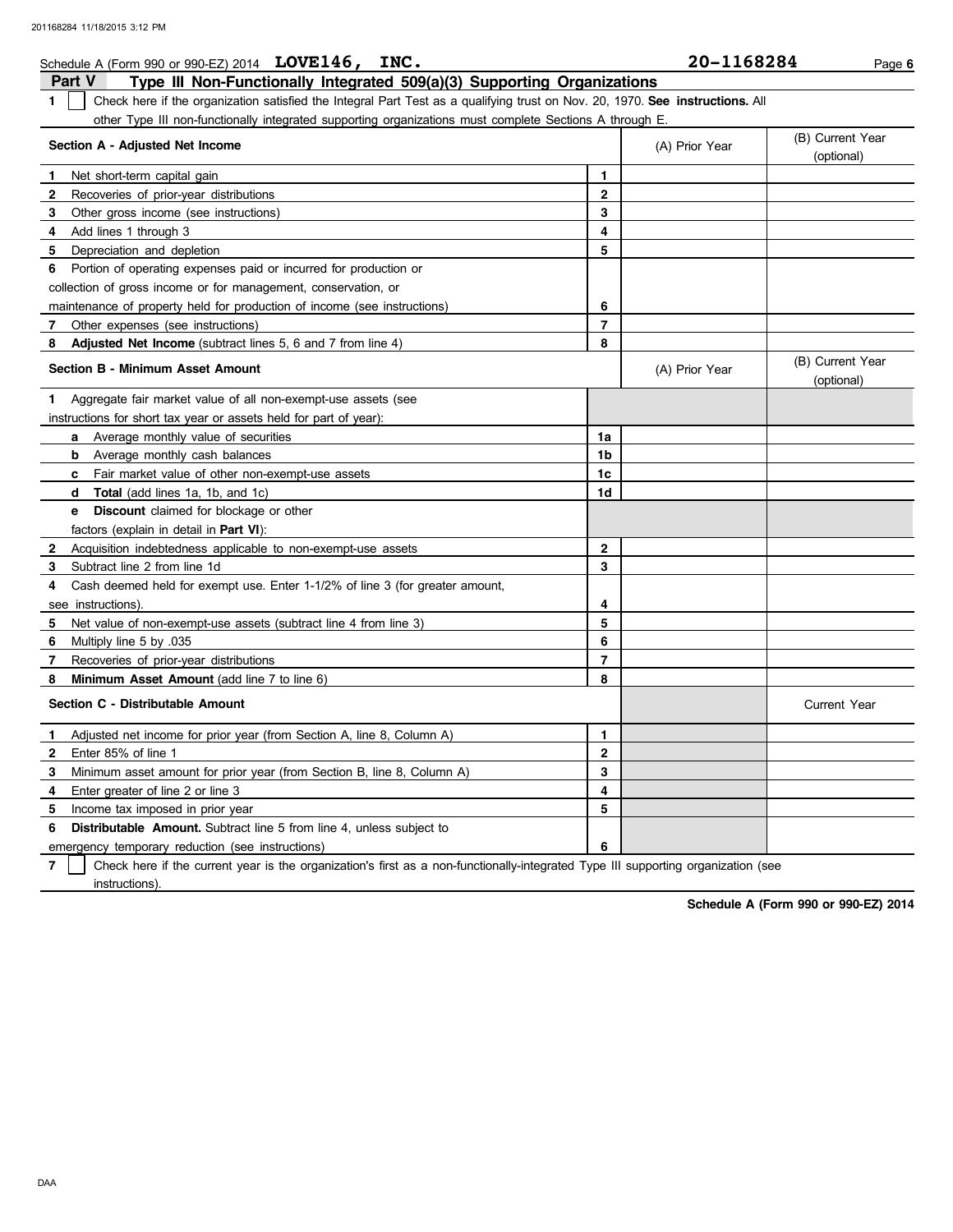| Schedule A (Form 990 or 990-EZ) 2014 $LOVE146, \quad INC.$                                                                                    |                | 20-1168284     | Page 6                         |
|-----------------------------------------------------------------------------------------------------------------------------------------------|----------------|----------------|--------------------------------|
| <b>Part V</b><br>Type III Non-Functionally Integrated 509(a)(3) Supporting Organizations                                                      |                |                |                                |
| Check here if the organization satisfied the Integral Part Test as a qualifying trust on Nov. 20, 1970. See instructions. All<br>$\mathbf{1}$ |                |                |                                |
| other Type III non-functionally integrated supporting organizations must complete Sections A through E.                                       |                |                |                                |
| Section A - Adjusted Net Income                                                                                                               |                | (A) Prior Year | (B) Current Year<br>(optional) |
| Net short-term capital gain<br>-1                                                                                                             | 1.             |                |                                |
| $\mathbf{2}$<br>Recoveries of prior-year distributions                                                                                        | $\mathbf{2}$   |                |                                |
| 3<br>Other gross income (see instructions)                                                                                                    | 3              |                |                                |
| Add lines 1 through 3<br>4                                                                                                                    | 4              |                |                                |
| 5 Depreciation and depletion                                                                                                                  | 5              |                |                                |
| 6 Portion of operating expenses paid or incurred for production or                                                                            |                |                |                                |
| collection of gross income or for management, conservation, or                                                                                |                |                |                                |
| maintenance of property held for production of income (see instructions)                                                                      | 6              |                |                                |
| Other expenses (see instructions)<br>7                                                                                                        | $\overline{7}$ |                |                                |
| Adjusted Net Income (subtract lines 5, 6 and 7 from line 4)<br>8                                                                              | 8              |                |                                |
| <b>Section B - Minimum Asset Amount</b>                                                                                                       |                | (A) Prior Year | (B) Current Year<br>(optional) |
| Aggregate fair market value of all non-exempt-use assets (see<br>1.                                                                           |                |                |                                |
| instructions for short tax year or assets held for part of year):                                                                             |                |                |                                |
| <b>a</b> Average monthly value of securities                                                                                                  | 1a             |                |                                |
| Average monthly cash balances<br>b                                                                                                            | 1b             |                |                                |
| <b>c</b> Fair market value of other non-exempt-use assets                                                                                     | 1c             |                |                                |
| <b>d</b> Total (add lines 1a, 1b, and 1c)                                                                                                     | 1d             |                |                                |
| <b>Discount</b> claimed for blockage or other<br>e                                                                                            |                |                |                                |
| factors (explain in detail in Part VI):                                                                                                       |                |                |                                |
| $\mathbf{2}$<br>Acquisition indebtedness applicable to non-exempt-use assets                                                                  | $\mathbf 2$    |                |                                |
| Subtract line 2 from line 1d<br>3                                                                                                             | 3              |                |                                |
| Cash deemed held for exempt use. Enter 1-1/2% of line 3 (for greater amount,<br>4                                                             |                |                |                                |
| see instructions)                                                                                                                             | 4              |                |                                |
| 5 Net value of non-exempt-use assets (subtract line 4 from line 3)                                                                            | 5              |                |                                |
| Multiply line 5 by .035<br>6                                                                                                                  | 6              |                |                                |
| Recoveries of prior-year distributions<br>7                                                                                                   | $\overline{ }$ |                |                                |
| Minimum Asset Amount (add line 7 to line 6)<br>8                                                                                              | 8              |                |                                |
| Section C - Distributable Amount                                                                                                              |                |                | <b>Current Year</b>            |
| Adjusted net income for prior year (from Section A, line 8, Column A)<br>1.                                                                   | 1              |                |                                |
| Enter 85% of line 1<br>$\mathbf{2}$                                                                                                           | $\mathbf{2}$   |                |                                |
| Minimum asset amount for prior year (from Section B, line 8, Column A)<br>3                                                                   | 3              |                |                                |
| Enter greater of line 2 or line 3<br>4                                                                                                        | 4              |                |                                |
| 5.<br>Income tax imposed in prior year                                                                                                        | 5              |                |                                |
|                                                                                                                                               |                |                |                                |

**6 Distributable Amount.** Subtract line 5 from line 4, unless subject to

emergency temporary reduction (see instructions)

**7** instructions). Check here if the current year is the organization's first as a non-functionally-integrated Type III supporting organization (see

**6**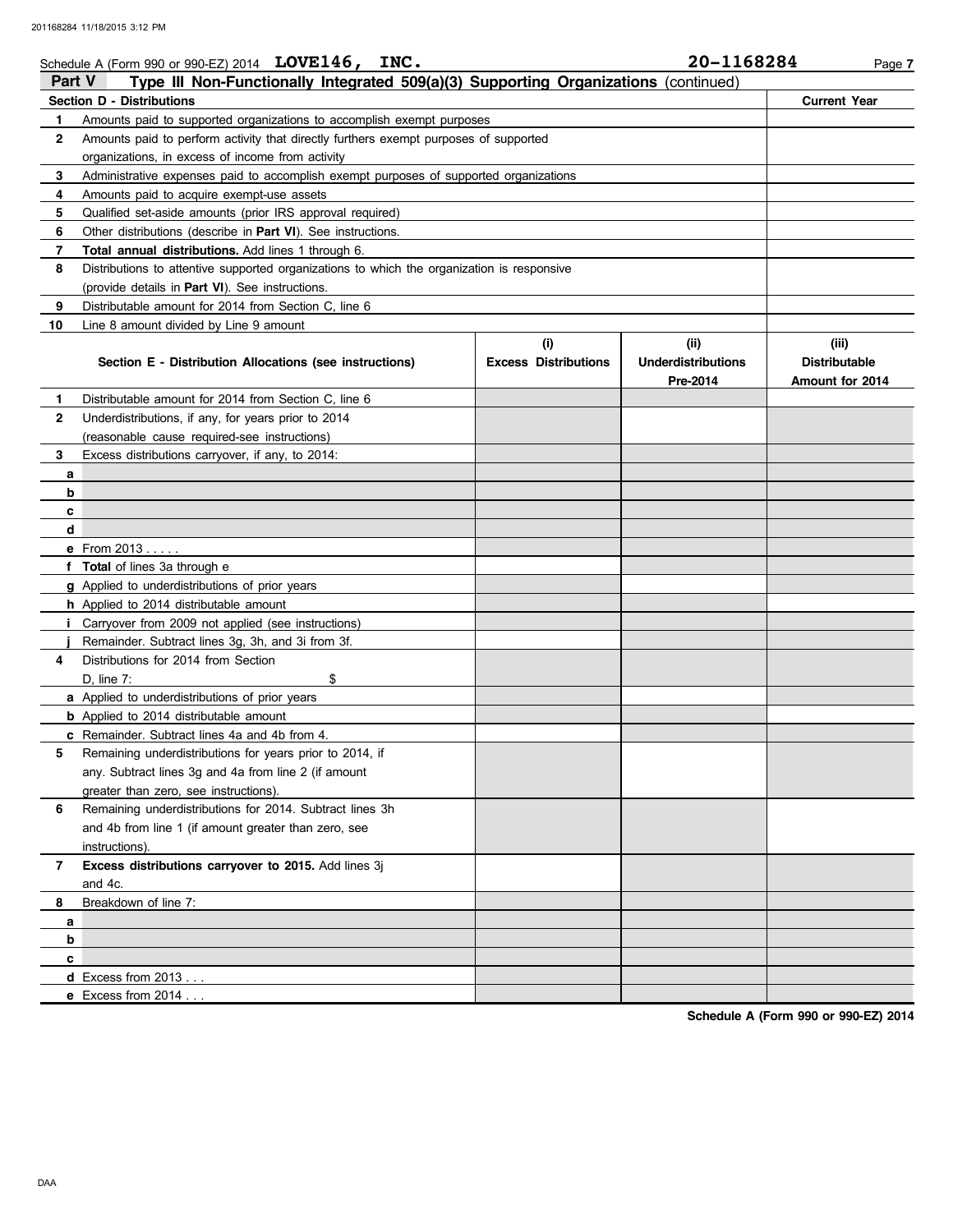#### **Schedule A (Form 990 or 990-EZ) 2014 LOVE146, INC.** 20 **20 - 1168284** Page 7 **Part V Type III Non-Functionally Integrated 509(a)(3) Supporting Organizations** (continued) **Section D - Distributions Current Year 1 2 3 4 5 6 7 8 9 10** Amounts paid to supported organizations to accomplish exempt purposes Amounts paid to perform activity that directly furthers exempt purposes of supported organizations, in excess of income from activity Administrative expenses paid to accomplish exempt purposes of supported organizations Amounts paid to acquire exempt-use assets Qualified set-aside amounts (prior IRS approval required) Other distributions (describe in **Part VI**). See instructions. **Total annual distributions.** Add lines 1 through 6. Distributions to attentive supported organizations to which the organization is responsive (provide details in **Part VI**). See instructions. Distributable amount for 2014 from Section C, line 6 Line 8 amount divided by Line 9 amount **Section E - Distribution Allocations (see instructions) Excess Distributions (i) (ii) Underdistributions Pre-2014 (iii) Distributable Amount for 2014 8 7 6** Remaining underdistributions for 2014. Subtract lines 3h **5 4** Distributions for 2014 from Section **3 2 1 a b c d e** From 2013 . . . . . **f Total** of lines 3a through e **g** Applied to underdistributions of prior years **h** Applied to 2014 distributable amount **i** Carryover from 2009 not applied (see instructions) **j** Remainder. Subtract lines 3g, 3h, and 3i from 3f. **a** Applied to underdistributions of prior years **b** Applied to 2014 distributable amount **c** Remainder. Subtract lines 4a and 4b from 4. **a b c d** Excess from 2013 . . . Distributable amount for 2014 from Section C, line 6 Underdistributions, if any, for years prior to 2014 (reasonable cause required-see instructions) Excess distributions carryover, if any, to 2014: D, line  $7:$  \$ Remaining underdistributions for years prior to 2014, if any. Subtract lines 3g and 4a from line 2 (if amount greater than zero, see instructions). and 4b from line 1 (if amount greater than zero, see instructions). **Excess distributions carryover to 2015.** Add lines 3j and 4c. Breakdown of line 7:

**Schedule A (Form 990 or 990-EZ) 2014**

**e** Excess from 2014 . . .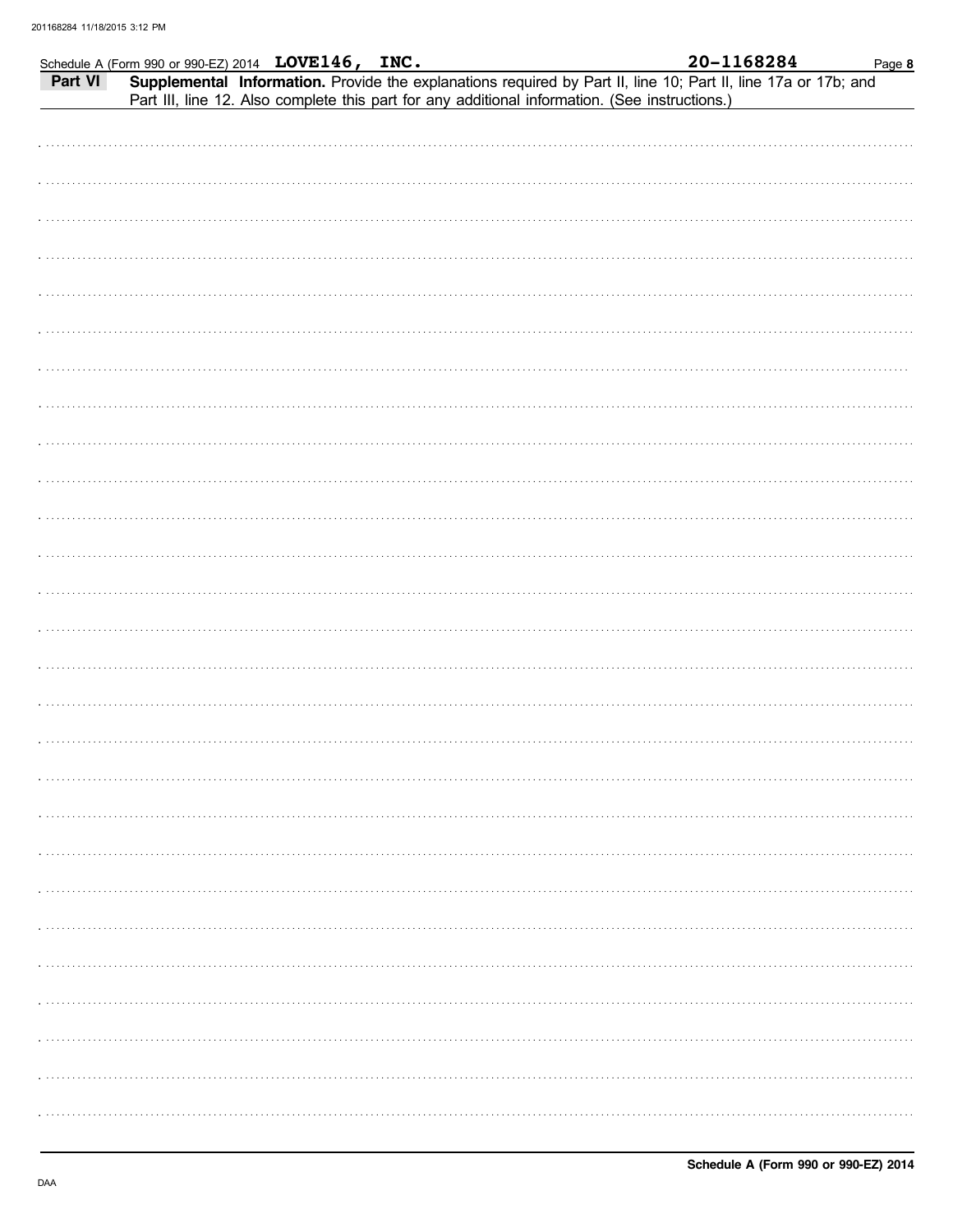|         | Schedule A (Form 990 or 990-EZ) 2014 LOVE146, INC.                                                             |  |  | 20-1168284 | Page 8 |
|---------|----------------------------------------------------------------------------------------------------------------|--|--|------------|--------|
| Part VI | Supplemental Information. Provide the explanations required by Part II, line 10; Part II, line 17a or 17b; and |  |  |            |        |
|         | Part III, line 12. Also complete this part for any additional information. (See instructions.)                 |  |  |            |        |
|         |                                                                                                                |  |  |            |        |
|         |                                                                                                                |  |  |            |        |
|         |                                                                                                                |  |  |            |        |
|         |                                                                                                                |  |  |            |        |
|         |                                                                                                                |  |  |            |        |
|         |                                                                                                                |  |  |            |        |
|         |                                                                                                                |  |  |            |        |
|         |                                                                                                                |  |  |            |        |
|         |                                                                                                                |  |  |            |        |
|         |                                                                                                                |  |  |            |        |
|         |                                                                                                                |  |  |            |        |
|         |                                                                                                                |  |  |            |        |
|         |                                                                                                                |  |  |            |        |
|         |                                                                                                                |  |  |            |        |
|         |                                                                                                                |  |  |            |        |
|         |                                                                                                                |  |  |            |        |
|         |                                                                                                                |  |  |            |        |
|         |                                                                                                                |  |  |            |        |
|         |                                                                                                                |  |  |            |        |
|         |                                                                                                                |  |  |            |        |
|         |                                                                                                                |  |  |            |        |
|         |                                                                                                                |  |  |            |        |
|         |                                                                                                                |  |  |            |        |
|         |                                                                                                                |  |  |            |        |
|         |                                                                                                                |  |  |            |        |
|         |                                                                                                                |  |  |            |        |
|         |                                                                                                                |  |  |            |        |
|         |                                                                                                                |  |  |            |        |
|         |                                                                                                                |  |  |            |        |
|         |                                                                                                                |  |  |            |        |
|         |                                                                                                                |  |  |            |        |
|         |                                                                                                                |  |  |            |        |
|         |                                                                                                                |  |  |            |        |
|         |                                                                                                                |  |  |            |        |
|         |                                                                                                                |  |  |            |        |
|         |                                                                                                                |  |  |            |        |
|         |                                                                                                                |  |  |            |        |
|         |                                                                                                                |  |  |            |        |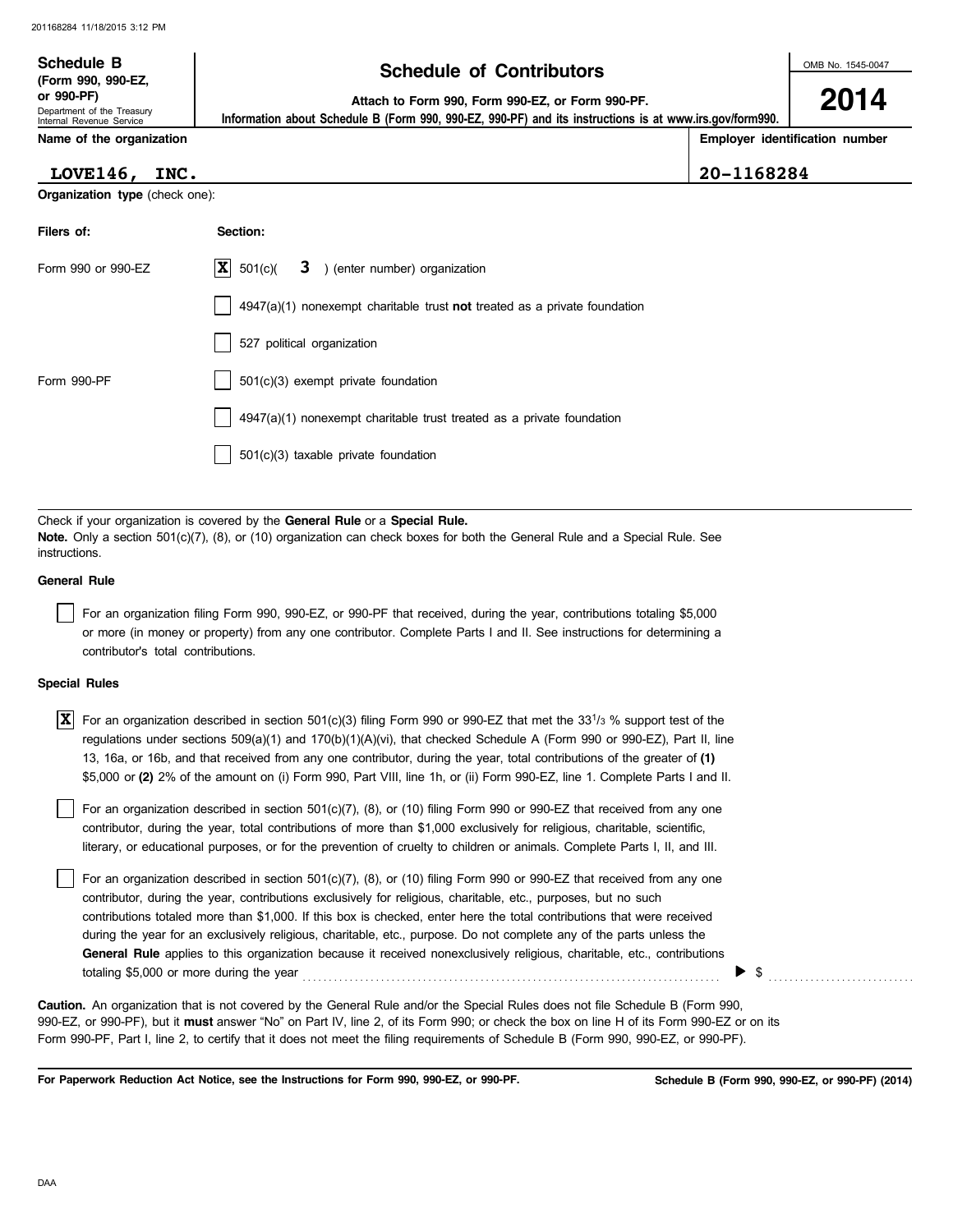# **Schedule of Contributors Schedule B**

**2014**

**or 990-PF) Attach to Form 990, Form 990-EZ, or Form 990-PF.**

 **Information about Schedule B (Form 990, 990-EZ, 990-PF) and its instructions is at www.irs.gov/form990.**

Internal Revenue Service **Name of the organization**

Department of the Treasury

**(Form 990, 990-EZ,**

**Employer identification number**

| <b>LOVE146,</b> | INC. |
|-----------------|------|
|                 |      |

| <b>LOVE146,</b>                       | INC.                      |                         |                               | 20-1168284 |
|---------------------------------------|---------------------------|-------------------------|-------------------------------|------------|
| <b>Organization type (check one):</b> |                           |                         |                               |            |
| Filers of:                            | Section:                  |                         |                               |            |
| Form 990 or 990-EZ                    | $ \mathbf{x} $<br>501(c)( | $\overline{\mathbf{3}}$ | ) (enter number) organization |            |

|             | 4947(a)(1) nonexempt charitable trust not treated as a private foundation     |
|-------------|-------------------------------------------------------------------------------|
|             | 527 political organization                                                    |
| Form 990-PF | 501(c)(3) exempt private foundation                                           |
|             | $\vert$ 4947(a)(1) nonexempt charitable trust treated as a private foundation |
|             | 501(c)(3) taxable private foundation                                          |

Check if your organization is covered by the **General Rule** or a **Special Rule. Note.** Only a section 501(c)(7), (8), or (10) organization can check boxes for both the General Rule and a Special Rule. See **instructions** 

#### **General Rule**

For an organization filing Form 990, 990-EZ, or 990-PF that received, during the year, contributions totaling \$5,000 or more (in money or property) from any one contributor. Complete Parts I and II. See instructions for determining a contributor's total contributions.

#### **Special Rules**

| $\overline{X}$ For an organization described in section 501(c)(3) filing Form 990 or 990-EZ that met the 331/3 % support test of the |
|--------------------------------------------------------------------------------------------------------------------------------------|
| regulations under sections 509(a)(1) and 170(b)(1)(A)(vi), that checked Schedule A (Form 990 or 990-EZ), Part II, line               |
| 13, 16a, or 16b, and that received from any one contributor, during the year, total contributions of the greater of (1)              |
| \$5,000 or (2) 2% of the amount on (i) Form 990, Part VIII, line 1h, or (ii) Form 990-EZ, line 1. Complete Parts I and II.           |

literary, or educational purposes, or for the prevention of cruelty to children or animals. Complete Parts I, II, and III. For an organization described in section 501(c)(7), (8), or (10) filing Form 990 or 990-EZ that received from any one contributor, during the year, total contributions of more than \$1,000 exclusively for religious, charitable, scientific,

For an organization described in section 501(c)(7), (8), or (10) filing Form 990 or 990-EZ that received from any one contributor, during the year, contributions exclusively for religious, charitable, etc., purposes, but no such contributions totaled more than \$1,000. If this box is checked, enter here the total contributions that were received during the year for an exclusively religious, charitable, etc., purpose. Do not complete any of the parts unless the **General Rule** applies to this organization because it received nonexclusively religious, charitable, etc., contributions totaling \$5,000 or more during the year  $\ldots$   $\ldots$   $\ldots$   $\ldots$   $\ldots$   $\ldots$   $\ldots$   $\ldots$   $\ldots$   $\ldots$ 

990-EZ, or 990-PF), but it **must** answer "No" on Part IV, line 2, of its Form 990; or check the box on line H of its Form 990-EZ or on its Form 990-PF, Part I, line 2, to certify that it does not meet the filing requirements of Schedule B (Form 990, 990-EZ, or 990-PF). **Caution.** An organization that is not covered by the General Rule and/or the Special Rules does not file Schedule B (Form 990,

**For Paperwork Reduction Act Notice, see the Instructions for Form 990, 990-EZ, or 990-PF.**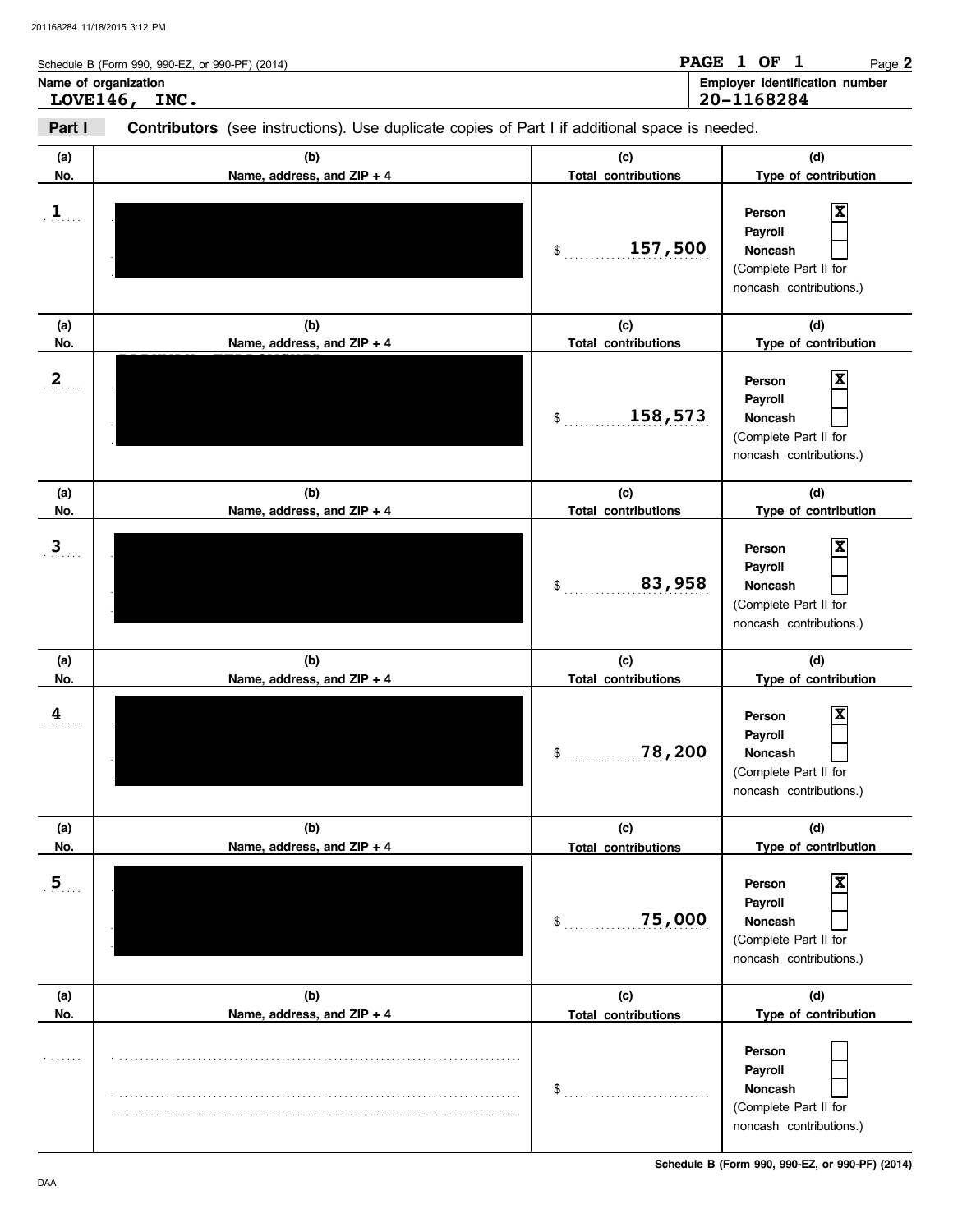|        | Schedule B (Form 990, 990-EZ, or 990-PF) (2014)                                                       |        | PAGE 1 OF 1 |              | Page 2                         |
|--------|-------------------------------------------------------------------------------------------------------|--------|-------------|--------------|--------------------------------|
|        | Name of organization<br>LOVE146, INC.                                                                 |        | 20-1168284  |              | Employer identification number |
| Part I | <b>Contributors</b> (see instructions). Use duplicate copies of Part I if additional space is needed. |        |             |              |                                |
| (a)    | (h)                                                                                                   | $\sim$ |             | $\mathsf{M}$ |                                |

| (a)                            | (b)                               | (c)                                                   | (d)                                                                                                         |
|--------------------------------|-----------------------------------|-------------------------------------------------------|-------------------------------------------------------------------------------------------------------------|
| No.                            | Name, address, and ZIP + 4        | <b>Total contributions</b>                            | Type of contribution                                                                                        |
| $\mathbf{1}$                   |                                   | 157,500<br>\$                                         | $\overline{\mathbf{x}}$<br>Person<br>Payroll<br>Noncash<br>(Complete Part II for<br>noncash contributions.) |
| (a)<br>No.                     | (b)<br>Name, address, and ZIP + 4 | (c)<br><b>Total contributions</b>                     | (d)<br>Type of contribution                                                                                 |
| 2 <sub>1</sub>                 |                                   | 158,573<br>\$                                         | $\overline{\mathbf{x}}$<br>Person<br>Payroll<br>Noncash<br>(Complete Part II for<br>noncash contributions.) |
| (a)                            | (b)                               | (c)                                                   | (d)                                                                                                         |
| No.                            | Name, address, and ZIP + 4        | <b>Total contributions</b>                            | Type of contribution                                                                                        |
| $\overline{\mathbf{3}}$        |                                   | 83,958<br>\$                                          | $\overline{\mathbf{x}}$<br>Person<br>Payroll<br>Noncash<br>(Complete Part II for<br>noncash contributions.) |
| (a)                            | (b)                               | (c)                                                   | (d)                                                                                                         |
| No.<br>$\overline{\mathbf{4}}$ | Name, address, and ZIP + 4        | <b>Total contributions</b><br>78,200<br>$\frac{1}{2}$ | Type of contribution<br>$\boldsymbol{\mathrm{x}}$<br>Person<br>Payroll<br>Noncash                           |
|                                |                                   |                                                       | (Complete Part II for<br>noncash contributions.)                                                            |
| (a)                            | (b)                               | (c)                                                   | (d)                                                                                                         |
| No.                            | Name, address, and ZIP + 4        | <b>Total contributions</b>                            | Type of contribution                                                                                        |
| 5                              |                                   | 75,000<br>$$^{\circ}$                                 | Person<br>Payroll<br>Noncash<br>(Complete Part II for<br>noncash contributions.)                            |
| (a)                            | (b)                               | (c)                                                   | (d)                                                                                                         |
| No.                            | Name, address, and ZIP + 4        | <b>Total contributions</b>                            | Type of contribution                                                                                        |

**Schedule B (Form 990, 990-EZ, or 990-PF) (2014)**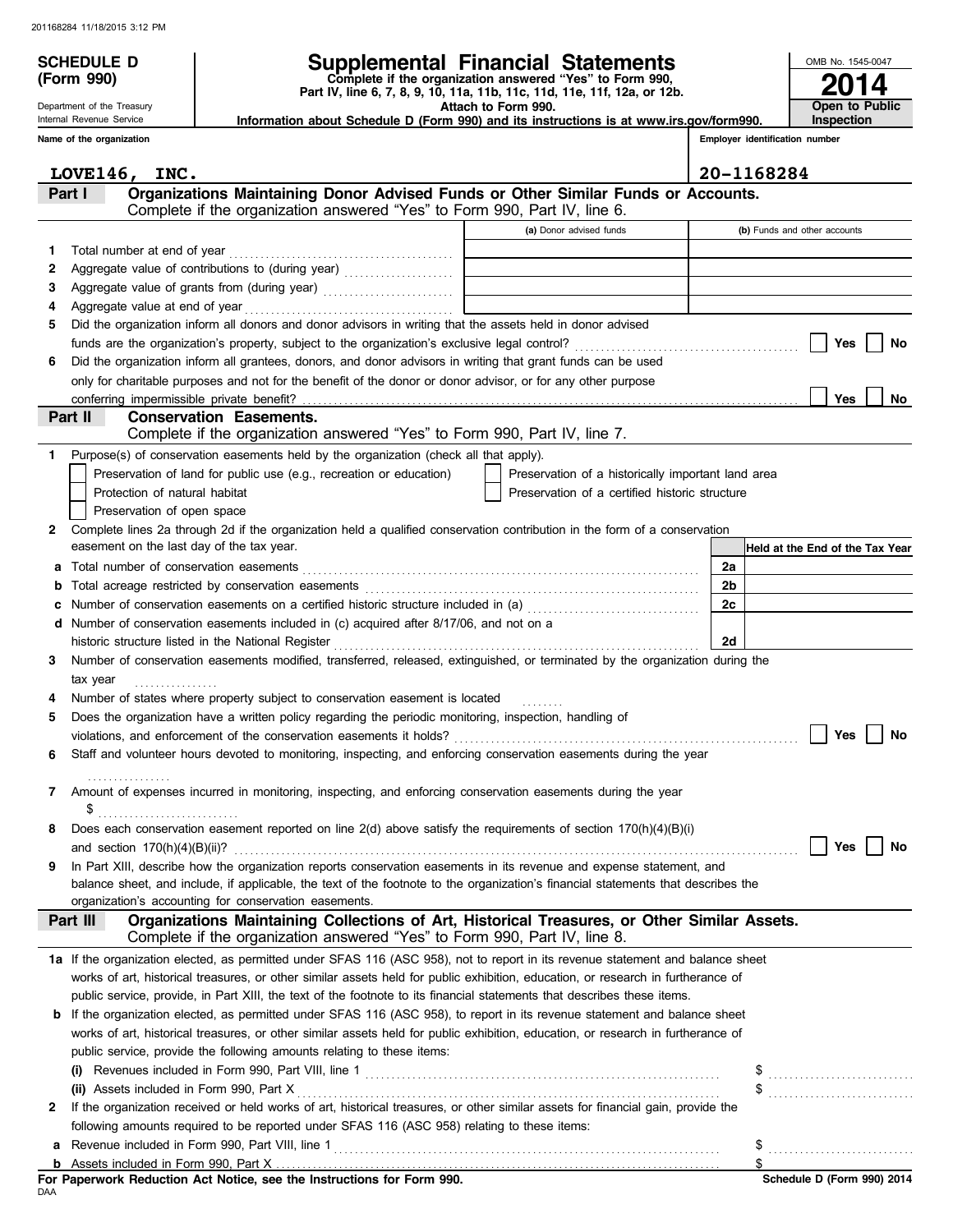**(Form 990)**

Department of the Treasury Internal Revenue Service

# **SCHEDULE D Supplemental Financial Statements**

 **Attach to Form 990. Part IV, line 6, 7, 8, 9, 10, 11a, 11b, 11c, 11d, 11e, 11f, 12a, or 12b. Complete if the organization answered "Yes" to Form 990,**

 **Information about Schedule D (Form 990) and its instructions is at www.irs.gov/form990.**

**Employer identification number Inspection**

**2014**

**Open to Public**

OMB No. 1545-0047

|    | Name of the organization                                                                                                          |                                                    | Employer identification number |                                 |
|----|-----------------------------------------------------------------------------------------------------------------------------------|----------------------------------------------------|--------------------------------|---------------------------------|
|    |                                                                                                                                   |                                                    | 20-1168284                     |                                 |
|    | LOVE146, INC.<br>Organizations Maintaining Donor Advised Funds or Other Similar Funds or Accounts.<br>Part I                      |                                                    |                                |                                 |
|    | Complete if the organization answered "Yes" to Form 990, Part IV, line 6.                                                         |                                                    |                                |                                 |
|    |                                                                                                                                   | (a) Donor advised funds                            |                                | (b) Funds and other accounts    |
| 1. | Total number at end of year                                                                                                       |                                                    |                                |                                 |
| 2  | Aggregate value of contributions to (during year)                                                                                 |                                                    |                                |                                 |
| 3  |                                                                                                                                   |                                                    |                                |                                 |
| 4  |                                                                                                                                   |                                                    |                                |                                 |
| 5  | Did the organization inform all donors and donor advisors in writing that the assets held in donor advised                        |                                                    |                                |                                 |
|    |                                                                                                                                   |                                                    |                                | Yes<br>No                       |
| 6  | Did the organization inform all grantees, donors, and donor advisors in writing that grant funds can be used                      |                                                    |                                |                                 |
|    | only for charitable purposes and not for the benefit of the donor or donor advisor, or for any other purpose                      |                                                    |                                |                                 |
|    |                                                                                                                                   |                                                    |                                | Yes<br>No                       |
|    | Part II<br><b>Conservation Easements.</b><br>Complete if the organization answered "Yes" to Form 990, Part IV, line 7.            |                                                    |                                |                                 |
| 1. | Purpose(s) of conservation easements held by the organization (check all that apply).                                             |                                                    |                                |                                 |
|    | Preservation of land for public use (e.g., recreation or education)                                                               | Preservation of a historically important land area |                                |                                 |
|    | Protection of natural habitat                                                                                                     | Preservation of a certified historic structure     |                                |                                 |
|    | Preservation of open space                                                                                                        |                                                    |                                |                                 |
| 2  | Complete lines 2a through 2d if the organization held a qualified conservation contribution in the form of a conservation         |                                                    |                                |                                 |
|    | easement on the last day of the tax year.                                                                                         |                                                    |                                | Held at the End of the Tax Year |
| а  |                                                                                                                                   |                                                    | 2a                             |                                 |
| b  |                                                                                                                                   |                                                    | 2b                             |                                 |
| с  | Number of conservation easements on a certified historic structure included in (a) [[[[[ [ [ a]]                                  |                                                    | 2c                             |                                 |
|    | d Number of conservation easements included in (c) acquired after 8/17/06, and not on a                                           |                                                    |                                |                                 |
|    | historic structure listed in the National Register [11] Martin Martin Martin Martin Martin Martin Martin Marti                    |                                                    | 2d                             |                                 |
| 3  | Number of conservation easements modified, transferred, released, extinguished, or terminated by the organization during the      |                                                    |                                |                                 |
|    | tax year                                                                                                                          |                                                    |                                |                                 |
|    | Number of states where property subject to conservation easement is located                                                       |                                                    |                                |                                 |
| 5  | Does the organization have a written policy regarding the periodic monitoring, inspection, handling of                            |                                                    |                                |                                 |
|    |                                                                                                                                   |                                                    |                                | Yes<br>No                       |
| 6  | Staff and volunteer hours devoted to monitoring, inspecting, and enforcing conservation easements during the year                 |                                                    |                                |                                 |
|    |                                                                                                                                   |                                                    |                                |                                 |
| 7  | Amount of expenses incurred in monitoring, inspecting, and enforcing conservation easements during the year                       |                                                    |                                |                                 |
|    | \$                                                                                                                                |                                                    |                                |                                 |
|    | Does each conservation easement reported on line $2(d)$ above satisfy the requirements of section $170(h)(4)(B)(i)$               |                                                    |                                |                                 |
|    | In Part XIII, describe how the organization reports conservation easements in its revenue and expense statement, and              |                                                    |                                | Yes<br>No                       |
| 9  | balance sheet, and include, if applicable, the text of the footnote to the organization's financial statements that describes the |                                                    |                                |                                 |
|    | organization's accounting for conservation easements.                                                                             |                                                    |                                |                                 |
|    | Organizations Maintaining Collections of Art, Historical Treasures, or Other Similar Assets.<br>Part III                          |                                                    |                                |                                 |
|    | Complete if the organization answered "Yes" to Form 990, Part IV, line 8.                                                         |                                                    |                                |                                 |
|    | 1a If the organization elected, as permitted under SFAS 116 (ASC 958), not to report in its revenue statement and balance sheet   |                                                    |                                |                                 |
|    | works of art, historical treasures, or other similar assets held for public exhibition, education, or research in furtherance of  |                                                    |                                |                                 |
|    | public service, provide, in Part XIII, the text of the footnote to its financial statements that describes these items.           |                                                    |                                |                                 |
| b  | If the organization elected, as permitted under SFAS 116 (ASC 958), to report in its revenue statement and balance sheet          |                                                    |                                |                                 |
|    | works of art, historical treasures, or other similar assets held for public exhibition, education, or research in furtherance of  |                                                    |                                |                                 |
|    | public service, provide the following amounts relating to these items:                                                            |                                                    |                                |                                 |
|    |                                                                                                                                   |                                                    |                                |                                 |
|    | (ii) Assets included in Form 990, Part X                                                                                          |                                                    |                                |                                 |
| 2  | If the organization received or held works of art, historical treasures, or other similar assets for financial gain, provide the  |                                                    |                                |                                 |
|    | following amounts required to be reported under SFAS 116 (ASC 958) relating to these items:                                       |                                                    |                                |                                 |
| а  |                                                                                                                                   |                                                    | \$                             |                                 |
|    |                                                                                                                                   |                                                    | \$                             |                                 |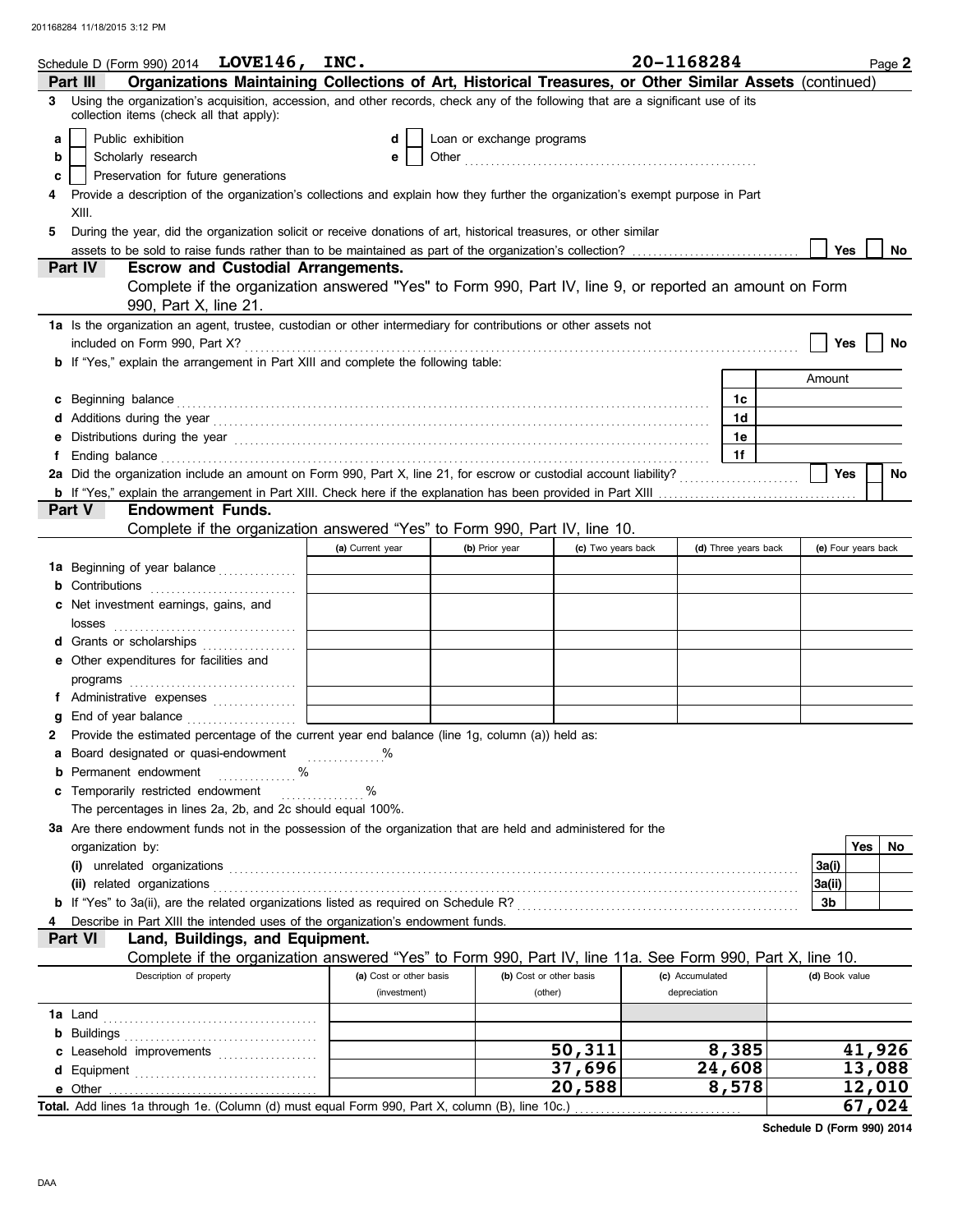|   | Schedule D (Form 990) 2014 $LOVE146, INC.$                                                                                                                                                                                           |                         |                           |                         | 20-1168284      |                      |                     | Page 2    |
|---|--------------------------------------------------------------------------------------------------------------------------------------------------------------------------------------------------------------------------------------|-------------------------|---------------------------|-------------------------|-----------------|----------------------|---------------------|-----------|
|   | Organizations Maintaining Collections of Art, Historical Treasures, or Other Similar Assets (continued)<br>Part III                                                                                                                  |                         |                           |                         |                 |                      |                     |           |
| 3 | Using the organization's acquisition, accession, and other records, check any of the following that are a significant use of its<br>collection items (check all that apply):                                                         |                         |                           |                         |                 |                      |                     |           |
| a | Public exhibition                                                                                                                                                                                                                    | d                       | Loan or exchange programs |                         |                 |                      |                     |           |
| b | Scholarly research                                                                                                                                                                                                                   | е                       |                           |                         |                 |                      |                     |           |
| c | Preservation for future generations                                                                                                                                                                                                  |                         |                           |                         |                 |                      |                     |           |
|   | Provide a description of the organization's collections and explain how they further the organization's exempt purpose in Part                                                                                                       |                         |                           |                         |                 |                      |                     |           |
|   | XIII.                                                                                                                                                                                                                                |                         |                           |                         |                 |                      |                     |           |
| 5 | During the year, did the organization solicit or receive donations of art, historical treasures, or other similar                                                                                                                    |                         |                           |                         |                 |                      |                     |           |
|   |                                                                                                                                                                                                                                      |                         |                           |                         |                 |                      | Yes                 | No        |
|   | <b>Part IV</b><br><b>Escrow and Custodial Arrangements.</b>                                                                                                                                                                          |                         |                           |                         |                 |                      |                     |           |
|   | Complete if the organization answered "Yes" to Form 990, Part IV, line 9, or reported an amount on Form                                                                                                                              |                         |                           |                         |                 |                      |                     |           |
|   | 990, Part X, line 21.                                                                                                                                                                                                                |                         |                           |                         |                 |                      |                     |           |
|   | 1a Is the organization an agent, trustee, custodian or other intermediary for contributions or other assets not                                                                                                                      |                         |                           |                         |                 |                      |                     |           |
|   |                                                                                                                                                                                                                                      |                         |                           |                         |                 |                      | Yes                 | No        |
|   | <b>b</b> If "Yes," explain the arrangement in Part XIII and complete the following table:                                                                                                                                            |                         |                           |                         |                 |                      |                     |           |
|   |                                                                                                                                                                                                                                      |                         |                           |                         |                 |                      | Amount              |           |
|   | c Beginning balance <b>contract to the contract of the set of the contract of the contract of the contract of the contract of the contract of the contract of the contract of the contract of the contract of the contract of th</b> |                         |                           |                         |                 | 1c                   |                     |           |
|   |                                                                                                                                                                                                                                      |                         |                           |                         |                 | 1d                   |                     |           |
| е | Distributions during the year manufactured contains and all the year manufactured with the year manufactured with the year manufactured with the year manufactured with the year manufactured with the year manufactured with        |                         |                           |                         |                 | 1е                   |                     |           |
| f | Ending balance <b>construction and the construction of the construction</b> of the construction of the construction of the construction of the construction of the construction of the construction of the construction of the cons  |                         |                           |                         |                 | 1f                   |                     |           |
|   | 2a Did the organization include an amount on Form 990, Part X, line 21, for escrow or custodial account liability?                                                                                                                   |                         |                           |                         |                 |                      | Yes                 | <b>No</b> |
|   | Part V<br><b>Endowment Funds.</b>                                                                                                                                                                                                    |                         |                           |                         |                 |                      |                     |           |
|   | Complete if the organization answered "Yes" to Form 990, Part IV, line 10.                                                                                                                                                           |                         |                           |                         |                 |                      |                     |           |
|   |                                                                                                                                                                                                                                      | (a) Current year        | (b) Prior year            | (c) Two years back      |                 | (d) Three years back | (e) Four years back |           |
|   | 1a Beginning of year balance                                                                                                                                                                                                         |                         |                           |                         |                 |                      |                     |           |
|   | <b>b</b> Contributions <b>contributions</b>                                                                                                                                                                                          |                         |                           |                         |                 |                      |                     |           |
|   | c Net investment earnings, gains, and                                                                                                                                                                                                |                         |                           |                         |                 |                      |                     |           |
|   |                                                                                                                                                                                                                                      |                         |                           |                         |                 |                      |                     |           |
|   | d Grants or scholarships                                                                                                                                                                                                             |                         |                           |                         |                 |                      |                     |           |
|   | e Other expenditures for facilities and                                                                                                                                                                                              |                         |                           |                         |                 |                      |                     |           |
|   |                                                                                                                                                                                                                                      |                         |                           |                         |                 |                      |                     |           |
|   | f Administrative expenses                                                                                                                                                                                                            |                         |                           |                         |                 |                      |                     |           |
| g |                                                                                                                                                                                                                                      |                         |                           |                         |                 |                      |                     |           |
|   | Provide the estimated percentage of the current year end balance (line 1g, column (a)) held as:                                                                                                                                      |                         |                           |                         |                 |                      |                     |           |
|   | a Board designated or quasi-endowment                                                                                                                                                                                                |                         |                           |                         |                 |                      |                     |           |
|   | <b>b</b> Permanent endowment<br>℅                                                                                                                                                                                                    |                         |                           |                         |                 |                      |                     |           |
|   | c Temporarily restricted endowment                                                                                                                                                                                                   | $\%$<br>.               |                           |                         |                 |                      |                     |           |
|   | The percentages in lines 2a, 2b, and 2c should equal 100%.                                                                                                                                                                           |                         |                           |                         |                 |                      |                     |           |
|   | 3a Are there endowment funds not in the possession of the organization that are held and administered for the                                                                                                                        |                         |                           |                         |                 |                      |                     |           |
|   | organization by:                                                                                                                                                                                                                     |                         |                           |                         |                 |                      |                     | Yes<br>No |
|   |                                                                                                                                                                                                                                      |                         |                           |                         |                 |                      | 3a(i)               |           |
|   |                                                                                                                                                                                                                                      |                         |                           |                         |                 |                      | 3a(ii)              |           |
|   |                                                                                                                                                                                                                                      |                         |                           |                         |                 |                      | 3b                  |           |
|   | Describe in Part XIII the intended uses of the organization's endowment funds.                                                                                                                                                       |                         |                           |                         |                 |                      |                     |           |
|   | Land, Buildings, and Equipment.<br>Part VI                                                                                                                                                                                           |                         |                           |                         |                 |                      |                     |           |
|   | Complete if the organization answered "Yes" to Form 990, Part IV, line 11a. See Form 990, Part X, line 10.<br>Description of property                                                                                                | (a) Cost or other basis |                           | (b) Cost or other basis | (c) Accumulated |                      | (d) Book value      |           |
|   |                                                                                                                                                                                                                                      | (investment)            |                           | (other)                 | depreciation    |                      |                     |           |
|   |                                                                                                                                                                                                                                      |                         |                           |                         |                 |                      |                     |           |
|   |                                                                                                                                                                                                                                      |                         |                           |                         |                 |                      |                     |           |
|   | c Leasehold improvements                                                                                                                                                                                                             |                         |                           | 50,311                  |                 | 8,385                |                     | 41,926    |
|   |                                                                                                                                                                                                                                      |                         |                           | 37,696                  |                 | 24,608               |                     | 13,088    |
|   |                                                                                                                                                                                                                                      |                         |                           | 20,588                  |                 | 8,578                |                     | 12,010    |
|   | Total. Add lines 1a through 1e. (Column (d) must equal Form 990, Part X, column (B), line 10c.)                                                                                                                                      |                         |                           |                         |                 |                      |                     | 67,024    |
|   |                                                                                                                                                                                                                                      |                         |                           |                         |                 |                      |                     |           |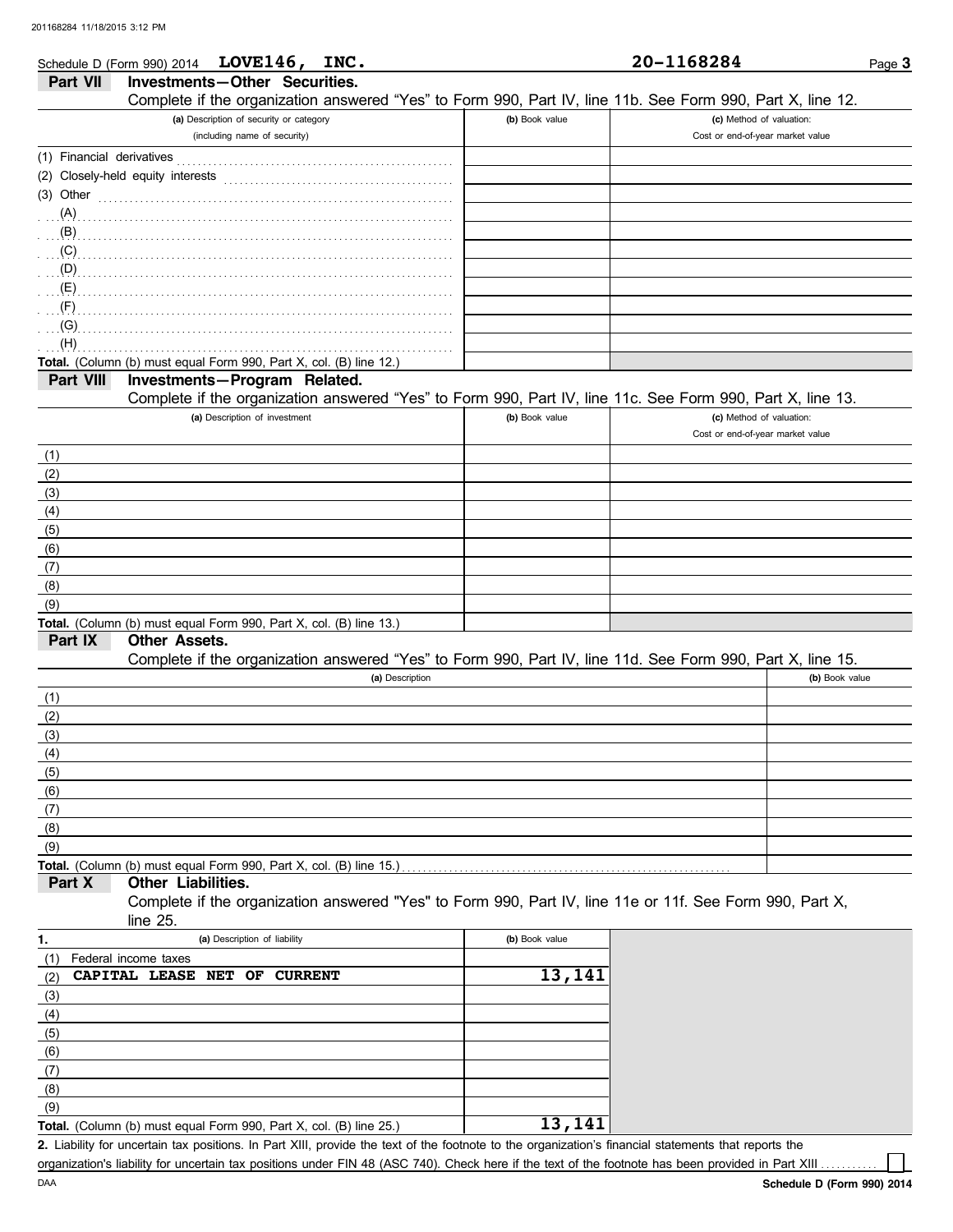|                           | Schedule D (Form 990) 2014 LOVE146, INC.                                                                                                                                                                                                 |                 |                | 20-1168284                       | Page 3         |
|---------------------------|------------------------------------------------------------------------------------------------------------------------------------------------------------------------------------------------------------------------------------------|-----------------|----------------|----------------------------------|----------------|
| Part VII                  | Investments-Other Securities.                                                                                                                                                                                                            |                 |                |                                  |                |
|                           | Complete if the organization answered "Yes" to Form 990, Part IV, line 11b. See Form 990, Part X, line 12.                                                                                                                               |                 |                |                                  |                |
|                           | (a) Description of security or category                                                                                                                                                                                                  |                 | (b) Book value | (c) Method of valuation:         |                |
|                           | (including name of security)                                                                                                                                                                                                             |                 |                | Cost or end-of-year market value |                |
| (1) Financial derivatives |                                                                                                                                                                                                                                          |                 |                |                                  |                |
|                           |                                                                                                                                                                                                                                          |                 |                |                                  |                |
| $(3)$ Other               |                                                                                                                                                                                                                                          |                 |                |                                  |                |
|                           |                                                                                                                                                                                                                                          |                 |                |                                  |                |
|                           |                                                                                                                                                                                                                                          |                 |                |                                  |                |
|                           | $\overline{(\mathsf{C})}$ . The contract of the contract of the contract of the contract of the contract of the contract of the contract of the contract of the contract of the contract of the contract of the contract of the contract |                 |                |                                  |                |
|                           |                                                                                                                                                                                                                                          |                 |                |                                  |                |
|                           |                                                                                                                                                                                                                                          |                 |                |                                  |                |
|                           |                                                                                                                                                                                                                                          |                 |                |                                  |                |
|                           |                                                                                                                                                                                                                                          |                 |                |                                  |                |
| (H)                       |                                                                                                                                                                                                                                          |                 |                |                                  |                |
|                           | Total. (Column (b) must equal Form 990, Part X, col. (B) line 12.)                                                                                                                                                                       |                 |                |                                  |                |
| Part VIII                 | Investments-Program Related.                                                                                                                                                                                                             |                 |                |                                  |                |
|                           | Complete if the organization answered "Yes" to Form 990, Part IV, line 11c. See Form 990, Part X, line 13.                                                                                                                               |                 |                |                                  |                |
|                           | (a) Description of investment                                                                                                                                                                                                            |                 | (b) Book value | (c) Method of valuation:         |                |
|                           |                                                                                                                                                                                                                                          |                 |                | Cost or end-of-year market value |                |
| (1)                       |                                                                                                                                                                                                                                          |                 |                |                                  |                |
| (2)                       |                                                                                                                                                                                                                                          |                 |                |                                  |                |
| (3)                       |                                                                                                                                                                                                                                          |                 |                |                                  |                |
| (4)                       |                                                                                                                                                                                                                                          |                 |                |                                  |                |
| (5)                       |                                                                                                                                                                                                                                          |                 |                |                                  |                |
| (6)                       |                                                                                                                                                                                                                                          |                 |                |                                  |                |
| (7)                       |                                                                                                                                                                                                                                          |                 |                |                                  |                |
| (8)                       |                                                                                                                                                                                                                                          |                 |                |                                  |                |
| (9)                       |                                                                                                                                                                                                                                          |                 |                |                                  |                |
|                           | Total. (Column (b) must equal Form 990, Part X, col. (B) line 13.)                                                                                                                                                                       |                 |                |                                  |                |
| Part IX                   | <b>Other Assets.</b>                                                                                                                                                                                                                     |                 |                |                                  |                |
|                           | Complete if the organization answered "Yes" to Form 990, Part IV, line 11d. See Form 990, Part X, line 15.                                                                                                                               |                 |                |                                  |                |
|                           |                                                                                                                                                                                                                                          | (a) Description |                |                                  | (b) Book value |
| (1)                       |                                                                                                                                                                                                                                          |                 |                |                                  |                |
| (2)                       |                                                                                                                                                                                                                                          |                 |                |                                  |                |
| (3)                       |                                                                                                                                                                                                                                          |                 |                |                                  |                |
| (4)                       |                                                                                                                                                                                                                                          |                 |                |                                  |                |
| (5)                       |                                                                                                                                                                                                                                          |                 |                |                                  |                |
| (6)                       |                                                                                                                                                                                                                                          |                 |                |                                  |                |
| (7)                       |                                                                                                                                                                                                                                          |                 |                |                                  |                |
| (8)                       |                                                                                                                                                                                                                                          |                 |                |                                  |                |
| (9)                       |                                                                                                                                                                                                                                          |                 |                |                                  |                |
|                           | Total. (Column (b) must equal Form 990, Part X, col. (B) line 15.)                                                                                                                                                                       |                 |                |                                  |                |
| Part X                    | Other Liabilities.                                                                                                                                                                                                                       |                 |                |                                  |                |
|                           | Complete if the organization answered "Yes" to Form 990, Part IV, line 11e or 11f. See Form 990, Part X,                                                                                                                                 |                 |                |                                  |                |
|                           | line 25.                                                                                                                                                                                                                                 |                 |                |                                  |                |
| 1.                        | (a) Description of liability                                                                                                                                                                                                             |                 | (b) Book value |                                  |                |
| (1)                       | Federal income taxes                                                                                                                                                                                                                     |                 |                |                                  |                |
| (2)                       | CAPITAL LEASE NET<br><b>CURRENT</b><br>OF                                                                                                                                                                                                |                 | 13,141         |                                  |                |
| (3)                       |                                                                                                                                                                                                                                          |                 |                |                                  |                |
| (4)                       |                                                                                                                                                                                                                                          |                 |                |                                  |                |
| (5)                       |                                                                                                                                                                                                                                          |                 |                |                                  |                |
| (6)                       |                                                                                                                                                                                                                                          |                 |                |                                  |                |
| (7)                       |                                                                                                                                                                                                                                          |                 |                |                                  |                |
| (8)                       |                                                                                                                                                                                                                                          |                 |                |                                  |                |
| (9)                       |                                                                                                                                                                                                                                          |                 |                |                                  |                |
|                           | Total. (Column (b) must equal Form 990, Part X, col. (B) line 25.)                                                                                                                                                                       |                 | 13,141         |                                  |                |

| <b>Total.</b> (Column (b) must equal Form 990, Part X, col. (B) line 25.) |
|---------------------------------------------------------------------------|
|---------------------------------------------------------------------------|

Liability for uncertain tax positions. In Part XIII, provide the text of the footnote to the organization's financial statements that reports the **2.** organization's liability for uncertain tax positions under FIN 48 (ASC 740). Check here if the text of the footnote has been provided in Part XIII .

| LOVE146, INC.   | 20-1168284 |
|-----------------|------------|
| Othor Coourting |            |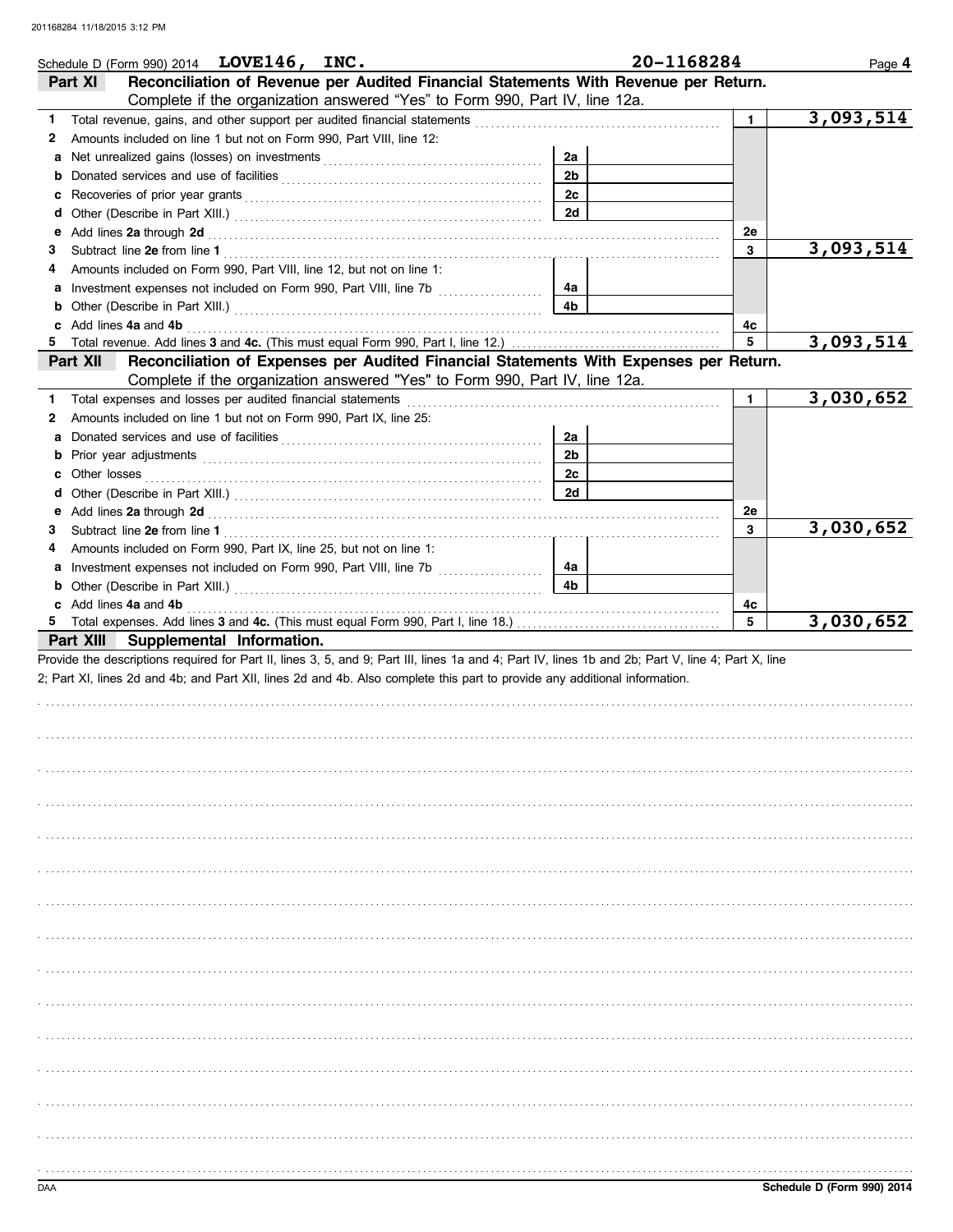|    | Schedule D (Form 990) 2014 $LOVE146, INC.$                                                                                                                                                                                                                        |                | 20-1168284   | Page 4    |
|----|-------------------------------------------------------------------------------------------------------------------------------------------------------------------------------------------------------------------------------------------------------------------|----------------|--------------|-----------|
|    | Reconciliation of Revenue per Audited Financial Statements With Revenue per Return.<br>Part XI                                                                                                                                                                    |                |              |           |
|    | Complete if the organization answered "Yes" to Form 990, Part IV, line 12a.                                                                                                                                                                                       |                |              |           |
| 1. |                                                                                                                                                                                                                                                                   |                | $\mathbf{1}$ | 3,093,514 |
| 2  | Amounts included on line 1 but not on Form 990, Part VIII, line 12:                                                                                                                                                                                               |                |              |           |
| a  |                                                                                                                                                                                                                                                                   | 2a             |              |           |
| b  |                                                                                                                                                                                                                                                                   | 2 <sub>b</sub> |              |           |
|    |                                                                                                                                                                                                                                                                   | 2c             |              |           |
| d  |                                                                                                                                                                                                                                                                   | 2d             |              |           |
| e  | Add lines 2a through 2d [11] March 20 [11] March 20 [11] March 20 [11] March 20 [11] March 20 [11] March 20 [11] March 20 [11] March 20 [11] March 20 [11] March 20 [11] March 20 [11] March 20 [11] March 20 [11] March 20 [1                                    |                | 2e           |           |
| 3  |                                                                                                                                                                                                                                                                   |                | 3            | 3,093,514 |
| 4  | Amounts included on Form 990, Part VIII, line 12, but not on line 1:                                                                                                                                                                                              |                |              |           |
|    |                                                                                                                                                                                                                                                                   | 4a             |              |           |
|    |                                                                                                                                                                                                                                                                   | 4b             |              |           |
| 5. | c Add lines 4a and 4b                                                                                                                                                                                                                                             |                | 4c<br>5      | 3,093,514 |
|    | Reconciliation of Expenses per Audited Financial Statements With Expenses per Return.<br>Part XII                                                                                                                                                                 |                |              |           |
|    | Complete if the organization answered "Yes" to Form 990, Part IV, line 12a.                                                                                                                                                                                       |                |              |           |
|    | 1 Total expenses and losses per audited financial statements [111] Total expenses and losses and losses per audited financial statements [11] Total expenses and losses                                                                                           |                | $\mathbf{1}$ | 3,030,652 |
| 2  | Amounts included on line 1 but not on Form 990, Part IX, line 25:                                                                                                                                                                                                 |                |              |           |
| a  |                                                                                                                                                                                                                                                                   | 2a             |              |           |
|    |                                                                                                                                                                                                                                                                   | 2 <sub>b</sub> |              |           |
|    |                                                                                                                                                                                                                                                                   | 2с             |              |           |
|    |                                                                                                                                                                                                                                                                   | <b>2d</b>      |              |           |
|    |                                                                                                                                                                                                                                                                   |                | <b>2e</b>    |           |
| 3  |                                                                                                                                                                                                                                                                   |                | 3            | 3,030,652 |
| 4  | Amounts included on Form 990, Part IX, line 25, but not on line 1:                                                                                                                                                                                                |                |              |           |
|    |                                                                                                                                                                                                                                                                   | 4a             |              |           |
|    |                                                                                                                                                                                                                                                                   |                |              |           |
|    |                                                                                                                                                                                                                                                                   | 4b             |              |           |
|    | <b>b</b> Other (Describe in Part XIII.) <b>CONSIDENT</b> 2014 12:00 12:00 12:00 12:00 12:00 12:00 12:00 12:00 12:00 12:00 12:00 12:00 12:00 12:00 12:00 12:00 12:00 12:00 12:00 12:00 12:00 12:00 12:00 12:00 12:00 12:00 12:00 12:00 12<br>c Add lines 4a and 4b |                | 4c           |           |
|    |                                                                                                                                                                                                                                                                   |                | 5            | 3,030,652 |
|    | Part XIII Supplemental Information.                                                                                                                                                                                                                               |                |              |           |
|    | Provide the descriptions required for Part II, lines 3, 5, and 9; Part III, lines 1a and 4; Part IV, lines 1b and 2b; Part V, line 4; Part X, line                                                                                                                |                |              |           |
|    | 2; Part XI, lines 2d and 4b; and Part XII, lines 2d and 4b. Also complete this part to provide any additional information.                                                                                                                                        |                |              |           |
|    |                                                                                                                                                                                                                                                                   |                |              |           |
|    |                                                                                                                                                                                                                                                                   |                |              |           |
|    |                                                                                                                                                                                                                                                                   |                |              |           |
|    |                                                                                                                                                                                                                                                                   |                |              |           |
|    |                                                                                                                                                                                                                                                                   |                |              |           |
|    |                                                                                                                                                                                                                                                                   |                |              |           |
|    |                                                                                                                                                                                                                                                                   |                |              |           |
|    |                                                                                                                                                                                                                                                                   |                |              |           |
|    |                                                                                                                                                                                                                                                                   |                |              |           |
|    |                                                                                                                                                                                                                                                                   |                |              |           |
|    |                                                                                                                                                                                                                                                                   |                |              |           |
|    |                                                                                                                                                                                                                                                                   |                |              |           |
|    |                                                                                                                                                                                                                                                                   |                |              |           |
|    |                                                                                                                                                                                                                                                                   |                |              |           |
|    |                                                                                                                                                                                                                                                                   |                |              |           |
|    |                                                                                                                                                                                                                                                                   |                |              |           |
|    |                                                                                                                                                                                                                                                                   |                |              |           |
|    |                                                                                                                                                                                                                                                                   |                |              |           |
|    |                                                                                                                                                                                                                                                                   |                |              |           |
|    |                                                                                                                                                                                                                                                                   |                |              |           |
|    |                                                                                                                                                                                                                                                                   |                |              |           |
|    |                                                                                                                                                                                                                                                                   |                |              |           |
|    |                                                                                                                                                                                                                                                                   |                |              |           |
|    |                                                                                                                                                                                                                                                                   |                |              |           |
|    |                                                                                                                                                                                                                                                                   |                |              |           |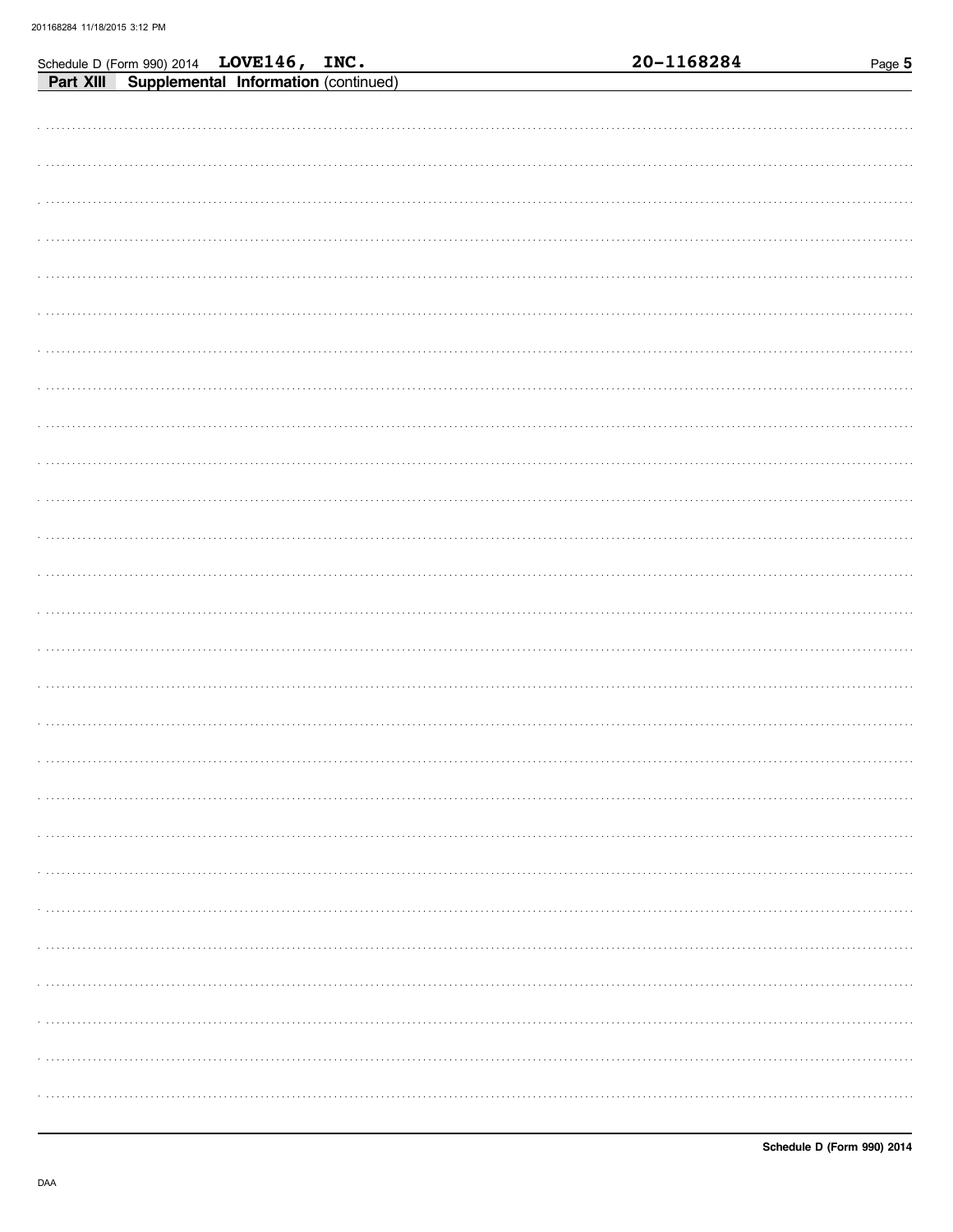|  | Schedule D (Form 990) 2014 LOVE146, INC.<br>Part XIII Supplemental Information (continued) |  | 20-1168284 | Page 5 |
|--|--------------------------------------------------------------------------------------------|--|------------|--------|
|  |                                                                                            |  |            |        |
|  |                                                                                            |  |            |        |
|  |                                                                                            |  |            |        |
|  |                                                                                            |  |            |        |
|  |                                                                                            |  |            |        |
|  |                                                                                            |  |            |        |
|  |                                                                                            |  |            |        |
|  |                                                                                            |  |            |        |
|  |                                                                                            |  |            |        |
|  |                                                                                            |  |            |        |
|  |                                                                                            |  |            |        |
|  |                                                                                            |  |            |        |
|  |                                                                                            |  |            |        |
|  |                                                                                            |  |            |        |
|  |                                                                                            |  |            |        |
|  |                                                                                            |  |            |        |
|  |                                                                                            |  |            |        |
|  |                                                                                            |  |            |        |
|  |                                                                                            |  |            |        |
|  |                                                                                            |  |            |        |
|  |                                                                                            |  |            |        |
|  |                                                                                            |  |            |        |
|  |                                                                                            |  |            |        |
|  |                                                                                            |  |            |        |
|  |                                                                                            |  |            |        |
|  |                                                                                            |  |            |        |
|  |                                                                                            |  |            |        |
|  |                                                                                            |  |            |        |
|  |                                                                                            |  |            |        |
|  |                                                                                            |  |            |        |
|  |                                                                                            |  |            |        |
|  |                                                                                            |  |            |        |
|  |                                                                                            |  |            |        |
|  |                                                                                            |  |            |        |
|  |                                                                                            |  |            |        |
|  |                                                                                            |  |            |        |
|  |                                                                                            |  |            |        |
|  |                                                                                            |  |            |        |
|  |                                                                                            |  |            |        |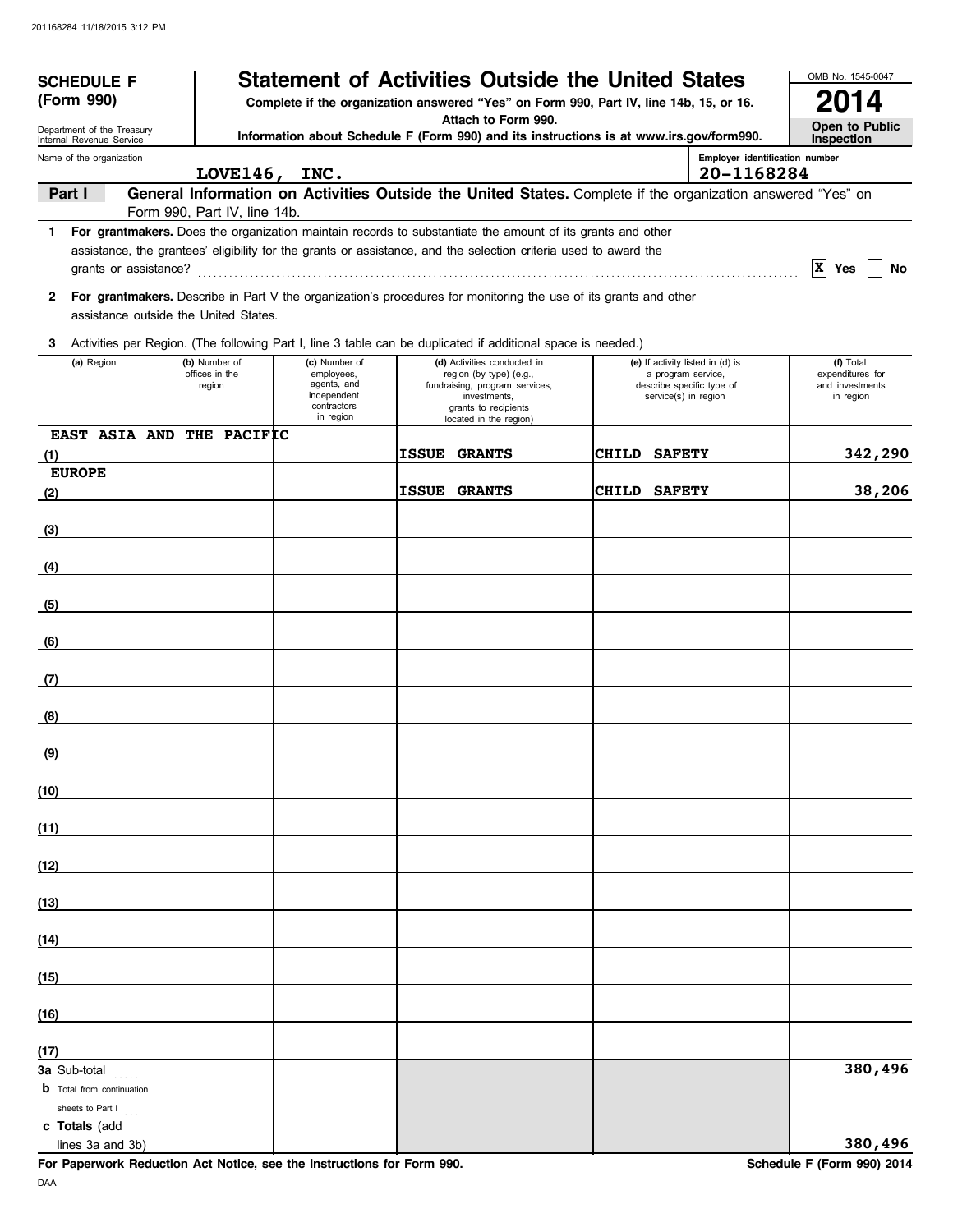| <b>SCHEDULE F</b><br>(Form 990)                        |                                           |                                                                                       | <b>Statement of Activities Outside the United States</b><br>Complete if the organization answered "Yes" on Form 990, Part IV, line 14b, 15, or 16.                                                                               |                                                                                                             | OMB No. 1545-0047<br>014                                      |
|--------------------------------------------------------|-------------------------------------------|---------------------------------------------------------------------------------------|----------------------------------------------------------------------------------------------------------------------------------------------------------------------------------------------------------------------------------|-------------------------------------------------------------------------------------------------------------|---------------------------------------------------------------|
|                                                        |                                           |                                                                                       | Attach to Form 990.                                                                                                                                                                                                              |                                                                                                             | Open to Public                                                |
| Department of the Treasury<br>Internal Revenue Service |                                           |                                                                                       | Information about Schedule F (Form 990) and its instructions is at www.irs.gov/form990.                                                                                                                                          |                                                                                                             | Inspection                                                    |
| Name of the organization                               |                                           | LOVE146, INC.                                                                         |                                                                                                                                                                                                                                  | Employer identification number<br>20-1168284                                                                |                                                               |
| Part I                                                 |                                           |                                                                                       |                                                                                                                                                                                                                                  | General Information on Activities Outside the United States. Complete if the organization answered "Yes" on |                                                               |
|                                                        | Form 990, Part IV, line 14b.              |                                                                                       |                                                                                                                                                                                                                                  |                                                                                                             |                                                               |
|                                                        |                                           |                                                                                       | 1 For grantmakers. Does the organization maintain records to substantiate the amount of its grants and other<br>assistance, the grantees' eligibility for the grants or assistance, and the selection criteria used to award the |                                                                                                             | $ X $ Yes<br>No                                               |
| 2                                                      | assistance outside the United States.     |                                                                                       | For grantmakers. Describe in Part V the organization's procedures for monitoring the use of its grants and other                                                                                                                 |                                                                                                             |                                                               |
| 3                                                      |                                           |                                                                                       | Activities per Region. (The following Part I, line 3 table can be duplicated if additional space is needed.)                                                                                                                     |                                                                                                             |                                                               |
| (a) Region                                             | (b) Number of<br>offices in the<br>region | (c) Number of<br>employees,<br>agents, and<br>independent<br>contractors<br>in region | (d) Activities conducted in<br>region (by type) (e.g.,<br>fundraising, program services,<br>investments,<br>grants to recipients<br>located in the region)                                                                       | (e) If activity listed in (d) is<br>a program service,<br>describe specific type of<br>service(s) in region | (f) Total<br>expenditures for<br>and investments<br>in region |
| <b>EAST ASIA</b>                                       | AND THE PACIFIC                           |                                                                                       |                                                                                                                                                                                                                                  |                                                                                                             |                                                               |
| (1)<br><b>EUROPE</b>                                   |                                           |                                                                                       | <b>ISSUE</b><br><b>GRANTS</b>                                                                                                                                                                                                    | <b>CHILD</b><br><b>SAFETY</b>                                                                               | 342,290                                                       |
| (2)                                                    |                                           |                                                                                       | <b>ISSUE</b><br><b>GRANTS</b>                                                                                                                                                                                                    | <b>CHILD SAFETY</b>                                                                                         | 38,206                                                        |
| (3)                                                    |                                           |                                                                                       |                                                                                                                                                                                                                                  |                                                                                                             |                                                               |
| (4)                                                    |                                           |                                                                                       |                                                                                                                                                                                                                                  |                                                                                                             |                                                               |
|                                                        |                                           |                                                                                       |                                                                                                                                                                                                                                  |                                                                                                             |                                                               |
| (5)                                                    |                                           |                                                                                       |                                                                                                                                                                                                                                  |                                                                                                             |                                                               |
| (6)                                                    |                                           |                                                                                       |                                                                                                                                                                                                                                  |                                                                                                             |                                                               |
| (7)                                                    |                                           |                                                                                       |                                                                                                                                                                                                                                  |                                                                                                             |                                                               |
| (8)                                                    |                                           |                                                                                       |                                                                                                                                                                                                                                  |                                                                                                             |                                                               |
| (9)                                                    |                                           |                                                                                       |                                                                                                                                                                                                                                  |                                                                                                             |                                                               |
| (10)                                                   |                                           |                                                                                       |                                                                                                                                                                                                                                  |                                                                                                             |                                                               |
| (11)                                                   |                                           |                                                                                       |                                                                                                                                                                                                                                  |                                                                                                             |                                                               |
| (12)                                                   |                                           |                                                                                       |                                                                                                                                                                                                                                  |                                                                                                             |                                                               |
| (13)                                                   |                                           |                                                                                       |                                                                                                                                                                                                                                  |                                                                                                             |                                                               |
| (14)                                                   |                                           |                                                                                       |                                                                                                                                                                                                                                  |                                                                                                             |                                                               |
| (15)                                                   |                                           |                                                                                       |                                                                                                                                                                                                                                  |                                                                                                             |                                                               |
|                                                        |                                           |                                                                                       |                                                                                                                                                                                                                                  |                                                                                                             |                                                               |
| (16)                                                   |                                           |                                                                                       |                                                                                                                                                                                                                                  |                                                                                                             |                                                               |
| (17)<br><b>3a</b> Sub-total                            |                                           |                                                                                       |                                                                                                                                                                                                                                  |                                                                                                             | 380,496                                                       |
| <b>b</b> Total from continuation<br>sheets to Part I   |                                           |                                                                                       |                                                                                                                                                                                                                                  |                                                                                                             |                                                               |
| c Totals (add<br>lines 3a and 3b)                      |                                           |                                                                                       |                                                                                                                                                                                                                                  |                                                                                                             | 380,496                                                       |

For Paperwork Reduction Act Notice, see the Instructions for Form 990. Schedule F (Form 990) 2014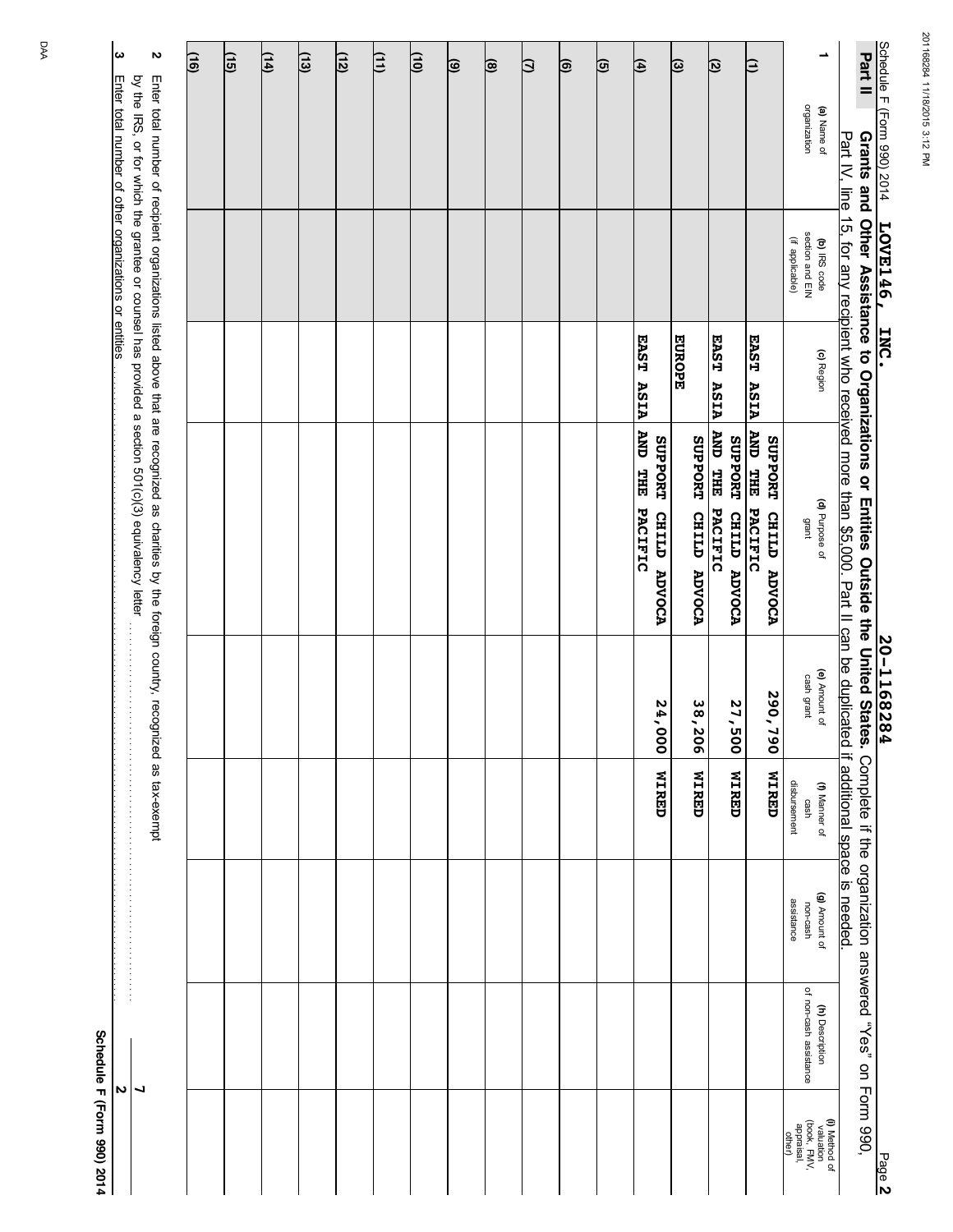| ω                                                     | N                                                                                                                                                                                                                                                   | $\overline{\Xi}$ | (15) | $\frac{14}{1}$ | $\overline{(13)}$ | $\overline{12}$ | 巨 | 间 | ভি | ⊜ | β | ම | ত্র | 闰                                                            | ভি                      | ত্ৰ                                                  | β                                                                     | ∸                                                                 | Part II                                                                                                                                                                                                            |                            |
|-------------------------------------------------------|-----------------------------------------------------------------------------------------------------------------------------------------------------------------------------------------------------------------------------------------------------|------------------|------|----------------|-------------------|-----------------|---|---|----|---|---|---|-----|--------------------------------------------------------------|-------------------------|------------------------------------------------------|-----------------------------------------------------------------------|-------------------------------------------------------------------|--------------------------------------------------------------------------------------------------------------------------------------------------------------------------------------------------------------------|----------------------------|
| Enter total number of other organizations or entities |                                                                                                                                                                                                                                                     |                  |      |                |                   |                 |   |   |    |   |   |   |     |                                                              |                         |                                                      |                                                                       | organization<br>(a) Name of                                       |                                                                                                                                                                                                                    | Schedule F (Form 990) 2014 |
|                                                       |                                                                                                                                                                                                                                                     |                  |      |                |                   |                 |   |   |    |   |   |   |     |                                                              |                         |                                                      |                                                                       | section and EIN<br>(if applicable)<br>(b) IRS code                |                                                                                                                                                                                                                    | LOVE146                    |
|                                                       |                                                                                                                                                                                                                                                     |                  |      |                |                   |                 |   |   |    |   |   |   |     | EAST<br>ASIA                                                 | <b>EUROPE</b>           | EAST<br>ASIA                                         | EAST<br>ASIA                                                          | (c) Region                                                        |                                                                                                                                                                                                                    | INC.                       |
|                                                       | by the IRS, or for which the grantee or counsel has provided a section 501(c)(3) equivalency letter<br>Enter total number of recipient organizations listed above that are recognized as charities by the foreign country, recognized as tax-exempt |                  |      |                |                   |                 |   |   |    |   |   |   |     | AND THE PACIFIC<br>SUPPORT<br><b>CHILED</b><br><b>ADVOCA</b> | SUPPORT<br>CHILD ADVOCA | <b>AND THE</b><br>SUPPORT<br>PACIFIC<br>CHILD ADVOCA | <b>AND THE</b><br>SUPPORT<br>PACIFIC<br><b>CHILD</b><br><b>ADVOCA</b> | (d) Purpose of<br>grant                                           | Part IV, line 15, for any recipient who received more than \$5,000. Part II can be duplicated if additional space is needed<br>Grants and Other Assistance to Organizations or Entities Outside the United States. |                            |
|                                                       |                                                                                                                                                                                                                                                     |                  |      |                |                   |                 |   |   |    |   |   |   |     | 24,000                                                       | 38,20<br>$\overline{6}$ | 27,500                                               | 290,790                                                               | (e) Amount of<br>cash grant                                       |                                                                                                                                                                                                                    | 20-116828<br>۴P            |
|                                                       |                                                                                                                                                                                                                                                     |                  |      |                |                   |                 |   |   |    |   |   |   |     | <b>MIRED</b>                                                 | <b>WIRED</b>            | <b>UZRED</b>                                         | <b>NIRED</b>                                                          | disbursement<br>(f) Manner of<br>cash                             |                                                                                                                                                                                                                    |                            |
|                                                       |                                                                                                                                                                                                                                                     |                  |      |                |                   |                 |   |   |    |   |   |   |     |                                                              |                         |                                                      |                                                                       | (g) Amount of<br>assistance<br>non-cash                           | Complete if the organization answered "Yes" on Form 990,                                                                                                                                                           |                            |
| N                                                     | ┙                                                                                                                                                                                                                                                   |                  |      |                |                   |                 |   |   |    |   |   |   |     |                                                              |                         |                                                      |                                                                       | of non-cash assistance<br>(h) Description                         |                                                                                                                                                                                                                    |                            |
|                                                       |                                                                                                                                                                                                                                                     |                  |      |                |                   |                 |   |   |    |   |   |   |     |                                                              |                         |                                                      |                                                                       | (i) Method of<br>(book, FMV,<br>appraisal,<br>valuation<br>other) |                                                                                                                                                                                                                    | Page 2                     |

**Schedule F (Form 990) 2014**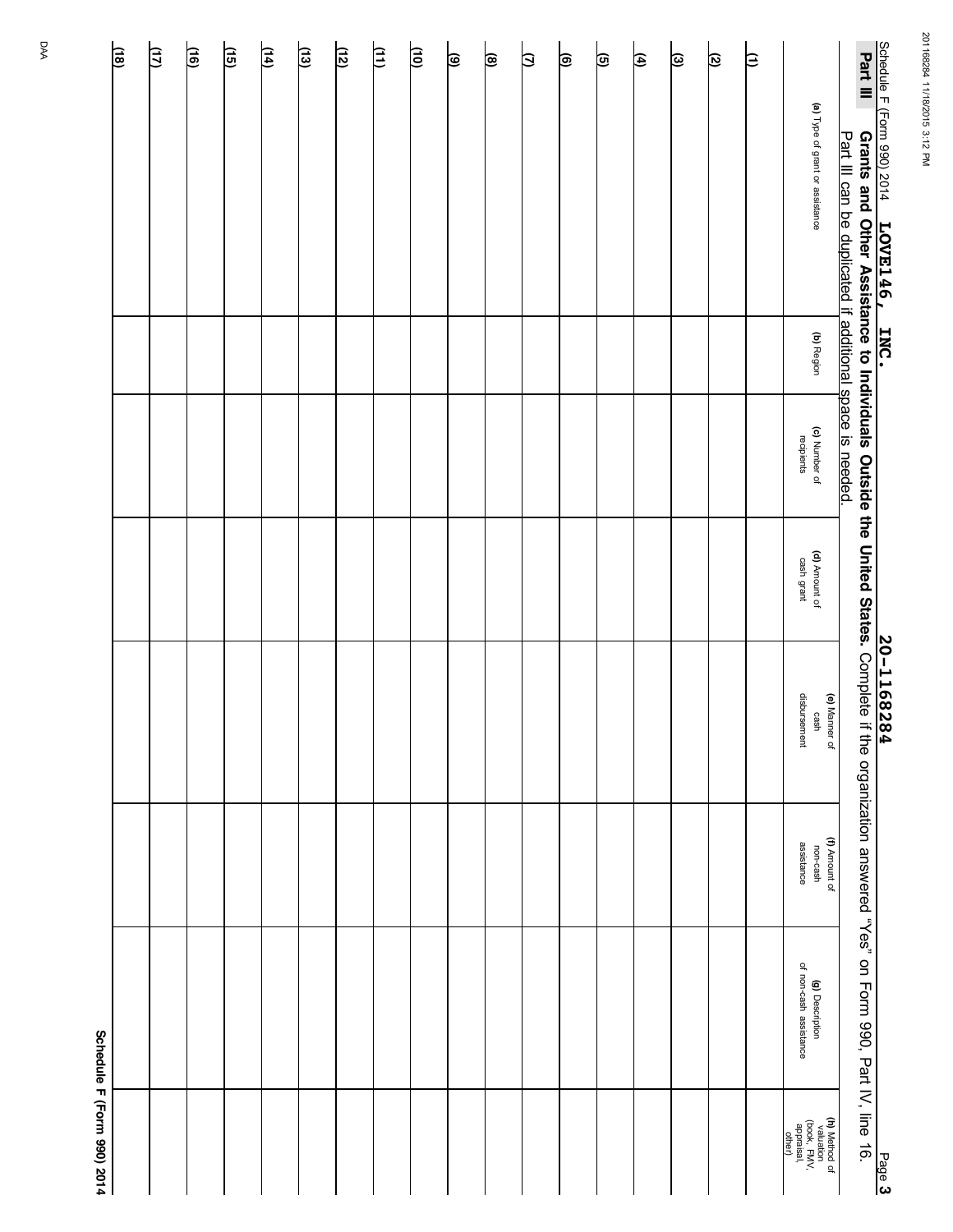|                            | 迪 | 臼 | 间 | $\sqrt{15}$ | (14) | $\overline{13}$ | <u>(12)</u> | 闫 | 皀 | ভি | ছ | ₿ | ⊜ | তি | ৰি | ভ | ত্ৰ | β |                                                                   |               |                                                                                                                                                                                                                                                                           |        |
|----------------------------|---|---|---|-------------|------|-----------------|-------------|---|---|----|---|---|---|----|----|---|-----|---|-------------------------------------------------------------------|---------------|---------------------------------------------------------------------------------------------------------------------------------------------------------------------------------------------------------------------------------------------------------------------------|--------|
|                            |   |   |   |             |      |                 |             |   |   |    |   |   |   |    |    |   |     |   | (a) Type of grant or assistance                                   |               | Schedule F (Form 990) 2014 <b>LOVE146, INC.</b><br>Part III Grants and Other Assistance to Individuals Outside the United States. Complete if the organization answered "Yes" on Form 990, Part IV, line 16.<br>Part III can be duplicated if additional space is needed. |        |
|                            |   |   |   |             |      |                 |             |   |   |    |   |   |   |    |    |   |     |   | (b) Region                                                        |               |                                                                                                                                                                                                                                                                           |        |
|                            |   |   |   |             |      |                 |             |   |   |    |   |   |   |    |    |   |     |   | (c) Number of<br>recipients                                       |               |                                                                                                                                                                                                                                                                           |        |
|                            |   |   |   |             |      |                 |             |   |   |    |   |   |   |    |    |   |     |   | (d) Amount of<br>cash grant                                       |               |                                                                                                                                                                                                                                                                           |        |
|                            |   |   |   |             |      |                 |             |   |   |    |   |   |   |    |    |   |     |   | disbursement<br>cash                                              | (e) Manner of |                                                                                                                                                                                                                                                                           |        |
|                            |   |   |   |             |      |                 |             |   |   |    |   |   |   |    |    |   |     |   | assistance<br>non-cash                                            | (f) Amount of |                                                                                                                                                                                                                                                                           |        |
|                            |   |   |   |             |      |                 |             |   |   |    |   |   |   |    |    |   |     |   | of non-cash assistance<br>(g) Description                         |               |                                                                                                                                                                                                                                                                           |        |
| Schedule F (Form 990) 2014 |   |   |   |             |      |                 |             |   |   |    |   |   |   |    |    |   |     |   | (h) Method of<br>valuation<br>(book, FMV,<br>appraisal,<br>other) |               |                                                                                                                                                                                                                                                                           | Page 3 |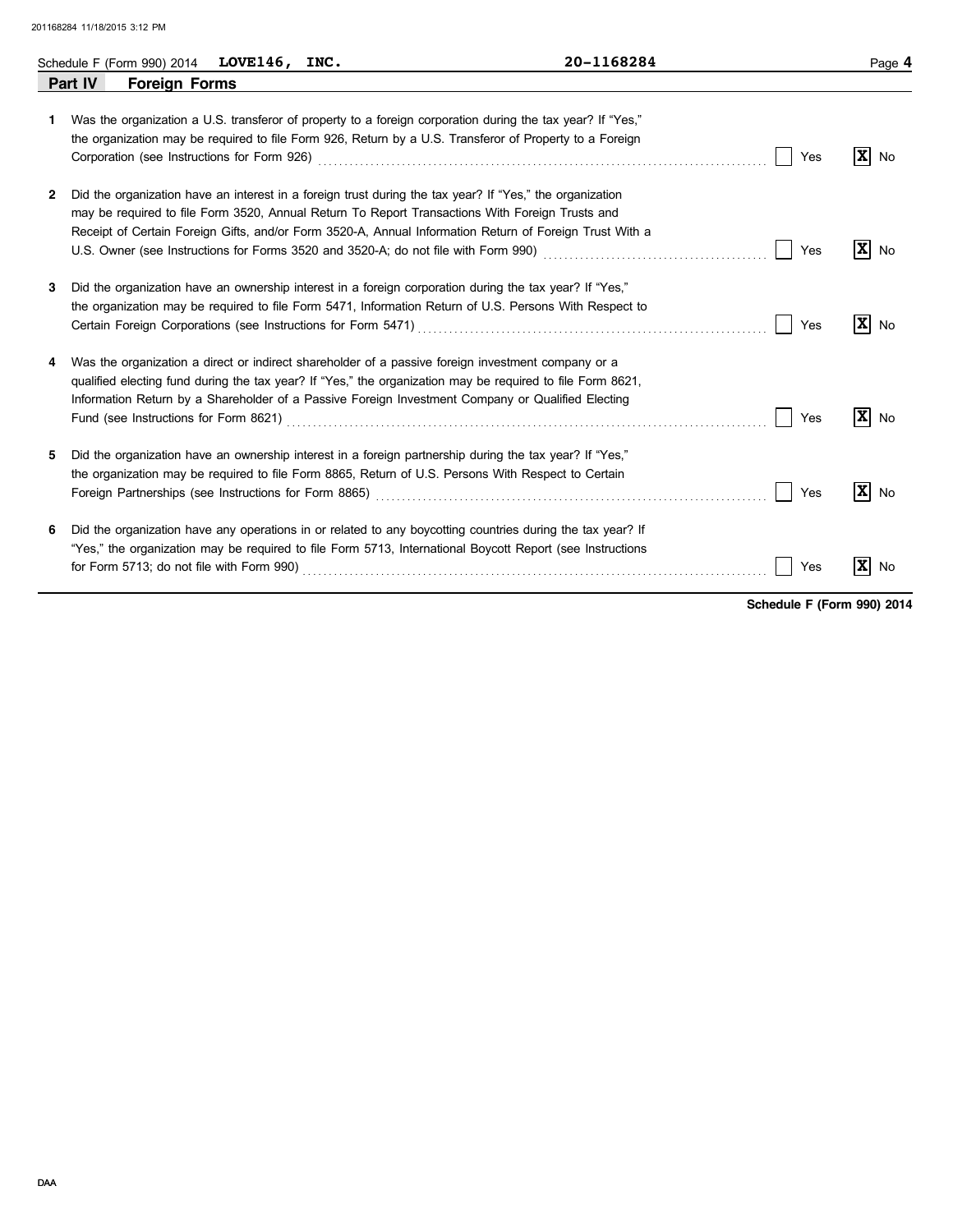|    | Schedule F (Form 990) 2014 $LOVE146$ , INC. |  | 20-1168284                                                                                                                                                                                                                                                                                                               |     | Page 4                         |
|----|---------------------------------------------|--|--------------------------------------------------------------------------------------------------------------------------------------------------------------------------------------------------------------------------------------------------------------------------------------------------------------------------|-----|--------------------------------|
|    | Part IV<br><b>Foreign Forms</b>             |  |                                                                                                                                                                                                                                                                                                                          |     |                                |
| 1. |                                             |  | Was the organization a U.S. transferor of property to a foreign corporation during the tax year? If "Yes,"<br>the organization may be required to file Form 926, Return by a U.S. Transferor of Property to a Foreign<br>Corporation (see Instructions for Form 926) Material Corporation (see Instructions of Form 926) | Yes | $\vert \mathbf{X} \vert$<br>No |
| 2  |                                             |  | Did the organization have an interest in a foreign trust during the tax year? If "Yes," the organization<br>may be required to file Form 3520, Annual Return To Report Transactions With Foreign Trusts and<br>Receipt of Certain Foreign Gifts, and/or Form 3520-A, Annual Information Return of Foreign Trust With a   | Yes | $ \mathbf{x} $<br>No           |
| 3  |                                             |  | Did the organization have an ownership interest in a foreign corporation during the tax year? If "Yes,"<br>the organization may be required to file Form 5471, Information Return of U.S. Persons With Respect to                                                                                                        | Yes | $ \mathbf{X} $ No              |
| 4  |                                             |  | Was the organization a direct or indirect shareholder of a passive foreign investment company or a<br>qualified electing fund during the tax year? If "Yes," the organization may be required to file Form 8621,<br>Information Return by a Shareholder of a Passive Foreign Investment Company or Qualified Electing    | Yes | $\mathbf{X}$ No                |
| 5. |                                             |  | Did the organization have an ownership interest in a foreign partnership during the tax year? If "Yes,"<br>the organization may be required to file Form 8865, Return of U.S. Persons With Respect to Certain                                                                                                            | Yes | $\vert x \vert$<br>No          |
| 6  |                                             |  | Did the organization have any operations in or related to any boycotting countries during the tax year? If<br>"Yes," the organization may be required to file Form 5713, International Boycott Report (see Instructions                                                                                                  | Yes | X <br>No                       |

**Schedule F (Form 990) 2014**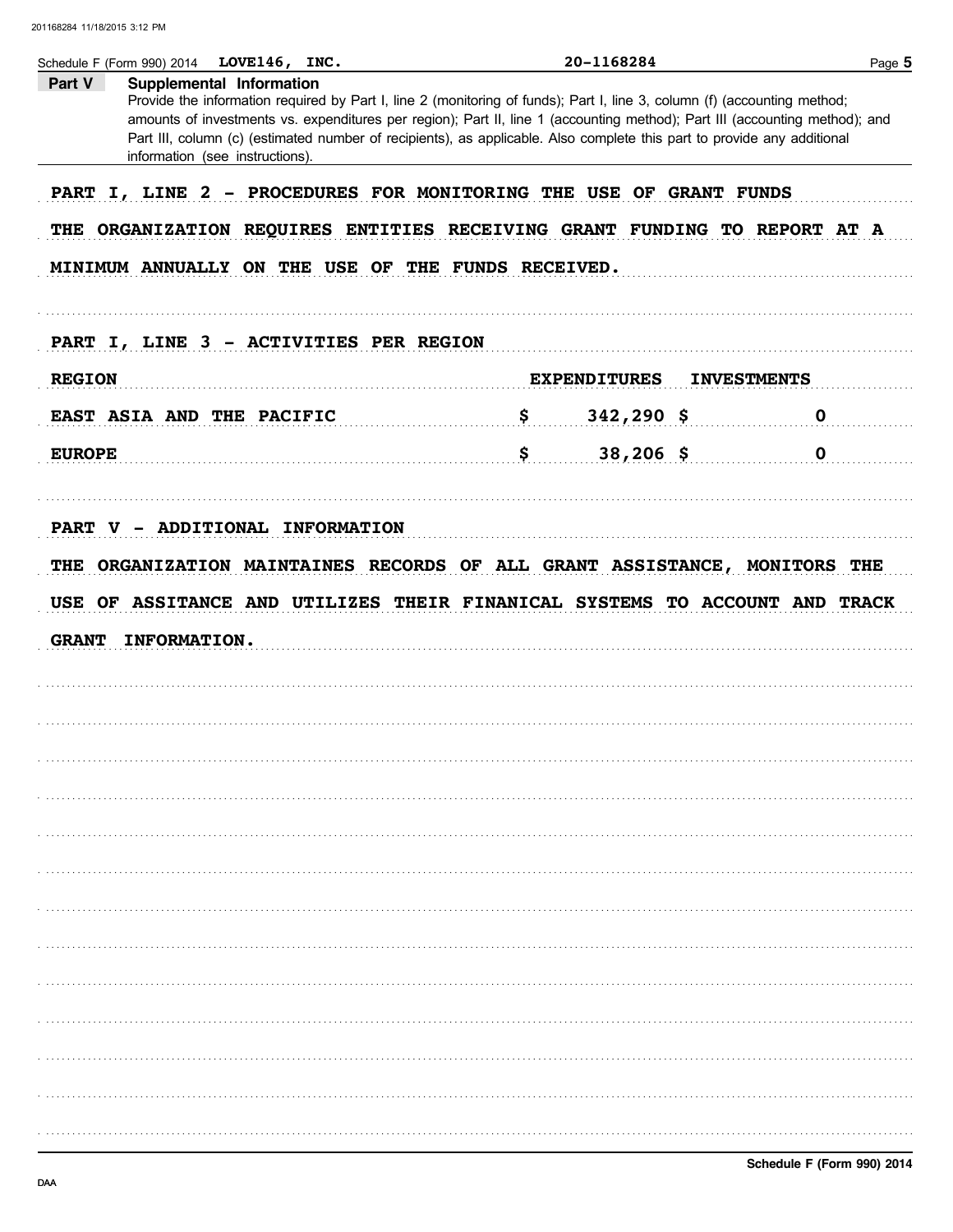| Part V        | Supplemental Information                           |                                                                                                                                                                                                                                                                                                                                                                                    |             |
|---------------|----------------------------------------------------|------------------------------------------------------------------------------------------------------------------------------------------------------------------------------------------------------------------------------------------------------------------------------------------------------------------------------------------------------------------------------------|-------------|
|               | information (see instructions).                    | Provide the information required by Part I, line 2 (monitoring of funds); Part I, line 3, column (f) (accounting method;<br>amounts of investments vs. expenditures per region); Part II, line 1 (accounting method); Part III (accounting method); and<br>Part III, column (c) (estimated number of recipients), as applicable. Also complete this part to provide any additional |             |
|               |                                                    | PART I, LINE 2 - PROCEDURES FOR MONITORING THE USE OF GRANT FUNDS                                                                                                                                                                                                                                                                                                                  |             |
|               |                                                    |                                                                                                                                                                                                                                                                                                                                                                                    |             |
|               |                                                    | THE ORGANIZATION REQUIRES ENTITIES RECEIVING GRANT FUNDING TO REPORT AT A                                                                                                                                                                                                                                                                                                          |             |
|               | MINIMUM ANNUALLY ON THE USE OF THE FUNDS RECEIVED. |                                                                                                                                                                                                                                                                                                                                                                                    |             |
|               |                                                    |                                                                                                                                                                                                                                                                                                                                                                                    |             |
|               | PART I, LINE 3 - ACTIVITIES PER REGION             |                                                                                                                                                                                                                                                                                                                                                                                    |             |
| <b>REGION</b> |                                                    | <b>EXPENDITURES</b><br><b>INVESTMENTS</b>                                                                                                                                                                                                                                                                                                                                          |             |
|               |                                                    |                                                                                                                                                                                                                                                                                                                                                                                    |             |
|               | EAST ASIA AND THE PACIFIC                          | <u>s</u><br>$342,290$ \$                                                                                                                                                                                                                                                                                                                                                           | $\mathbf 0$ |
| <b>EUROPE</b> |                                                    | $\sim$ $\sim$ $\sim$ $\sim$ $\sim$<br>$38,206$ \$                                                                                                                                                                                                                                                                                                                                  | $\mathbf 0$ |
|               |                                                    |                                                                                                                                                                                                                                                                                                                                                                                    |             |
|               | PART V - ADDITIONAL INFORMATION                    |                                                                                                                                                                                                                                                                                                                                                                                    |             |
|               |                                                    |                                                                                                                                                                                                                                                                                                                                                                                    |             |
|               |                                                    |                                                                                                                                                                                                                                                                                                                                                                                    |             |
|               |                                                    | THE ORGANIZATION MAINTAINES RECORDS OF ALL GRANT ASSISTANCE, MONITORS THE                                                                                                                                                                                                                                                                                                          |             |
|               |                                                    | USE OF ASSITANCE AND UTILIZES THEIR FINANICAL SYSTEMS TO ACCOUNT AND TRACK                                                                                                                                                                                                                                                                                                         |             |
| <b>GRANT</b>  | INFORMATION.                                       |                                                                                                                                                                                                                                                                                                                                                                                    |             |
|               |                                                    |                                                                                                                                                                                                                                                                                                                                                                                    |             |
|               |                                                    |                                                                                                                                                                                                                                                                                                                                                                                    |             |
|               |                                                    |                                                                                                                                                                                                                                                                                                                                                                                    |             |
|               |                                                    |                                                                                                                                                                                                                                                                                                                                                                                    |             |
|               |                                                    |                                                                                                                                                                                                                                                                                                                                                                                    |             |
|               |                                                    |                                                                                                                                                                                                                                                                                                                                                                                    |             |
|               |                                                    |                                                                                                                                                                                                                                                                                                                                                                                    |             |
|               |                                                    |                                                                                                                                                                                                                                                                                                                                                                                    |             |
|               |                                                    |                                                                                                                                                                                                                                                                                                                                                                                    |             |
|               |                                                    |                                                                                                                                                                                                                                                                                                                                                                                    |             |
|               |                                                    |                                                                                                                                                                                                                                                                                                                                                                                    |             |
|               |                                                    |                                                                                                                                                                                                                                                                                                                                                                                    |             |
|               |                                                    |                                                                                                                                                                                                                                                                                                                                                                                    |             |
|               |                                                    |                                                                                                                                                                                                                                                                                                                                                                                    |             |
|               |                                                    |                                                                                                                                                                                                                                                                                                                                                                                    |             |
|               |                                                    |                                                                                                                                                                                                                                                                                                                                                                                    |             |
|               |                                                    |                                                                                                                                                                                                                                                                                                                                                                                    |             |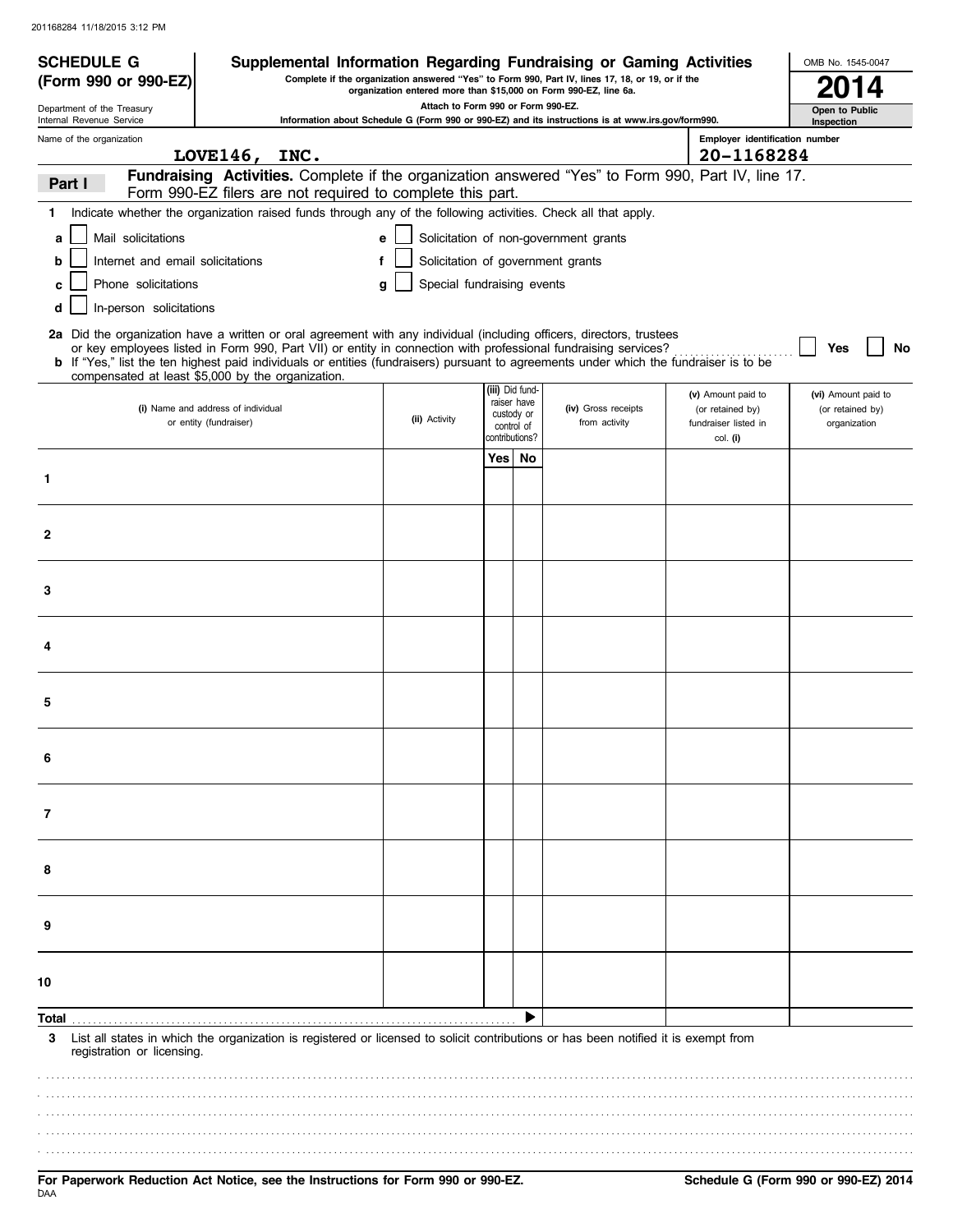| <b>SCHEDULE G</b>                                      | Supplemental Information Regarding Fundraising or Gaming Activities                                                                                                                                                                                                                                                                                                                                                                    |                                                                  |                                             |             |                                                                                                   |                                                                |                                | OMB No. 1545-0047                                       |
|--------------------------------------------------------|----------------------------------------------------------------------------------------------------------------------------------------------------------------------------------------------------------------------------------------------------------------------------------------------------------------------------------------------------------------------------------------------------------------------------------------|------------------------------------------------------------------|---------------------------------------------|-------------|---------------------------------------------------------------------------------------------------|----------------------------------------------------------------|--------------------------------|---------------------------------------------------------|
| (Form 990 or 990-EZ)                                   |                                                                                                                                                                                                                                                                                                                                                                                                                                        | organization entered more than \$15,000 on Form 990-EZ, line 6a. |                                             |             | Complete if the organization answered "Yes" to Form 990, Part IV, lines 17, 18, or 19, or if the  |                                                                |                                |                                                         |
| Department of the Treasury<br>Internal Revenue Service |                                                                                                                                                                                                                                                                                                                                                                                                                                        | Attach to Form 990 or Form 990-EZ.                               |                                             |             | Information about Schedule G (Form 990 or 990-EZ) and its instructions is at www.irs.gov/form990. |                                                                |                                | Open to Public<br>Inspection                            |
| Name of the organization                               |                                                                                                                                                                                                                                                                                                                                                                                                                                        |                                                                  |                                             |             |                                                                                                   |                                                                | Employer identification number |                                                         |
|                                                        | LOVE146, INC.                                                                                                                                                                                                                                                                                                                                                                                                                          |                                                                  |                                             |             |                                                                                                   |                                                                | 20-1168284                     |                                                         |
| Part I                                                 | Fundraising Activities. Complete if the organization answered "Yes" to Form 990, Part IV, line 17.<br>Form 990-EZ filers are not required to complete this part.                                                                                                                                                                                                                                                                       |                                                                  |                                             |             |                                                                                                   |                                                                |                                |                                                         |
| 1.                                                     | Indicate whether the organization raised funds through any of the following activities. Check all that apply.                                                                                                                                                                                                                                                                                                                          |                                                                  |                                             |             |                                                                                                   |                                                                |                                |                                                         |
| Mail solicitations<br>a                                |                                                                                                                                                                                                                                                                                                                                                                                                                                        | e                                                                |                                             |             | Solicitation of non-government grants                                                             |                                                                |                                |                                                         |
| Internet and email solicitations<br>b                  |                                                                                                                                                                                                                                                                                                                                                                                                                                        | f                                                                |                                             |             | Solicitation of government grants                                                                 |                                                                |                                |                                                         |
| Phone solicitations<br>c                               |                                                                                                                                                                                                                                                                                                                                                                                                                                        | Special fundraising events<br>q                                  |                                             |             |                                                                                                   |                                                                |                                |                                                         |
| In-person solicitations<br>d                           |                                                                                                                                                                                                                                                                                                                                                                                                                                        |                                                                  |                                             |             |                                                                                                   |                                                                |                                |                                                         |
|                                                        | 2a Did the organization have a written or oral agreement with any individual (including officers, directors, trustees<br>or key employees listed in Form 990, Part VII) or entity in connection with professional fundraising services?<br>b If "Yes," list the ten highest paid individuals or entities (fundraisers) pursuant to agreements under which the fundraiser is to be<br>compensated at least \$5,000 by the organization. |                                                                  |                                             |             |                                                                                                   |                                                                |                                | No<br>Yes                                               |
|                                                        | (i) Name and address of individual<br>or entity (fundraiser)                                                                                                                                                                                                                                                                                                                                                                           | (ii) Activity                                                    | (iii) Did fund-<br>custody or<br>control of | raiser have | (iv) Gross receipts<br>from activity                                                              | (v) Amount paid to<br>(or retained by)<br>fundraiser listed in |                                | (vi) Amount paid to<br>(or retained by)<br>organization |
|                                                        |                                                                                                                                                                                                                                                                                                                                                                                                                                        |                                                                  | contributions?                              |             |                                                                                                   | col. (i)                                                       |                                |                                                         |
|                                                        |                                                                                                                                                                                                                                                                                                                                                                                                                                        |                                                                  | Yes                                         | No          |                                                                                                   |                                                                |                                |                                                         |
| $\mathbf{1}$                                           |                                                                                                                                                                                                                                                                                                                                                                                                                                        |                                                                  |                                             |             |                                                                                                   |                                                                |                                |                                                         |
| $\mathbf{2}$                                           |                                                                                                                                                                                                                                                                                                                                                                                                                                        |                                                                  |                                             |             |                                                                                                   |                                                                |                                |                                                         |
| 3                                                      |                                                                                                                                                                                                                                                                                                                                                                                                                                        |                                                                  |                                             |             |                                                                                                   |                                                                |                                |                                                         |
| 4                                                      |                                                                                                                                                                                                                                                                                                                                                                                                                                        |                                                                  |                                             |             |                                                                                                   |                                                                |                                |                                                         |
| 5                                                      |                                                                                                                                                                                                                                                                                                                                                                                                                                        |                                                                  |                                             |             |                                                                                                   |                                                                |                                |                                                         |
| 6                                                      |                                                                                                                                                                                                                                                                                                                                                                                                                                        |                                                                  |                                             |             |                                                                                                   |                                                                |                                |                                                         |
| 7                                                      |                                                                                                                                                                                                                                                                                                                                                                                                                                        |                                                                  |                                             |             |                                                                                                   |                                                                |                                |                                                         |
| 8                                                      |                                                                                                                                                                                                                                                                                                                                                                                                                                        |                                                                  |                                             |             |                                                                                                   |                                                                |                                |                                                         |
| 9                                                      |                                                                                                                                                                                                                                                                                                                                                                                                                                        |                                                                  |                                             |             |                                                                                                   |                                                                |                                |                                                         |
| 10                                                     |                                                                                                                                                                                                                                                                                                                                                                                                                                        |                                                                  |                                             |             |                                                                                                   |                                                                |                                |                                                         |
| Total                                                  |                                                                                                                                                                                                                                                                                                                                                                                                                                        |                                                                  |                                             |             |                                                                                                   |                                                                |                                |                                                         |
| 3<br>registration or licensing.                        | List all states in which the organization is registered or licensed to solicit contributions or has been notified it is exempt from                                                                                                                                                                                                                                                                                                    |                                                                  |                                             |             |                                                                                                   |                                                                |                                |                                                         |
|                                                        |                                                                                                                                                                                                                                                                                                                                                                                                                                        |                                                                  |                                             |             |                                                                                                   |                                                                |                                |                                                         |
|                                                        |                                                                                                                                                                                                                                                                                                                                                                                                                                        |                                                                  |                                             |             |                                                                                                   |                                                                |                                |                                                         |
|                                                        |                                                                                                                                                                                                                                                                                                                                                                                                                                        |                                                                  |                                             |             |                                                                                                   |                                                                |                                |                                                         |
|                                                        |                                                                                                                                                                                                                                                                                                                                                                                                                                        |                                                                  |                                             |             |                                                                                                   |                                                                |                                |                                                         |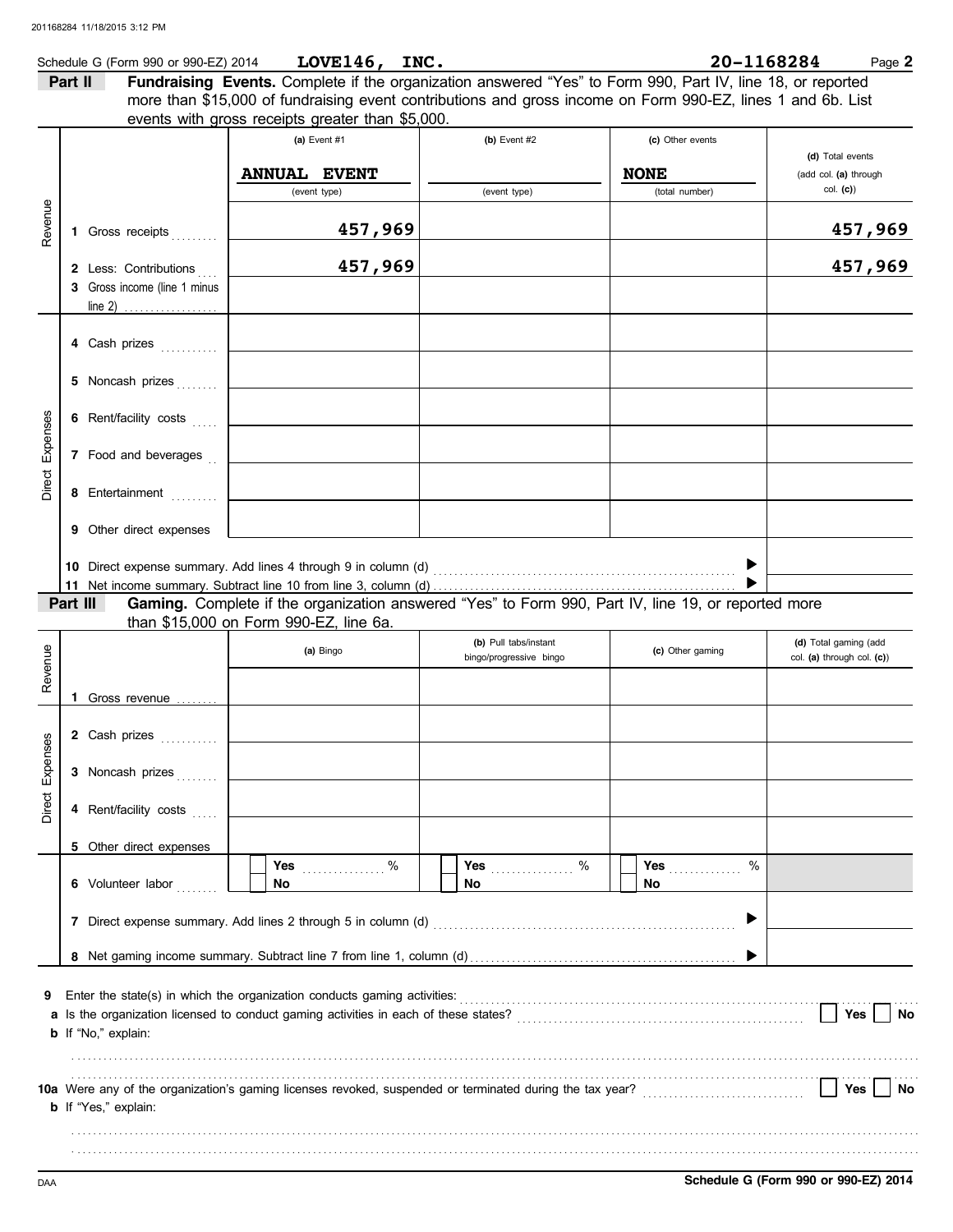|          |         | Schedule G (Form 990 or 990-EZ) 2014 | LOVE146, INC.                                                                                               |                         |                  | 20-1168284 | Page 2                            |
|----------|---------|--------------------------------------|-------------------------------------------------------------------------------------------------------------|-------------------------|------------------|------------|-----------------------------------|
|          | Part II |                                      | Fundraising Events. Complete if the organization answered "Yes" to Form 990, Part IV, line 18, or reported  |                         |                  |            |                                   |
|          |         |                                      | more than \$15,000 of fundraising event contributions and gross income on Form 990-EZ, lines 1 and 6b. List |                         |                  |            |                                   |
|          |         |                                      | events with gross receipts greater than \$5,000.                                                            |                         |                  |            |                                   |
|          |         |                                      | (a) Event #1                                                                                                | (b) Event $#2$          | (c) Other events |            |                                   |
|          |         |                                      |                                                                                                             |                         | <b>NONE</b>      |            | (d) Total events                  |
|          |         |                                      | <b>ANNUAL EVENT</b><br>(event type)                                                                         | (event type)            | (total number)   |            | (add col. (a) through<br>col. (c) |
|          |         |                                      |                                                                                                             |                         |                  |            |                                   |
| Revenue  |         | 1 Gross receipts                     | 457,969                                                                                                     |                         |                  |            | 457,969                           |
|          |         |                                      |                                                                                                             |                         |                  |            |                                   |
|          |         | 2 Less: Contributions                | 457,969                                                                                                     |                         |                  |            | 457,969                           |
|          |         | 3 Gross income (line 1 minus         |                                                                                                             |                         |                  |            |                                   |
|          |         |                                      |                                                                                                             |                         |                  |            |                                   |
|          |         |                                      |                                                                                                             |                         |                  |            |                                   |
|          |         |                                      |                                                                                                             |                         |                  |            |                                   |
|          |         |                                      |                                                                                                             |                         |                  |            |                                   |
|          |         | 5 Noncash prizes                     |                                                                                                             |                         |                  |            |                                   |
|          |         | 6 Rent/facility costs                |                                                                                                             |                         |                  |            |                                   |
|          |         |                                      |                                                                                                             |                         |                  |            |                                   |
| Expenses |         | 7 Food and beverages                 |                                                                                                             |                         |                  |            |                                   |
|          |         |                                      |                                                                                                             |                         |                  |            |                                   |
| Direct   |         | 8 Entertainment                      |                                                                                                             |                         |                  |            |                                   |
|          |         |                                      |                                                                                                             |                         |                  |            |                                   |
|          |         | 9 Other direct expenses              |                                                                                                             |                         |                  |            |                                   |
|          |         |                                      |                                                                                                             |                         |                  |            |                                   |
|          |         |                                      |                                                                                                             |                         |                  |            |                                   |
|          |         | Part III                             | Gaming. Complete if the organization answered "Yes" to Form 990, Part IV, line 19, or reported more         |                         |                  |            |                                   |
|          |         |                                      | than \$15,000 on Form 990-EZ, line 6a.                                                                      |                         |                  |            |                                   |
|          |         |                                      |                                                                                                             | (b) Pull tabs/instant   |                  |            | (d) Total gaming (add             |
| Revenue  |         |                                      | (a) Bingo                                                                                                   | bingo/progressive bingo | (c) Other gaming |            | col. (a) through col. (c))        |
|          |         |                                      |                                                                                                             |                         |                  |            |                                   |
|          |         | Gross revenue                        |                                                                                                             |                         |                  |            |                                   |
|          |         |                                      |                                                                                                             |                         |                  |            |                                   |
| ses      |         | 2 Cash prizes                        |                                                                                                             |                         |                  |            |                                   |
| Exper    |         | 3 Noncash prizes                     |                                                                                                             |                         |                  |            |                                   |
|          |         |                                      |                                                                                                             |                         |                  |            |                                   |
| Direct   |         | 4 Rent/facility costs                |                                                                                                             |                         |                  |            |                                   |
|          |         |                                      |                                                                                                             |                         |                  |            |                                   |
|          |         | 5 Other direct expenses              |                                                                                                             |                         |                  |            |                                   |
|          |         |                                      | $\%$<br>Yes                                                                                                 | <b>Yes</b>              | %<br>Yes         | %          |                                   |
|          |         | 6 Volunteer labor                    | No                                                                                                          | No.                     | No.              |            |                                   |
|          |         |                                      |                                                                                                             |                         |                  |            |                                   |
|          |         |                                      |                                                                                                             |                         |                  |            |                                   |
|          |         |                                      |                                                                                                             |                         |                  |            |                                   |
|          |         |                                      |                                                                                                             |                         |                  |            |                                   |
| 9        |         |                                      |                                                                                                             |                         |                  |            |                                   |
|          |         |                                      |                                                                                                             |                         |                  |            | Yes<br>No                         |
|          |         | <b>b</b> If "No," explain:           |                                                                                                             |                         |                  |            |                                   |
|          |         |                                      |                                                                                                             |                         |                  |            |                                   |
|          |         |                                      |                                                                                                             |                         |                  |            |                                   |
|          |         |                                      | 10a Were any of the organization's gaming licenses revoked, suspended or terminated during the tax year?    |                         |                  |            | Yes<br>No                         |
|          |         | <b>b</b> If "Yes," explain:          |                                                                                                             |                         |                  |            |                                   |
|          |         |                                      |                                                                                                             |                         |                  |            |                                   |
|          |         |                                      |                                                                                                             |                         |                  |            |                                   |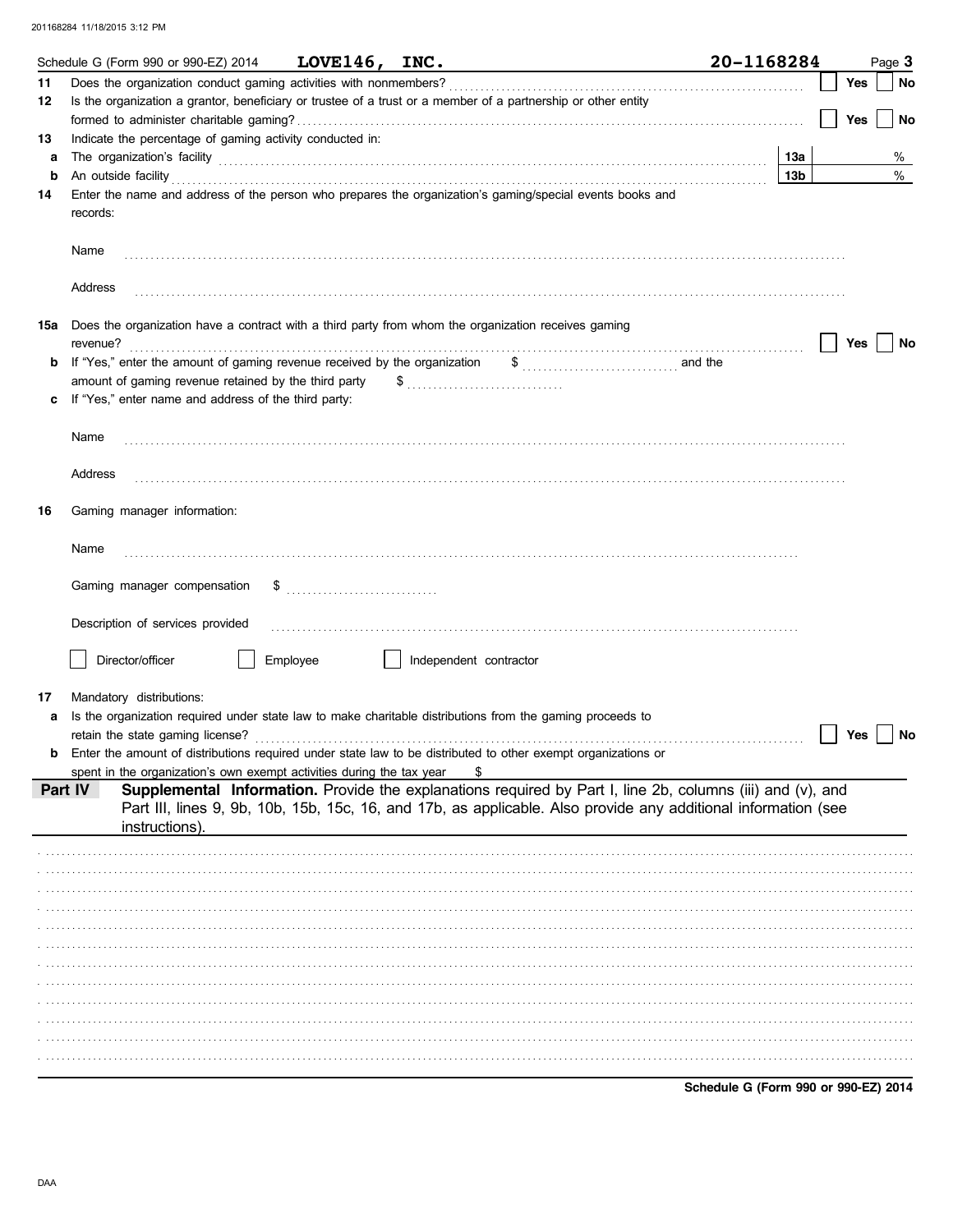|         | Schedule G (Form 990 or 990-EZ) 2014                                                                                                                                                                                                 | LOVE146, INC. |                        |                                                                                                                                                                                                                              | 20-1168284                           |  |     | Page 3 |
|---------|--------------------------------------------------------------------------------------------------------------------------------------------------------------------------------------------------------------------------------------|---------------|------------------------|------------------------------------------------------------------------------------------------------------------------------------------------------------------------------------------------------------------------------|--------------------------------------|--|-----|--------|
| 11      | Does the organization conduct gaming activities with nonmembers?                                                                                                                                                                     |               |                        |                                                                                                                                                                                                                              |                                      |  | Yes | No     |
| 12      | Is the organization a grantor, beneficiary or trustee of a trust or a member of a partnership or other entity                                                                                                                        |               |                        |                                                                                                                                                                                                                              |                                      |  |     |        |
|         |                                                                                                                                                                                                                                      |               |                        |                                                                                                                                                                                                                              |                                      |  | Yes | No     |
| 13      | Indicate the percentage of gaming activity conducted in:                                                                                                                                                                             |               |                        |                                                                                                                                                                                                                              |                                      |  |     |        |
| a       | The organization's facility encouragement and contact the organization's facility encouragement and contact the organization's facility                                                                                              |               |                        |                                                                                                                                                                                                                              | 13а                                  |  |     | %      |
| b       | An outside facility <b>contract and the contract of a contract of a contract of a contract of a contract of a contract of a contract of a contract of a contract of a contract of a contract of a contract of a contract of a co</b> |               |                        |                                                                                                                                                                                                                              | 13b                                  |  |     | %      |
| 14      | Enter the name and address of the person who prepares the organization's gaming/special events books and<br>records:                                                                                                                 |               |                        |                                                                                                                                                                                                                              |                                      |  |     |        |
|         | Name                                                                                                                                                                                                                                 |               |                        |                                                                                                                                                                                                                              |                                      |  |     |        |
|         | Address                                                                                                                                                                                                                              |               |                        |                                                                                                                                                                                                                              |                                      |  |     |        |
| 15a     | Does the organization have a contract with a third party from whom the organization receives gaming<br>revenue?                                                                                                                      |               |                        |                                                                                                                                                                                                                              |                                      |  | Yes | No     |
| b       | If "Yes," enter the amount of gaming revenue received by the organization                                                                                                                                                            |               |                        | $\frac{1}{2}$ and the                                                                                                                                                                                                        |                                      |  |     |        |
|         | amount of gaming revenue retained by the third party                                                                                                                                                                                 |               |                        |                                                                                                                                                                                                                              |                                      |  |     |        |
|         | If "Yes," enter name and address of the third party:                                                                                                                                                                                 |               |                        |                                                                                                                                                                                                                              |                                      |  |     |        |
|         |                                                                                                                                                                                                                                      |               |                        |                                                                                                                                                                                                                              |                                      |  |     |        |
|         | Name                                                                                                                                                                                                                                 |               |                        |                                                                                                                                                                                                                              |                                      |  |     |        |
|         |                                                                                                                                                                                                                                      |               |                        |                                                                                                                                                                                                                              |                                      |  |     |        |
|         | Address                                                                                                                                                                                                                              |               |                        |                                                                                                                                                                                                                              |                                      |  |     |        |
| 16      | Gaming manager information:                                                                                                                                                                                                          |               |                        |                                                                                                                                                                                                                              |                                      |  |     |        |
|         |                                                                                                                                                                                                                                      |               |                        |                                                                                                                                                                                                                              |                                      |  |     |        |
|         | Name                                                                                                                                                                                                                                 |               |                        |                                                                                                                                                                                                                              |                                      |  |     |        |
|         | Gaming manager compensation                                                                                                                                                                                                          |               |                        |                                                                                                                                                                                                                              |                                      |  |     |        |
|         | Description of services provided                                                                                                                                                                                                     |               |                        |                                                                                                                                                                                                                              |                                      |  |     |        |
|         | Director/officer                                                                                                                                                                                                                     | Employee      | Independent contractor |                                                                                                                                                                                                                              |                                      |  |     |        |
|         |                                                                                                                                                                                                                                      |               |                        |                                                                                                                                                                                                                              |                                      |  |     |        |
| 17      | Mandatory distributions:                                                                                                                                                                                                             |               |                        |                                                                                                                                                                                                                              |                                      |  |     |        |
| a       | Is the organization required under state law to make charitable distributions from the gaming proceeds to                                                                                                                            |               |                        |                                                                                                                                                                                                                              |                                      |  |     |        |
|         | retain the state gaming license?                                                                                                                                                                                                     |               |                        |                                                                                                                                                                                                                              |                                      |  | Yes | No     |
| b       | Enter the amount of distributions required under state law to be distributed to other exempt organizations or                                                                                                                        |               |                        |                                                                                                                                                                                                                              |                                      |  |     |        |
|         | spent in the organization's own exempt activities during the tax year                                                                                                                                                                |               |                        |                                                                                                                                                                                                                              |                                      |  |     |        |
| Part IV | instructions).                                                                                                                                                                                                                       |               |                        | Supplemental Information. Provide the explanations required by Part I, line 2b, columns (iii) and (v), and<br>Part III, lines 9, 9b, 10b, 15b, 15c, 16, and 17b, as applicable. Also provide any additional information (see |                                      |  |     |        |
|         |                                                                                                                                                                                                                                      |               |                        |                                                                                                                                                                                                                              |                                      |  |     |        |
|         |                                                                                                                                                                                                                                      |               |                        |                                                                                                                                                                                                                              |                                      |  |     |        |
|         |                                                                                                                                                                                                                                      |               |                        |                                                                                                                                                                                                                              |                                      |  |     |        |
|         |                                                                                                                                                                                                                                      |               |                        |                                                                                                                                                                                                                              |                                      |  |     |        |
|         |                                                                                                                                                                                                                                      |               |                        |                                                                                                                                                                                                                              |                                      |  |     |        |
|         |                                                                                                                                                                                                                                      |               |                        |                                                                                                                                                                                                                              |                                      |  |     |        |
|         |                                                                                                                                                                                                                                      |               |                        |                                                                                                                                                                                                                              |                                      |  |     |        |
|         |                                                                                                                                                                                                                                      |               |                        |                                                                                                                                                                                                                              |                                      |  |     |        |
|         |                                                                                                                                                                                                                                      |               |                        |                                                                                                                                                                                                                              |                                      |  |     |        |
|         |                                                                                                                                                                                                                                      |               |                        |                                                                                                                                                                                                                              |                                      |  |     |        |
|         |                                                                                                                                                                                                                                      |               |                        |                                                                                                                                                                                                                              |                                      |  |     |        |
|         |                                                                                                                                                                                                                                      |               |                        |                                                                                                                                                                                                                              |                                      |  |     |        |
|         |                                                                                                                                                                                                                                      |               |                        |                                                                                                                                                                                                                              | Schedule G (Form 990 or 990-EZ) 2014 |  |     |        |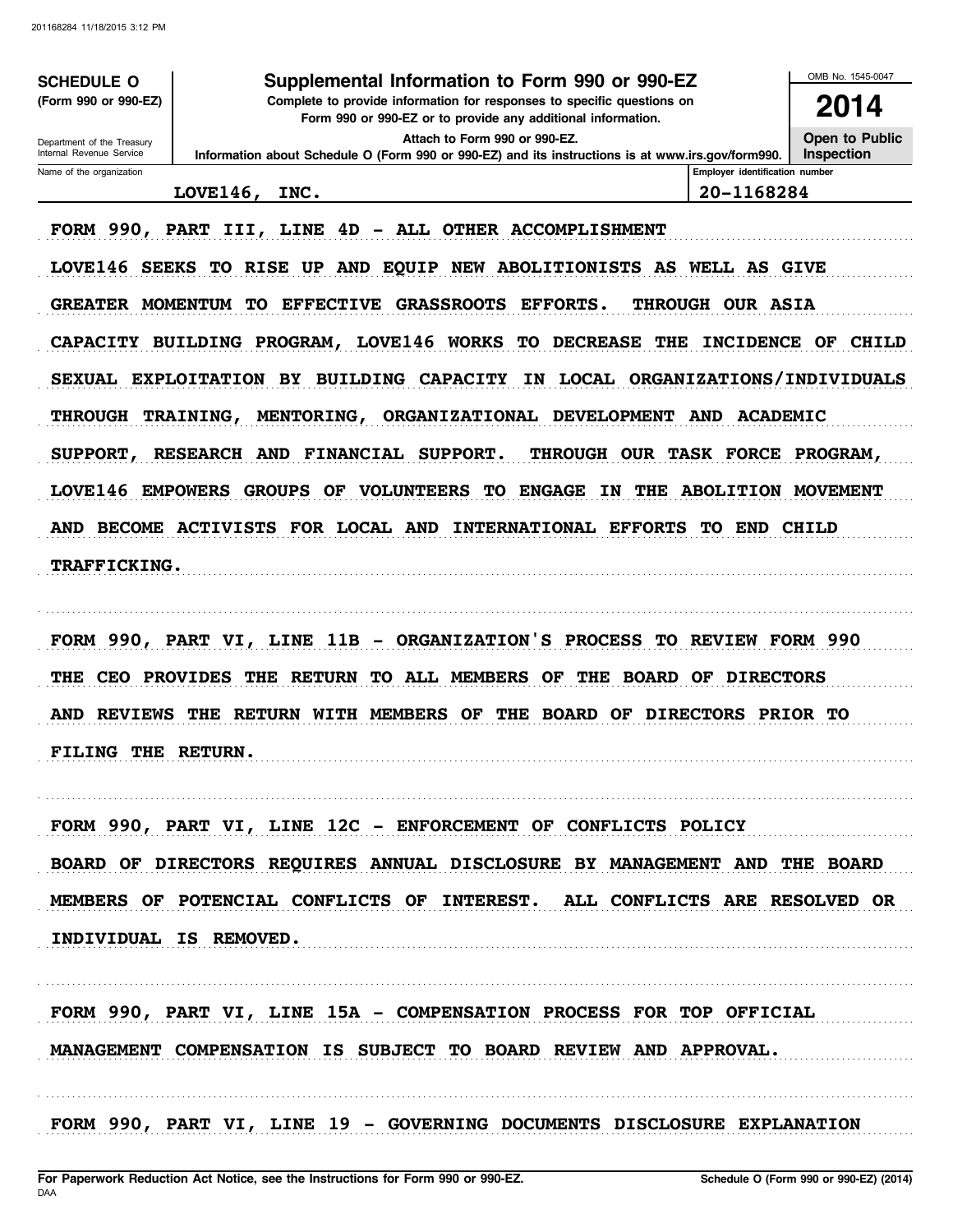**SCHEDULE O** (Form 990 or 990-EZ)

Department of the Treasury

### Supplemental Information to Form 990 or 990-EZ

Complete to provide information for responses to specific questions on Form 990 or 990-EZ or to provide any additional information.

2014 Open to Public

OMB No. 1545-0047

Attach to Form 990 or 990-EZ.

Internal Revenue Service Name of the organization

Inspection Information about Schedule O (Form 990 or 990-EZ) and its instructions is at www.irs.gov/form990. Employer identification number

20-1168284

## LOVE146, INC.

FORM 990, PART III, LINE 4D - ALL OTHER ACCOMPLISHMENT

LOVE146 SEEKS TO RISE UP AND EQUIP NEW ABOLITIONISTS AS WELL AS GIVE GREATER MOMENTUM TO EFFECTIVE GRASSROOTS EFFORTS. THROUGH OUR ASIA CAPACITY BUILDING PROGRAM, LOVE146 WORKS TO DECREASE THE INCIDENCE OF CHILD SEXUAL EXPLOITATION BY BUILDING CAPACITY IN LOCAL ORGANIZATIONS/INDIVIDUALS THROUGH TRAINING, MENTORING, ORGANIZATIONAL DEVELOPMENT AND ACADEMIC THROUGH OUR TASK FORCE PROGRAM, SUPPORT, RESEARCH AND FINANCIAL SUPPORT. LOVE146 EMPOWERS GROUPS OF VOLUNTEERS TO ENGAGE IN THE ABOLITION MOVEMENT AND BECOME ACTIVISTS FOR LOCAL AND INTERNATIONAL EFFORTS TO END CHILD TRAFFICKING.

FORM 990, PART VI, LINE 11B - ORGANIZATION'S PROCESS TO REVIEW FORM 990 THE CEO PROVIDES THE RETURN TO ALL MEMBERS OF THE BOARD OF DIRECTORS AND REVIEWS THE RETURN WITH MEMBERS OF THE BOARD OF DIRECTORS PRIOR TO FILING THE RETURN.

FORM 990, PART VI, LINE 12C - ENFORCEMENT OF CONFLICTS POLICY BOARD OF DIRECTORS REQUIRES ANNUAL DISCLOSURE BY MANAGEMENT AND THE BOARD MEMBERS OF POTENCIAL CONFLICTS OF INTEREST. ALL CONFLICTS ARE RESOLVED OR INDIVIDUAL IS REMOVED.

FORM 990, PART VI, LINE 15A - COMPENSATION PROCESS FOR TOP OFFICIAL MANAGEMENT COMPENSATION IS SUBJECT TO BOARD REVIEW AND APPROVAL.

FORM 990, PART VI, LINE 19 - GOVERNING DOCUMENTS DISCLOSURE EXPLANATION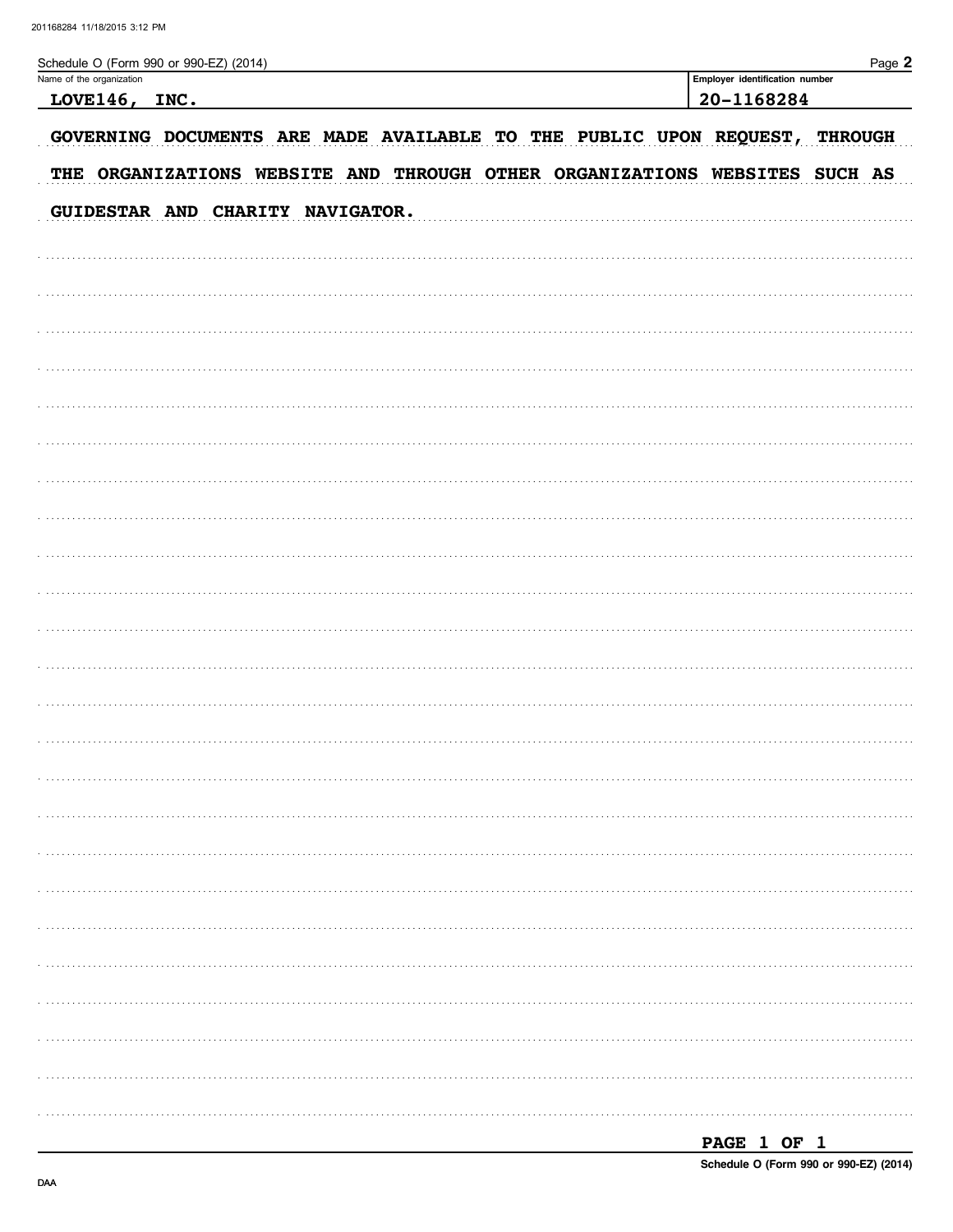Name of the organization

Schedule O (Form 990 or 990-EZ) (2014)

| LOVE146, INC.                                                              | 20-1168284 |  |  |  |  |  |  |  |  |
|----------------------------------------------------------------------------|------------|--|--|--|--|--|--|--|--|
| GOVERNING DOCUMENTS ARE MADE AVAILABLE TO THE PUBLIC UPON REQUEST, THROUGH |            |  |  |  |  |  |  |  |  |
| THE ORGANIZATIONS WEBSITE AND THROUGH OTHER ORGANIZATIONS WEBSITES SUCH AS |            |  |  |  |  |  |  |  |  |
| GUIDESTAR AND CHARITY NAVIGATOR.                                           |            |  |  |  |  |  |  |  |  |
|                                                                            |            |  |  |  |  |  |  |  |  |
|                                                                            |            |  |  |  |  |  |  |  |  |
|                                                                            |            |  |  |  |  |  |  |  |  |
|                                                                            |            |  |  |  |  |  |  |  |  |
|                                                                            |            |  |  |  |  |  |  |  |  |
|                                                                            |            |  |  |  |  |  |  |  |  |
|                                                                            |            |  |  |  |  |  |  |  |  |
|                                                                            |            |  |  |  |  |  |  |  |  |
|                                                                            |            |  |  |  |  |  |  |  |  |
|                                                                            |            |  |  |  |  |  |  |  |  |
|                                                                            |            |  |  |  |  |  |  |  |  |
|                                                                            |            |  |  |  |  |  |  |  |  |
|                                                                            |            |  |  |  |  |  |  |  |  |
|                                                                            |            |  |  |  |  |  |  |  |  |
|                                                                            |            |  |  |  |  |  |  |  |  |
|                                                                            |            |  |  |  |  |  |  |  |  |
|                                                                            |            |  |  |  |  |  |  |  |  |
|                                                                            |            |  |  |  |  |  |  |  |  |
|                                                                            |            |  |  |  |  |  |  |  |  |
|                                                                            |            |  |  |  |  |  |  |  |  |
|                                                                            |            |  |  |  |  |  |  |  |  |
|                                                                            |            |  |  |  |  |  |  |  |  |
|                                                                            |            |  |  |  |  |  |  |  |  |
|                                                                            |            |  |  |  |  |  |  |  |  |
|                                                                            |            |  |  |  |  |  |  |  |  |
|                                                                            |            |  |  |  |  |  |  |  |  |

| PAGE 1 OF 1 |  |                                        |
|-------------|--|----------------------------------------|
|             |  | Schedule O (Form 990 or 990-EZ) (2014) |

Employer identification number